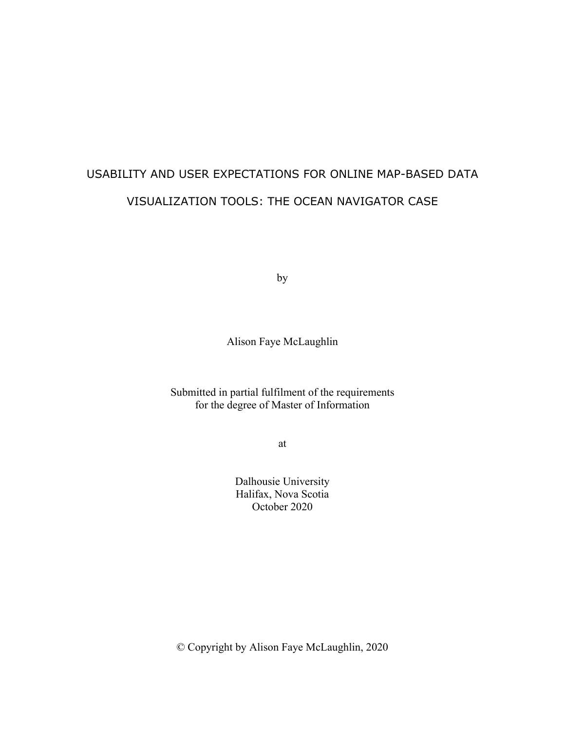# USABILITY AND USER EXPECTATIONS FOR ONLINE MAP-BASED DATA VISUALIZATION TOOLS: THE OCEAN NAVIGATOR CASE

by

Alison Faye McLaughlin

### Submitted in partial fulfilment of the requirements for the degree of Master of Information

at

Dalhousie University Halifax, Nova Scotia October 2020

© Copyright by Alison Faye McLaughlin, 2020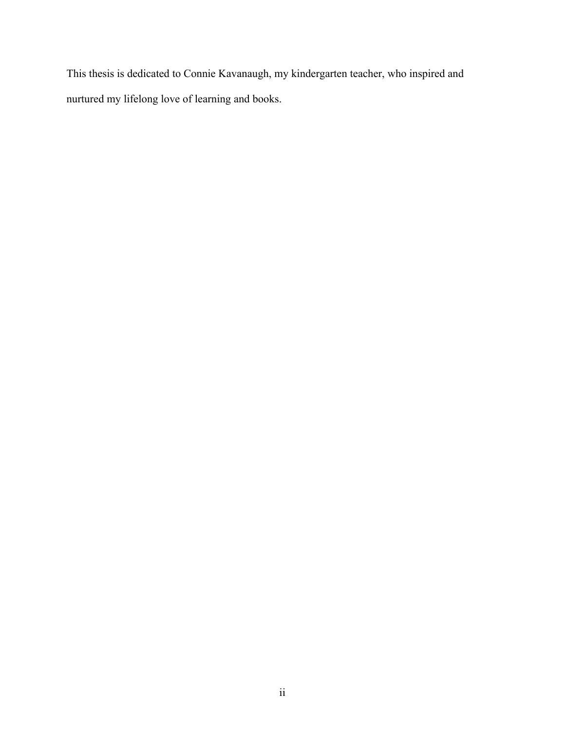This thesis is dedicated to Connie Kavanaugh, my kindergarten teacher, who inspired and nurtured my lifelong love of learning and books.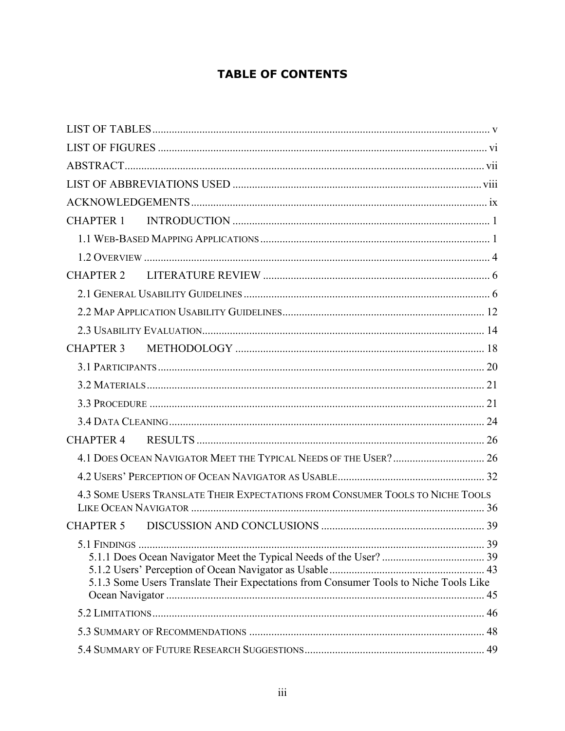# **TABLE OF CONTENTS**

| CHAPTER 1        |                                                                                       |  |
|------------------|---------------------------------------------------------------------------------------|--|
|                  |                                                                                       |  |
|                  |                                                                                       |  |
| CHAPTER 2        |                                                                                       |  |
|                  |                                                                                       |  |
|                  |                                                                                       |  |
|                  |                                                                                       |  |
| CHAPTER 3        |                                                                                       |  |
|                  |                                                                                       |  |
|                  |                                                                                       |  |
|                  |                                                                                       |  |
|                  |                                                                                       |  |
| CHAPTER 4        |                                                                                       |  |
|                  |                                                                                       |  |
|                  |                                                                                       |  |
|                  | 4.3 SOME USERS TRANSLATE THEIR EXPECTATIONS FROM CONSUMER TOOLS TO NICHE TOOLS        |  |
| <b>CHAPTER 5</b> |                                                                                       |  |
|                  | 5.1.3 Some Users Translate Their Expectations from Consumer Tools to Niche Tools Like |  |
|                  |                                                                                       |  |
|                  |                                                                                       |  |
|                  |                                                                                       |  |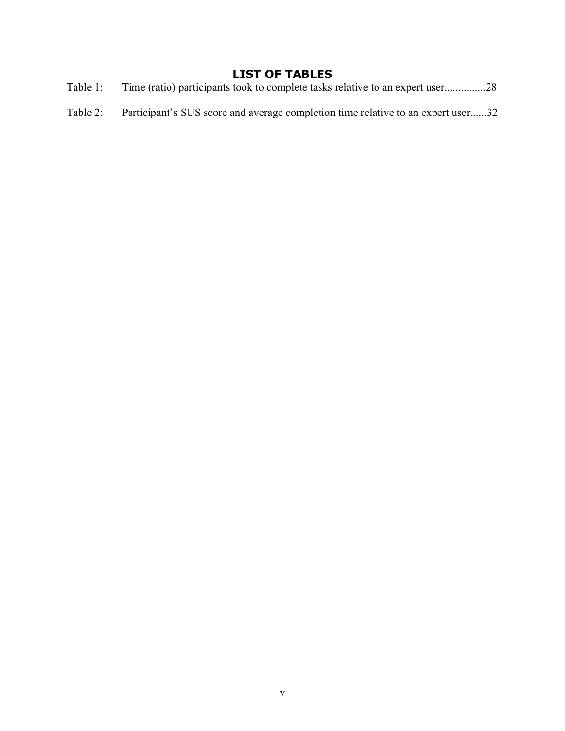## **LIST OF TABLES**

- Table 1: Time (ratio) participants took to complete tasks relative to an expert user...............28
- Table 2: Participant's SUS score and average completion time relative to an expert user......32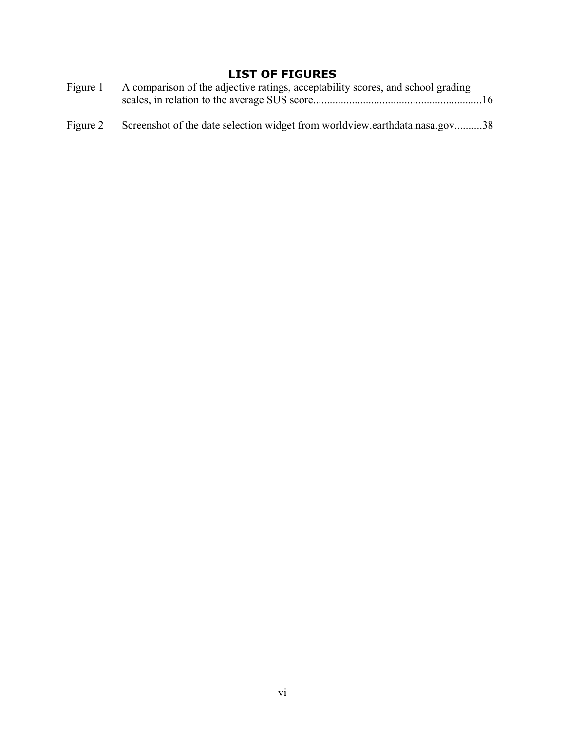# **LIST OF FIGURES**

| Figure 1 | A comparison of the adjective ratings, acceptability scores, and school grading |  |
|----------|---------------------------------------------------------------------------------|--|
| Figure 2 | Screenshot of the date selection widget from worldview.earthdata.nasa.gov38     |  |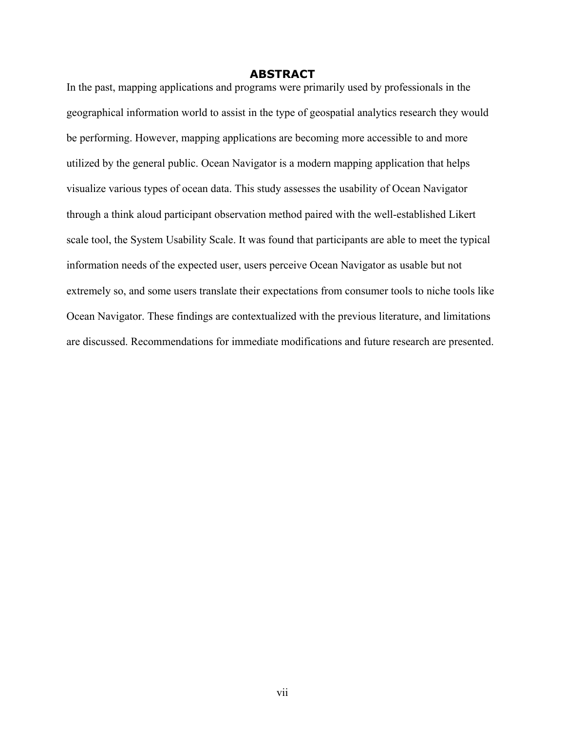#### **ABSTRACT**

In the past, mapping applications and programs were primarily used by professionals in the geographical information world to assist in the type of geospatial analytics research they would be performing. However, mapping applications are becoming more accessible to and more utilized by the general public. Ocean Navigator is a modern mapping application that helps visualize various types of ocean data. This study assesses the usability of Ocean Navigator through a think aloud participant observation method paired with the well-established Likert scale tool, the System Usability Scale. It was found that participants are able to meet the typical information needs of the expected user, users perceive Ocean Navigator as usable but not extremely so, and some users translate their expectations from consumer tools to niche tools like Ocean Navigator. These findings are contextualized with the previous literature, and limitations are discussed. Recommendations for immediate modifications and future research are presented.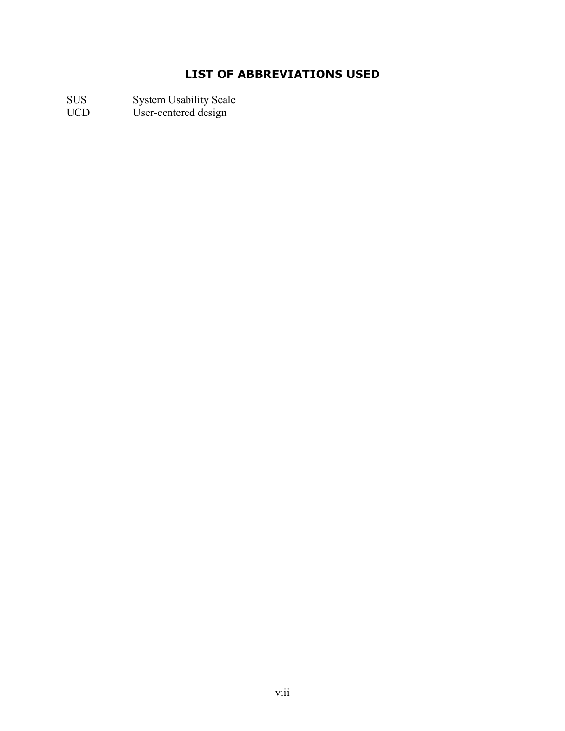# **LIST OF ABBREVIATIONS USED**

SUS System Usability Scale

UCD User-centered design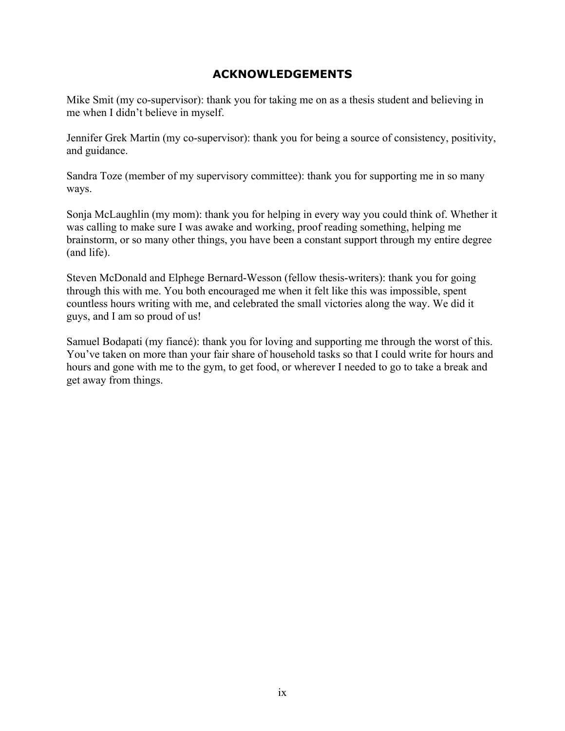### **ACKNOWLEDGEMENTS**

Mike Smit (my co-supervisor): thank you for taking me on as a thesis student and believing in me when I didn't believe in myself.

Jennifer Grek Martin (my co-supervisor): thank you for being a source of consistency, positivity, and guidance.

Sandra Toze (member of my supervisory committee): thank you for supporting me in so many ways.

Sonja McLaughlin (my mom): thank you for helping in every way you could think of. Whether it was calling to make sure I was awake and working, proof reading something, helping me brainstorm, or so many other things, you have been a constant support through my entire degree (and life).

Steven McDonald and Elphege Bernard-Wesson (fellow thesis-writers): thank you for going through this with me. You both encouraged me when it felt like this was impossible, spent countless hours writing with me, and celebrated the small victories along the way. We did it guys, and I am so proud of us!

Samuel Bodapati (my fiancé): thank you for loving and supporting me through the worst of this. You've taken on more than your fair share of household tasks so that I could write for hours and hours and gone with me to the gym, to get food, or wherever I needed to go to take a break and get away from things.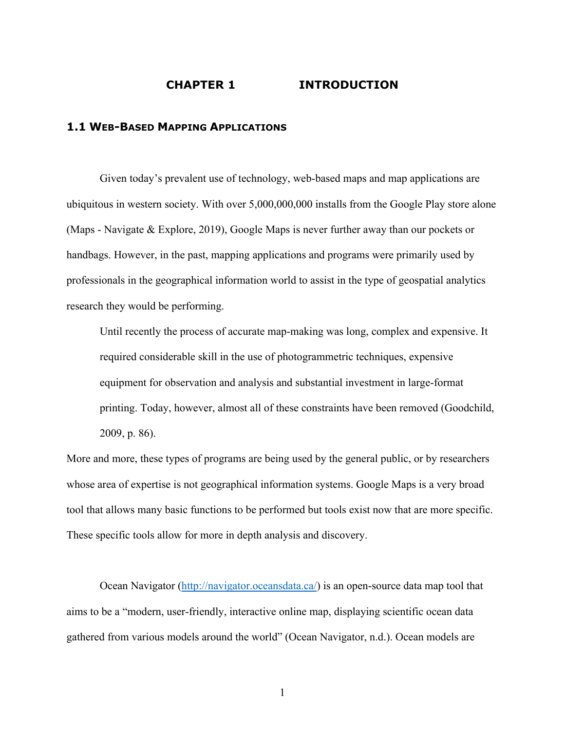#### **CHAPTER 1 INTRODUCTION**

#### **1.1 WEB-BASED MAPPING APPLICATIONS**

Given today's prevalent use of technology, web-based maps and map applications are ubiquitous in western society. With over 5,000,000,000 installs from the Google Play store alone (Maps - Navigate & Explore, 2019), Google Maps is never further away than our pockets or handbags. However, in the past, mapping applications and programs were primarily used by professionals in the geographical information world to assist in the type of geospatial analytics research they would be performing.

Until recently the process of accurate map-making was long, complex and expensive. It required considerable skill in the use of photogrammetric techniques, expensive equipment for observation and analysis and substantial investment in large-format printing. Today, however, almost all of these constraints have been removed (Goodchild, 2009, p. 86).

More and more, these types of programs are being used by the general public, or by researchers whose area of expertise is not geographical information systems. Google Maps is a very broad tool that allows many basic functions to be performed but tools exist now that are more specific. These specific tools allow for more in depth analysis and discovery.

Ocean Navigator (http://navigator.oceansdata.ca/) is an open-source data map tool that aims to be a "modern, user-friendly, interactive online map, displaying scientific ocean data gathered from various models around the world" (Ocean Navigator, n.d.). Ocean models are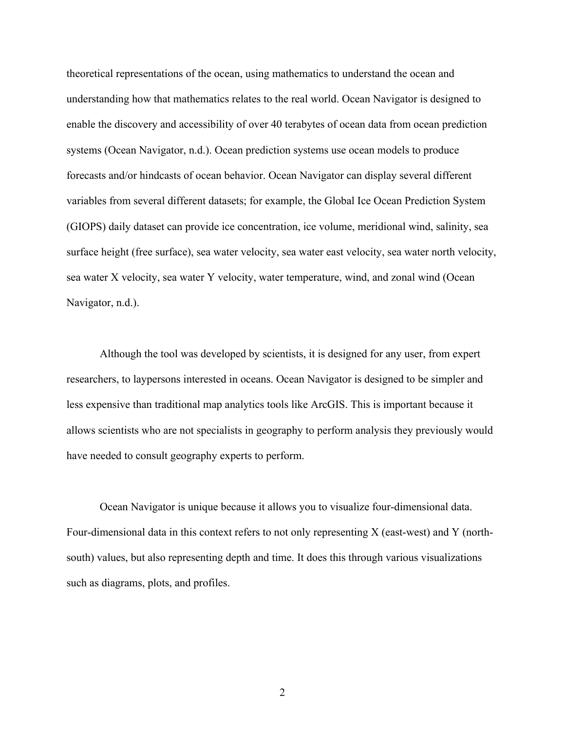theoretical representations of the ocean, using mathematics to understand the ocean and understanding how that mathematics relates to the real world. Ocean Navigator is designed to enable the discovery and accessibility of over 40 terabytes of ocean data from ocean prediction systems (Ocean Navigator, n.d.). Ocean prediction systems use ocean models to produce forecasts and/or hindcasts of ocean behavior. Ocean Navigator can display several different variables from several different datasets; for example, the Global Ice Ocean Prediction System (GIOPS) daily dataset can provide ice concentration, ice volume, meridional wind, salinity, sea surface height (free surface), sea water velocity, sea water east velocity, sea water north velocity, sea water X velocity, sea water Y velocity, water temperature, wind, and zonal wind (Ocean Navigator, n.d.).

Although the tool was developed by scientists, it is designed for any user, from expert researchers, to laypersons interested in oceans. Ocean Navigator is designed to be simpler and less expensive than traditional map analytics tools like ArcGIS. This is important because it allows scientists who are not specialists in geography to perform analysis they previously would have needed to consult geography experts to perform.

Ocean Navigator is unique because it allows you to visualize four-dimensional data. Four-dimensional data in this context refers to not only representing X (east-west) and Y (northsouth) values, but also representing depth and time. It does this through various visualizations such as diagrams, plots, and profiles.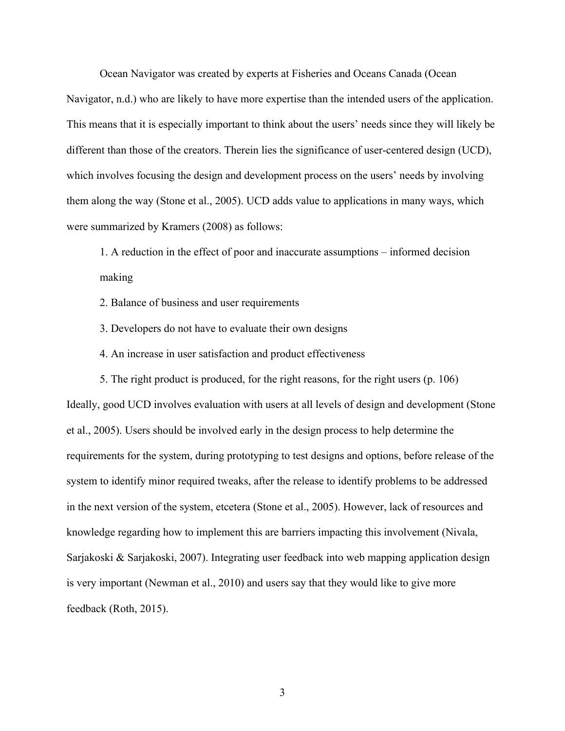Ocean Navigator was created by experts at Fisheries and Oceans Canada (Ocean Navigator, n.d.) who are likely to have more expertise than the intended users of the application. This means that it is especially important to think about the users' needs since they will likely be different than those of the creators. Therein lies the significance of user-centered design (UCD), which involves focusing the design and development process on the users' needs by involving them along the way (Stone et al., 2005). UCD adds value to applications in many ways, which were summarized by Kramers (2008) as follows:

1. A reduction in the effect of poor and inaccurate assumptions – informed decision making

- 2. Balance of business and user requirements
- 3. Developers do not have to evaluate their own designs
- 4. An increase in user satisfaction and product effectiveness

5. The right product is produced, for the right reasons, for the right users (p. 106) Ideally, good UCD involves evaluation with users at all levels of design and development (Stone et al., 2005). Users should be involved early in the design process to help determine the requirements for the system, during prototyping to test designs and options, before release of the system to identify minor required tweaks, after the release to identify problems to be addressed in the next version of the system, etcetera (Stone et al., 2005). However, lack of resources and knowledge regarding how to implement this are barriers impacting this involvement (Nivala, Sarjakoski & Sarjakoski, 2007). Integrating user feedback into web mapping application design is very important (Newman et al., 2010) and users say that they would like to give more feedback (Roth, 2015).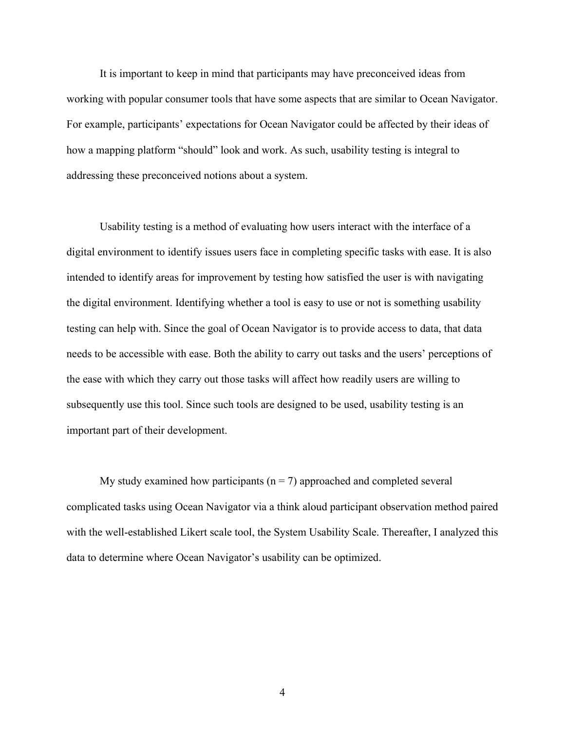It is important to keep in mind that participants may have preconceived ideas from working with popular consumer tools that have some aspects that are similar to Ocean Navigator. For example, participants' expectations for Ocean Navigator could be affected by their ideas of how a mapping platform "should" look and work. As such, usability testing is integral to addressing these preconceived notions about a system.

Usability testing is a method of evaluating how users interact with the interface of a digital environment to identify issues users face in completing specific tasks with ease. It is also intended to identify areas for improvement by testing how satisfied the user is with navigating the digital environment. Identifying whether a tool is easy to use or not is something usability testing can help with. Since the goal of Ocean Navigator is to provide access to data, that data needs to be accessible with ease. Both the ability to carry out tasks and the users' perceptions of the ease with which they carry out those tasks will affect how readily users are willing to subsequently use this tool. Since such tools are designed to be used, usability testing is an important part of their development.

My study examined how participants ( $n = 7$ ) approached and completed several complicated tasks using Ocean Navigator via a think aloud participant observation method paired with the well-established Likert scale tool, the System Usability Scale. Thereafter, I analyzed this data to determine where Ocean Navigator's usability can be optimized.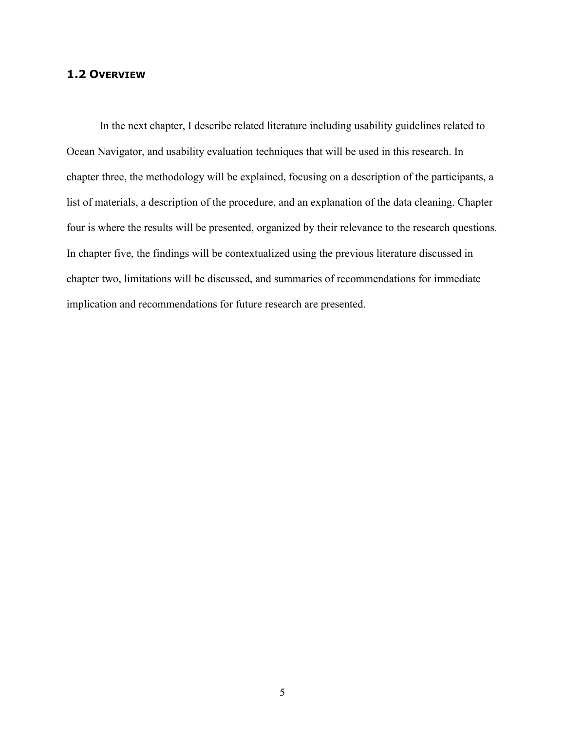#### **1.2 OVERVIEW**

In the next chapter, I describe related literature including usability guidelines related to Ocean Navigator, and usability evaluation techniques that will be used in this research. In chapter three, the methodology will be explained, focusing on a description of the participants, a list of materials, a description of the procedure, and an explanation of the data cleaning. Chapter four is where the results will be presented, organized by their relevance to the research questions. In chapter five, the findings will be contextualized using the previous literature discussed in chapter two, limitations will be discussed, and summaries of recommendations for immediate implication and recommendations for future research are presented.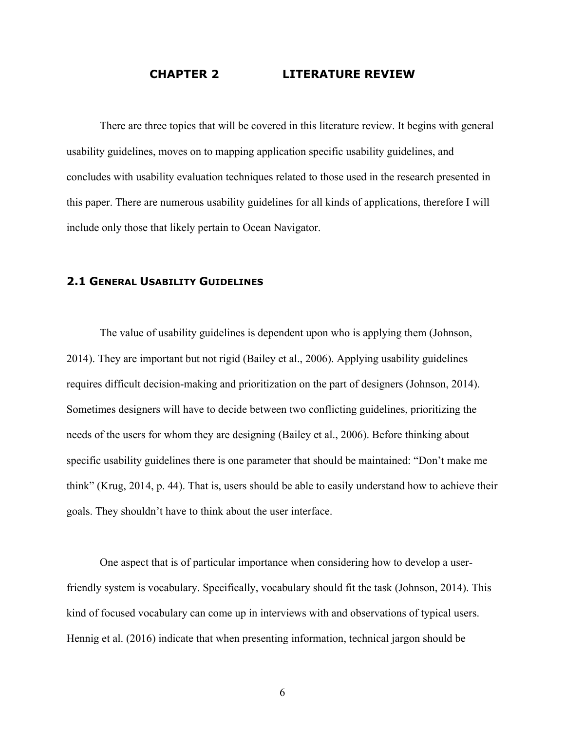#### **CHAPTER 2 LITERATURE REVIEW**

There are three topics that will be covered in this literature review. It begins with general usability guidelines, moves on to mapping application specific usability guidelines, and concludes with usability evaluation techniques related to those used in the research presented in this paper. There are numerous usability guidelines for all kinds of applications, therefore I will include only those that likely pertain to Ocean Navigator.

#### **2.1 GENERAL USABILITY GUIDELINES**

The value of usability guidelines is dependent upon who is applying them (Johnson, 2014). They are important but not rigid (Bailey et al., 2006). Applying usability guidelines requires difficult decision-making and prioritization on the part of designers (Johnson, 2014). Sometimes designers will have to decide between two conflicting guidelines, prioritizing the needs of the users for whom they are designing (Bailey et al., 2006). Before thinking about specific usability guidelines there is one parameter that should be maintained: "Don't make me think" (Krug, 2014, p. 44). That is, users should be able to easily understand how to achieve their goals. They shouldn't have to think about the user interface.

One aspect that is of particular importance when considering how to develop a userfriendly system is vocabulary. Specifically, vocabulary should fit the task (Johnson, 2014). This kind of focused vocabulary can come up in interviews with and observations of typical users. Hennig et al. (2016) indicate that when presenting information, technical jargon should be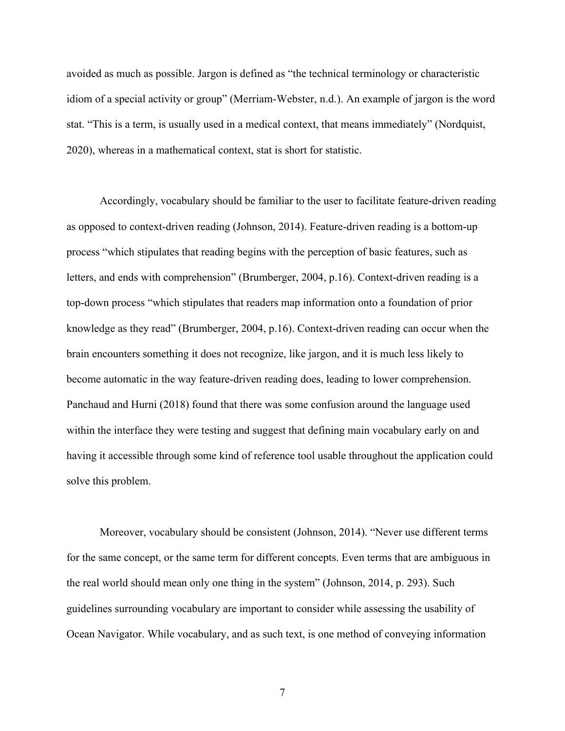avoided as much as possible. Jargon is defined as "the technical terminology or characteristic idiom of a special activity or group" (Merriam-Webster, n.d.). An example of jargon is the word stat. "This is a term, is usually used in a medical context, that means immediately" (Nordquist, 2020), whereas in a mathematical context, stat is short for statistic.

Accordingly, vocabulary should be familiar to the user to facilitate feature-driven reading as opposed to context-driven reading (Johnson, 2014). Feature-driven reading is a bottom-up process "which stipulates that reading begins with the perception of basic features, such as letters, and ends with comprehension" (Brumberger, 2004, p.16). Context-driven reading is a top-down process "which stipulates that readers map information onto a foundation of prior knowledge as they read" (Brumberger, 2004, p.16). Context-driven reading can occur when the brain encounters something it does not recognize, like jargon, and it is much less likely to become automatic in the way feature-driven reading does, leading to lower comprehension. Panchaud and Hurni (2018) found that there was some confusion around the language used within the interface they were testing and suggest that defining main vocabulary early on and having it accessible through some kind of reference tool usable throughout the application could solve this problem.

Moreover, vocabulary should be consistent (Johnson, 2014). "Never use different terms for the same concept, or the same term for different concepts. Even terms that are ambiguous in the real world should mean only one thing in the system" (Johnson, 2014, p. 293). Such guidelines surrounding vocabulary are important to consider while assessing the usability of Ocean Navigator. While vocabulary, and as such text, is one method of conveying information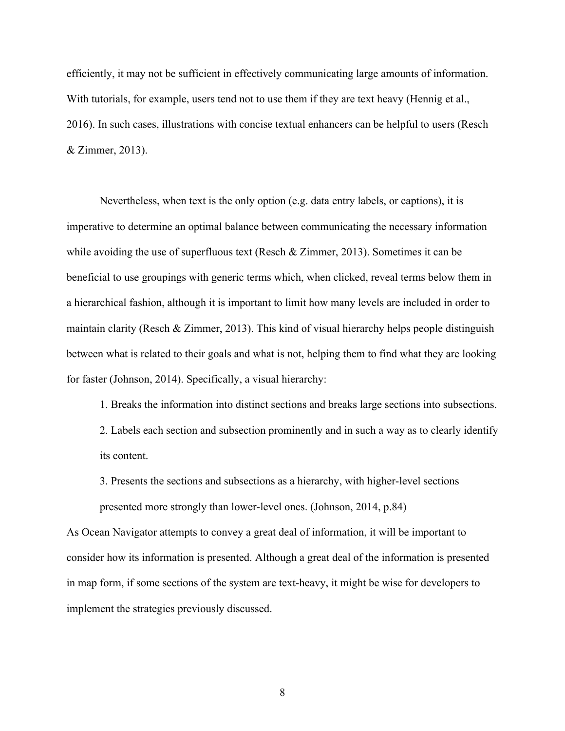efficiently, it may not be sufficient in effectively communicating large amounts of information. With tutorials, for example, users tend not to use them if they are text heavy (Hennig et al., 2016). In such cases, illustrations with concise textual enhancers can be helpful to users (Resch & Zimmer, 2013).

Nevertheless, when text is the only option (e.g. data entry labels, or captions), it is imperative to determine an optimal balance between communicating the necessary information while avoiding the use of superfluous text (Resch & Zimmer, 2013). Sometimes it can be beneficial to use groupings with generic terms which, when clicked, reveal terms below them in a hierarchical fashion, although it is important to limit how many levels are included in order to maintain clarity (Resch & Zimmer, 2013). This kind of visual hierarchy helps people distinguish between what is related to their goals and what is not, helping them to find what they are looking for faster (Johnson, 2014). Specifically, a visual hierarchy:

1. Breaks the information into distinct sections and breaks large sections into subsections. 2. Labels each section and subsection prominently and in such a way as to clearly identify its content.

3. Presents the sections and subsections as a hierarchy, with higher-level sections presented more strongly than lower-level ones. (Johnson, 2014, p.84)

As Ocean Navigator attempts to convey a great deal of information, it will be important to consider how its information is presented. Although a great deal of the information is presented in map form, if some sections of the system are text-heavy, it might be wise for developers to implement the strategies previously discussed.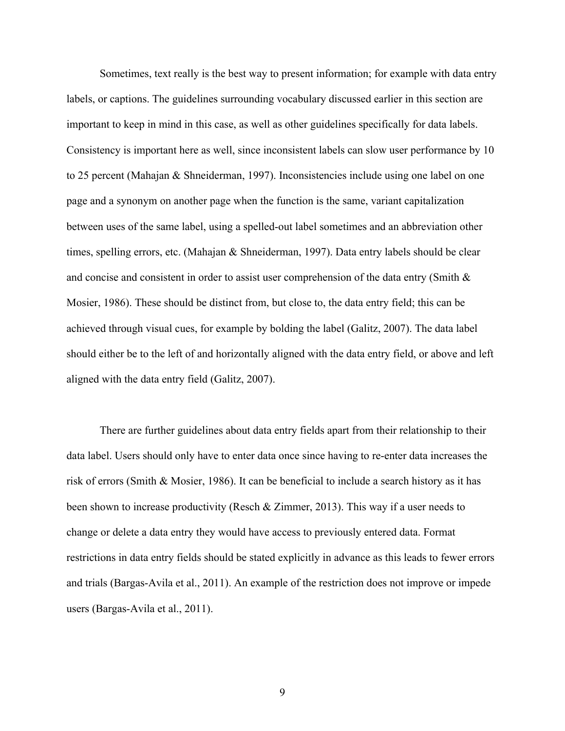Sometimes, text really is the best way to present information; for example with data entry labels, or captions. The guidelines surrounding vocabulary discussed earlier in this section are important to keep in mind in this case, as well as other guidelines specifically for data labels. Consistency is important here as well, since inconsistent labels can slow user performance by 10 to 25 percent (Mahajan & Shneiderman, 1997). Inconsistencies include using one label on one page and a synonym on another page when the function is the same, variant capitalization between uses of the same label, using a spelled-out label sometimes and an abbreviation other times, spelling errors, etc. (Mahajan & Shneiderman, 1997). Data entry labels should be clear and concise and consistent in order to assist user comprehension of the data entry (Smith & Mosier, 1986). These should be distinct from, but close to, the data entry field; this can be achieved through visual cues, for example by bolding the label (Galitz, 2007). The data label should either be to the left of and horizontally aligned with the data entry field, or above and left aligned with the data entry field (Galitz, 2007).

There are further guidelines about data entry fields apart from their relationship to their data label. Users should only have to enter data once since having to re-enter data increases the risk of errors (Smith & Mosier, 1986). It can be beneficial to include a search history as it has been shown to increase productivity (Resch & Zimmer, 2013). This way if a user needs to change or delete a data entry they would have access to previously entered data. Format restrictions in data entry fields should be stated explicitly in advance as this leads to fewer errors and trials (Bargas-Avila et al., 2011). An example of the restriction does not improve or impede users (Bargas-Avila et al., 2011).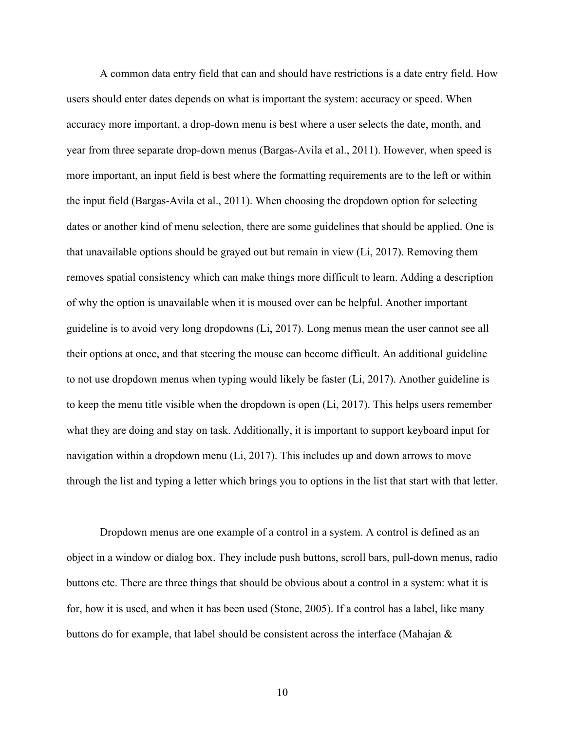A common data entry field that can and should have restrictions is a date entry field. How users should enter dates depends on what is important the system: accuracy or speed. When accuracy more important, a drop-down menu is best where a user selects the date, month, and year from three separate drop-down menus (Bargas-Avila et al., 2011). However, when speed is more important, an input field is best where the formatting requirements are to the left or within the input field (Bargas-Avila et al., 2011). When choosing the dropdown option for selecting dates or another kind of menu selection, there are some guidelines that should be applied. One is that unavailable options should be grayed out but remain in view (Li, 2017). Removing them removes spatial consistency which can make things more difficult to learn. Adding a description of why the option is unavailable when it is moused over can be helpful. Another important guideline is to avoid very long dropdowns (Li, 2017). Long menus mean the user cannot see all their options at once, and that steering the mouse can become difficult. An additional guideline to not use dropdown menus when typing would likely be faster (Li, 2017). Another guideline is to keep the menu title visible when the dropdown is open (Li, 2017). This helps users remember what they are doing and stay on task. Additionally, it is important to support keyboard input for navigation within a dropdown menu (Li, 2017). This includes up and down arrows to move through the list and typing a letter which brings you to options in the list that start with that letter.

Dropdown menus are one example of a control in a system. A control is defined as an object in a window or dialog box. They include push buttons, scroll bars, pull-down menus, radio buttons etc. There are three things that should be obvious about a control in a system: what it is for, how it is used, and when it has been used (Stone, 2005). If a control has a label, like many buttons do for example, that label should be consistent across the interface (Mahajan &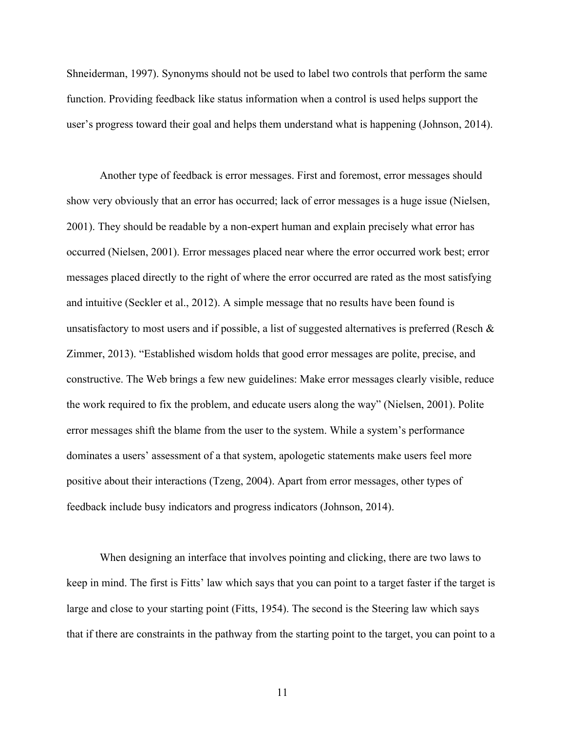Shneiderman, 1997). Synonyms should not be used to label two controls that perform the same function. Providing feedback like status information when a control is used helps support the user's progress toward their goal and helps them understand what is happening (Johnson, 2014).

Another type of feedback is error messages. First and foremost, error messages should show very obviously that an error has occurred; lack of error messages is a huge issue (Nielsen, 2001). They should be readable by a non-expert human and explain precisely what error has occurred (Nielsen, 2001). Error messages placed near where the error occurred work best; error messages placed directly to the right of where the error occurred are rated as the most satisfying and intuitive (Seckler et al., 2012). A simple message that no results have been found is unsatisfactory to most users and if possible, a list of suggested alternatives is preferred (Resch & Zimmer, 2013). "Established wisdom holds that good error messages are polite, precise, and constructive. The Web brings a few new guidelines: Make error messages clearly visible, reduce the work required to fix the problem, and educate users along the way" (Nielsen, 2001). Polite error messages shift the blame from the user to the system. While a system's performance dominates a users' assessment of a that system, apologetic statements make users feel more positive about their interactions (Tzeng, 2004). Apart from error messages, other types of feedback include busy indicators and progress indicators (Johnson, 2014).

When designing an interface that involves pointing and clicking, there are two laws to keep in mind. The first is Fitts' law which says that you can point to a target faster if the target is large and close to your starting point (Fitts, 1954). The second is the Steering law which says that if there are constraints in the pathway from the starting point to the target, you can point to a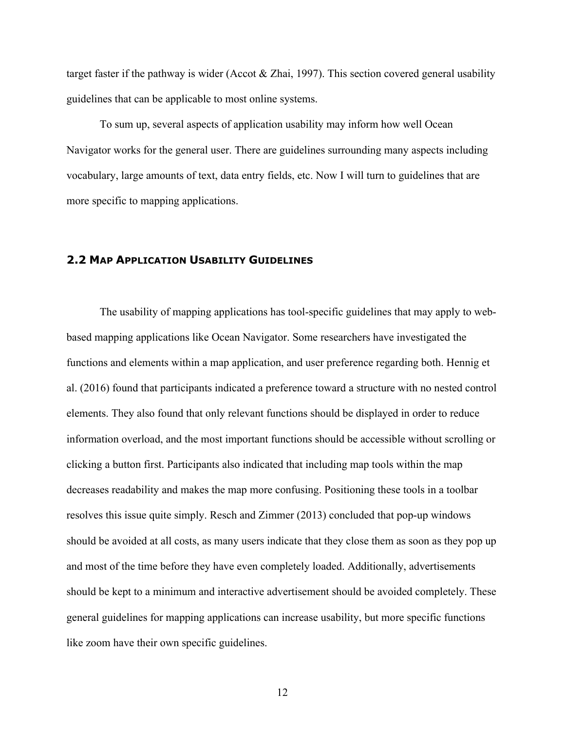target faster if the pathway is wider (Accot & Zhai, 1997). This section covered general usability guidelines that can be applicable to most online systems.

To sum up, several aspects of application usability may inform how well Ocean Navigator works for the general user. There are guidelines surrounding many aspects including vocabulary, large amounts of text, data entry fields, etc. Now I will turn to guidelines that are more specific to mapping applications.

#### **2.2 MAP APPLICATION USABILITY GUIDELINES**

The usability of mapping applications has tool-specific guidelines that may apply to webbased mapping applications like Ocean Navigator. Some researchers have investigated the functions and elements within a map application, and user preference regarding both. Hennig et al. (2016) found that participants indicated a preference toward a structure with no nested control elements. They also found that only relevant functions should be displayed in order to reduce information overload, and the most important functions should be accessible without scrolling or clicking a button first. Participants also indicated that including map tools within the map decreases readability and makes the map more confusing. Positioning these tools in a toolbar resolves this issue quite simply. Resch and Zimmer (2013) concluded that pop-up windows should be avoided at all costs, as many users indicate that they close them as soon as they pop up and most of the time before they have even completely loaded. Additionally, advertisements should be kept to a minimum and interactive advertisement should be avoided completely. These general guidelines for mapping applications can increase usability, but more specific functions like zoom have their own specific guidelines.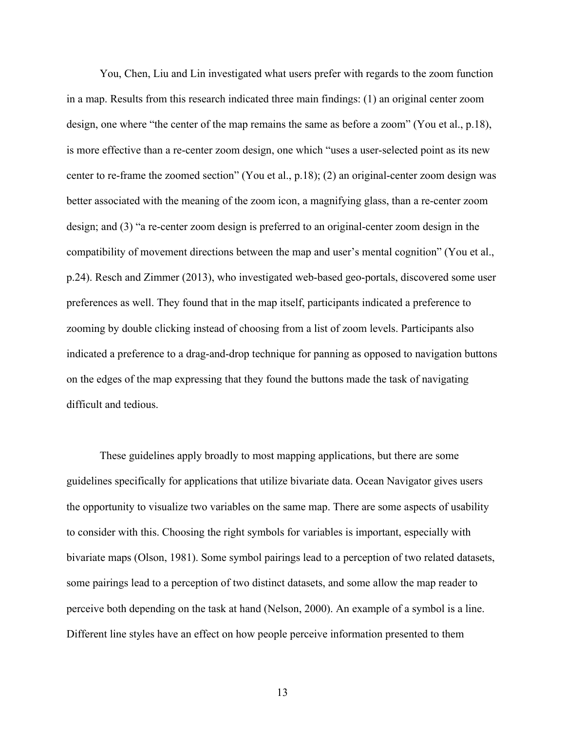You, Chen, Liu and Lin investigated what users prefer with regards to the zoom function in a map. Results from this research indicated three main findings: (1) an original center zoom design, one where "the center of the map remains the same as before a zoom" (You et al., p.18), is more effective than a re-center zoom design, one which "uses a user-selected point as its new center to re-frame the zoomed section" (You et al., p.18); (2) an original-center zoom design was better associated with the meaning of the zoom icon, a magnifying glass, than a re-center zoom design; and (3) "a re-center zoom design is preferred to an original-center zoom design in the compatibility of movement directions between the map and user's mental cognition" (You et al., p.24). Resch and Zimmer (2013), who investigated web-based geo-portals, discovered some user preferences as well. They found that in the map itself, participants indicated a preference to zooming by double clicking instead of choosing from a list of zoom levels. Participants also indicated a preference to a drag-and-drop technique for panning as opposed to navigation buttons on the edges of the map expressing that they found the buttons made the task of navigating difficult and tedious.

These guidelines apply broadly to most mapping applications, but there are some guidelines specifically for applications that utilize bivariate data. Ocean Navigator gives users the opportunity to visualize two variables on the same map. There are some aspects of usability to consider with this. Choosing the right symbols for variables is important, especially with bivariate maps (Olson, 1981). Some symbol pairings lead to a perception of two related datasets, some pairings lead to a perception of two distinct datasets, and some allow the map reader to perceive both depending on the task at hand (Nelson, 2000). An example of a symbol is a line. Different line styles have an effect on how people perceive information presented to them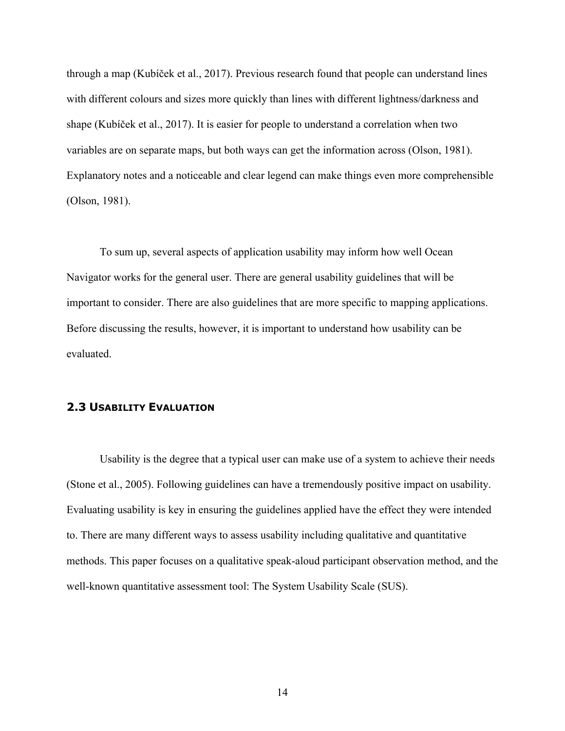through a map (Kubíček et al., 2017). Previous research found that people can understand lines with different colours and sizes more quickly than lines with different lightness/darkness and shape (Kubíček et al., 2017). It is easier for people to understand a correlation when two variables are on separate maps, but both ways can get the information across (Olson, 1981). Explanatory notes and a noticeable and clear legend can make things even more comprehensible (Olson, 1981).

To sum up, several aspects of application usability may inform how well Ocean Navigator works for the general user. There are general usability guidelines that will be important to consider. There are also guidelines that are more specific to mapping applications. Before discussing the results, however, it is important to understand how usability can be evaluated.

#### **2.3 USABILITY EVALUATION**

Usability is the degree that a typical user can make use of a system to achieve their needs (Stone et al., 2005). Following guidelines can have a tremendously positive impact on usability. Evaluating usability is key in ensuring the guidelines applied have the effect they were intended to. There are many different ways to assess usability including qualitative and quantitative methods. This paper focuses on a qualitative speak-aloud participant observation method, and the well-known quantitative assessment tool: The System Usability Scale (SUS).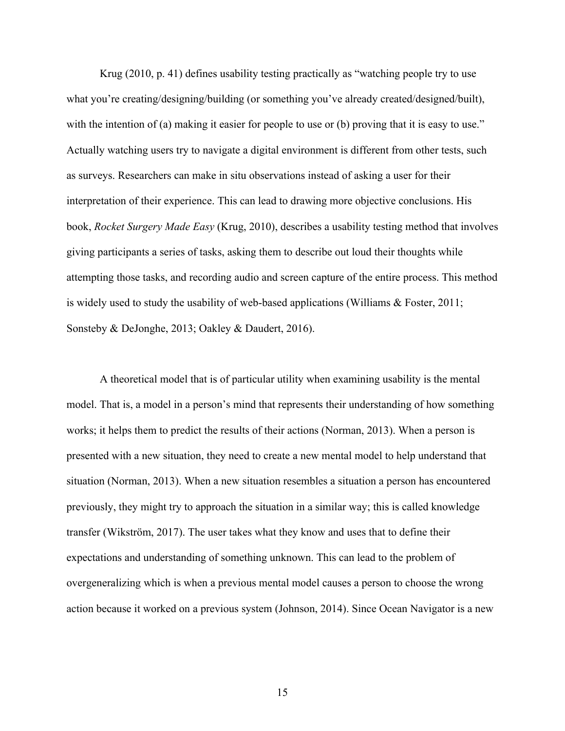Krug (2010, p. 41) defines usability testing practically as "watching people try to use what you're creating/designing/building (or something you've already created/designed/built), with the intention of (a) making it easier for people to use or (b) proving that it is easy to use." Actually watching users try to navigate a digital environment is different from other tests, such as surveys. Researchers can make in situ observations instead of asking a user for their interpretation of their experience. This can lead to drawing more objective conclusions. His book, *Rocket Surgery Made Easy* (Krug, 2010), describes a usability testing method that involves giving participants a series of tasks, asking them to describe out loud their thoughts while attempting those tasks, and recording audio and screen capture of the entire process. This method is widely used to study the usability of web-based applications (Williams & Foster, 2011; Sonsteby & DeJonghe, 2013; Oakley & Daudert, 2016).

A theoretical model that is of particular utility when examining usability is the mental model. That is, a model in a person's mind that represents their understanding of how something works; it helps them to predict the results of their actions (Norman, 2013). When a person is presented with a new situation, they need to create a new mental model to help understand that situation (Norman, 2013). When a new situation resembles a situation a person has encountered previously, they might try to approach the situation in a similar way; this is called knowledge transfer (Wikström, 2017). The user takes what they know and uses that to define their expectations and understanding of something unknown. This can lead to the problem of overgeneralizing which is when a previous mental model causes a person to choose the wrong action because it worked on a previous system (Johnson, 2014). Since Ocean Navigator is a new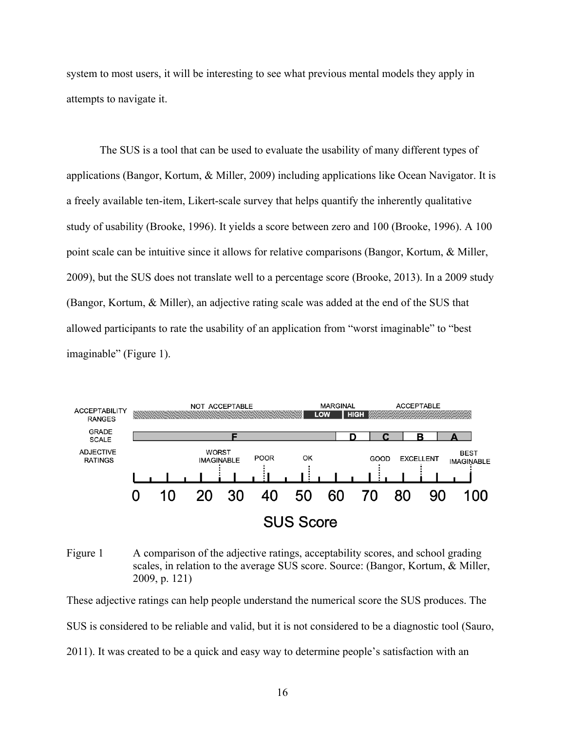system to most users, it will be interesting to see what previous mental models they apply in attempts to navigate it.

The SUS is a tool that can be used to evaluate the usability of many different types of applications (Bangor, Kortum, & Miller, 2009) including applications like Ocean Navigator. It is a freely available ten-item, Likert-scale survey that helps quantify the inherently qualitative study of usability (Brooke, 1996). It yields a score between zero and 100 (Brooke, 1996). A 100 point scale can be intuitive since it allows for relative comparisons (Bangor, Kortum, & Miller, 2009), but the SUS does not translate well to a percentage score (Brooke, 2013). In a 2009 study (Bangor, Kortum, & Miller), an adjective rating scale was added at the end of the SUS that allowed participants to rate the usability of an application from "worst imaginable" to "best imaginable" (Figure 1).



Figure 1 A comparison of the adjective ratings, acceptability scores, and school grading scales, in relation to the average SUS score. Source: (Bangor, Kortum, & Miller, 2009, p. 121)

These adjective ratings can help people understand the numerical score the SUS produces. The SUS is considered to be reliable and valid, but it is not considered to be a diagnostic tool (Sauro, 2011). It was created to be a quick and easy way to determine people's satisfaction with an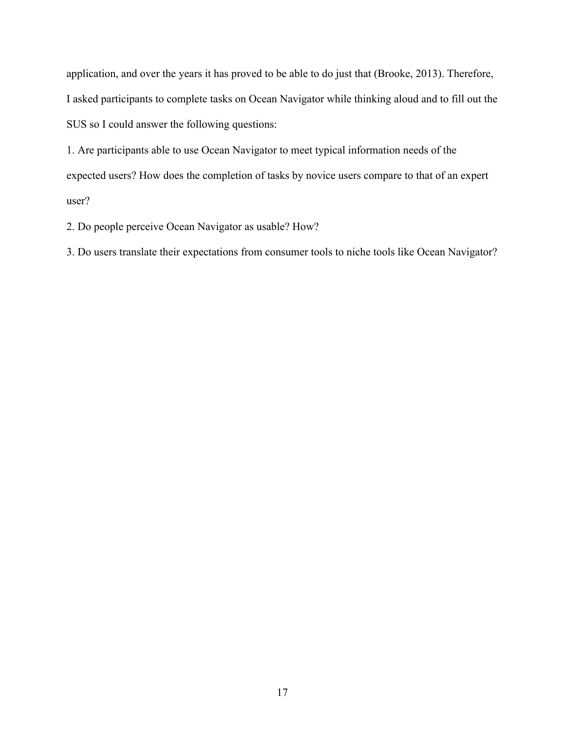application, and over the years it has proved to be able to do just that (Brooke, 2013). Therefore, I asked participants to complete tasks on Ocean Navigator while thinking aloud and to fill out the SUS so I could answer the following questions:

1. Are participants able to use Ocean Navigator to meet typical information needs of the expected users? How does the completion of tasks by novice users compare to that of an expert user?

2. Do people perceive Ocean Navigator as usable? How?

3. Do users translate their expectations from consumer tools to niche tools like Ocean Navigator?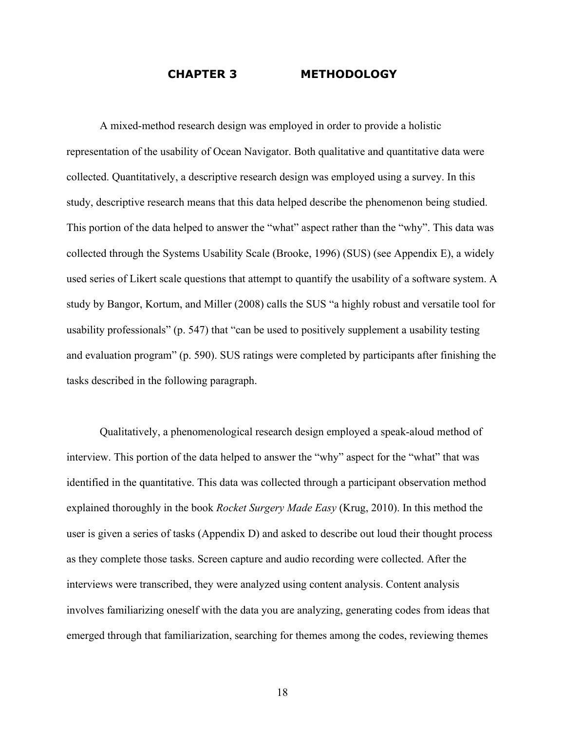#### **CHAPTER 3 METHODOLOGY**

A mixed-method research design was employed in order to provide a holistic representation of the usability of Ocean Navigator. Both qualitative and quantitative data were collected. Quantitatively, a descriptive research design was employed using a survey. In this study, descriptive research means that this data helped describe the phenomenon being studied. This portion of the data helped to answer the "what" aspect rather than the "why". This data was collected through the Systems Usability Scale (Brooke, 1996) (SUS) (see Appendix E), a widely used series of Likert scale questions that attempt to quantify the usability of a software system. A study by Bangor, Kortum, and Miller (2008) calls the SUS "a highly robust and versatile tool for usability professionals" (p. 547) that "can be used to positively supplement a usability testing and evaluation program" (p. 590). SUS ratings were completed by participants after finishing the tasks described in the following paragraph.

Qualitatively, a phenomenological research design employed a speak-aloud method of interview. This portion of the data helped to answer the "why" aspect for the "what" that was identified in the quantitative. This data was collected through a participant observation method explained thoroughly in the book *Rocket Surgery Made Easy* (Krug, 2010). In this method the user is given a series of tasks (Appendix D) and asked to describe out loud their thought process as they complete those tasks. Screen capture and audio recording were collected. After the interviews were transcribed, they were analyzed using content analysis. Content analysis involves familiarizing oneself with the data you are analyzing, generating codes from ideas that emerged through that familiarization, searching for themes among the codes, reviewing themes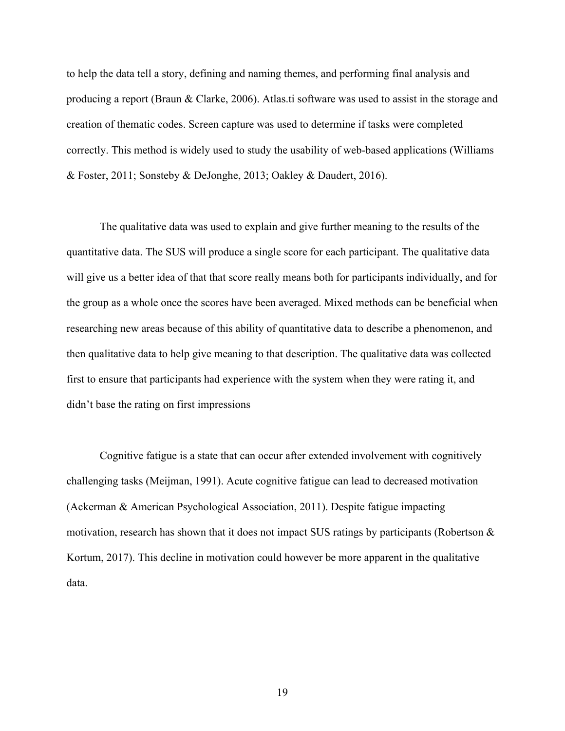to help the data tell a story, defining and naming themes, and performing final analysis and producing a report (Braun & Clarke, 2006). Atlas.ti software was used to assist in the storage and creation of thematic codes. Screen capture was used to determine if tasks were completed correctly. This method is widely used to study the usability of web-based applications (Williams & Foster, 2011; Sonsteby & DeJonghe, 2013; Oakley & Daudert, 2016).

The qualitative data was used to explain and give further meaning to the results of the quantitative data. The SUS will produce a single score for each participant. The qualitative data will give us a better idea of that that score really means both for participants individually, and for the group as a whole once the scores have been averaged. Mixed methods can be beneficial when researching new areas because of this ability of quantitative data to describe a phenomenon, and then qualitative data to help give meaning to that description. The qualitative data was collected first to ensure that participants had experience with the system when they were rating it, and didn't base the rating on first impressions

Cognitive fatigue is a state that can occur after extended involvement with cognitively challenging tasks (Meijman, 1991). Acute cognitive fatigue can lead to decreased motivation (Ackerman & American Psychological Association, 2011). Despite fatigue impacting motivation, research has shown that it does not impact SUS ratings by participants (Robertson & Kortum, 2017). This decline in motivation could however be more apparent in the qualitative data.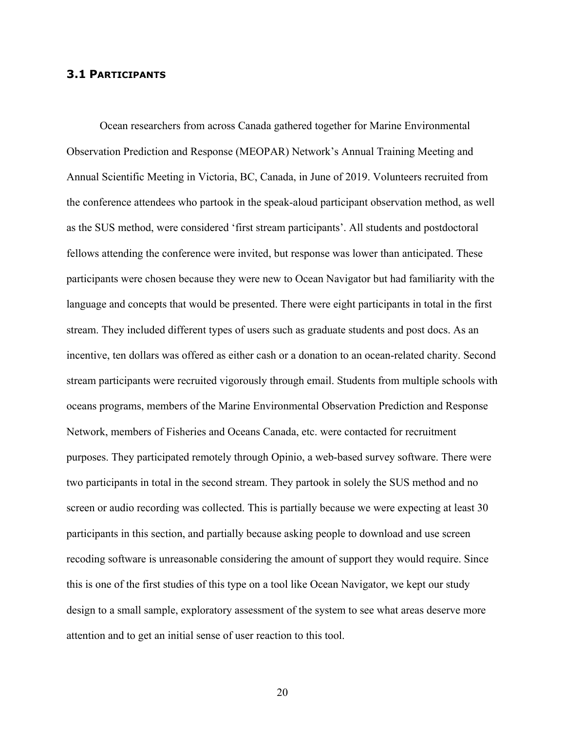#### **3.1 PARTICIPANTS**

Ocean researchers from across Canada gathered together for Marine Environmental Observation Prediction and Response (MEOPAR) Network's Annual Training Meeting and Annual Scientific Meeting in Victoria, BC, Canada, in June of 2019. Volunteers recruited from the conference attendees who partook in the speak-aloud participant observation method, as well as the SUS method, were considered 'first stream participants'. All students and postdoctoral fellows attending the conference were invited, but response was lower than anticipated. These participants were chosen because they were new to Ocean Navigator but had familiarity with the language and concepts that would be presented. There were eight participants in total in the first stream. They included different types of users such as graduate students and post docs. As an incentive, ten dollars was offered as either cash or a donation to an ocean-related charity. Second stream participants were recruited vigorously through email. Students from multiple schools with oceans programs, members of the Marine Environmental Observation Prediction and Response Network, members of Fisheries and Oceans Canada, etc. were contacted for recruitment purposes. They participated remotely through Opinio, a web-based survey software. There were two participants in total in the second stream. They partook in solely the SUS method and no screen or audio recording was collected. This is partially because we were expecting at least 30 participants in this section, and partially because asking people to download and use screen recoding software is unreasonable considering the amount of support they would require. Since this is one of the first studies of this type on a tool like Ocean Navigator, we kept our study design to a small sample, exploratory assessment of the system to see what areas deserve more attention and to get an initial sense of user reaction to this tool.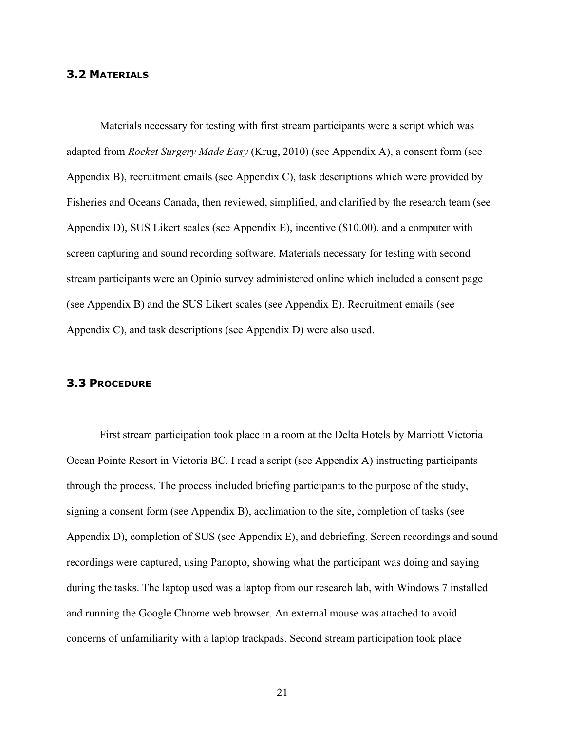#### **3.2 MATERIALS**

Materials necessary for testing with first stream participants were a script which was adapted from *Rocket Surgery Made Easy* (Krug, 2010) (see Appendix A), a consent form (see Appendix B), recruitment emails (see Appendix C), task descriptions which were provided by Fisheries and Oceans Canada, then reviewed, simplified, and clarified by the research team (see Appendix D), SUS Likert scales (see Appendix E), incentive (\$10.00), and a computer with screen capturing and sound recording software. Materials necessary for testing with second stream participants were an Opinio survey administered online which included a consent page (see Appendix B) and the SUS Likert scales (see Appendix E). Recruitment emails (see Appendix C), and task descriptions (see Appendix D) were also used.

#### **3.3 PROCEDURE**

First stream participation took place in a room at the Delta Hotels by Marriott Victoria Ocean Pointe Resort in Victoria BC. I read a script (see Appendix A) instructing participants through the process. The process included briefing participants to the purpose of the study, signing a consent form (see Appendix B), acclimation to the site, completion of tasks (see Appendix D), completion of SUS (see Appendix E), and debriefing. Screen recordings and sound recordings were captured, using Panopto, showing what the participant was doing and saying during the tasks. The laptop used was a laptop from our research lab, with Windows 7 installed and running the Google Chrome web browser. An external mouse was attached to avoid concerns of unfamiliarity with a laptop trackpads. Second stream participation took place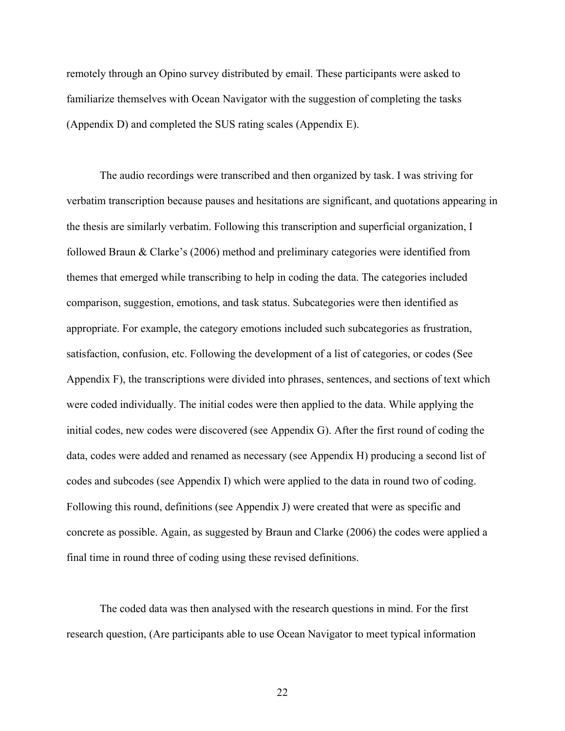remotely through an Opino survey distributed by email. These participants were asked to familiarize themselves with Ocean Navigator with the suggestion of completing the tasks (Appendix D) and completed the SUS rating scales (Appendix E).

The audio recordings were transcribed and then organized by task. I was striving for verbatim transcription because pauses and hesitations are significant, and quotations appearing in the thesis are similarly verbatim. Following this transcription and superficial organization, I followed Braun & Clarke's (2006) method and preliminary categories were identified from themes that emerged while transcribing to help in coding the data. The categories included comparison, suggestion, emotions, and task status. Subcategories were then identified as appropriate. For example, the category emotions included such subcategories as frustration, satisfaction, confusion, etc. Following the development of a list of categories, or codes (See Appendix F), the transcriptions were divided into phrases, sentences, and sections of text which were coded individually. The initial codes were then applied to the data. While applying the initial codes, new codes were discovered (see Appendix G). After the first round of coding the data, codes were added and renamed as necessary (see Appendix H) producing a second list of codes and subcodes (see Appendix I) which were applied to the data in round two of coding. Following this round, definitions (see Appendix J) were created that were as specific and concrete as possible. Again, as suggested by Braun and Clarke (2006) the codes were applied a final time in round three of coding using these revised definitions.

The coded data was then analysed with the research questions in mind. For the first research question, (Are participants able to use Ocean Navigator to meet typical information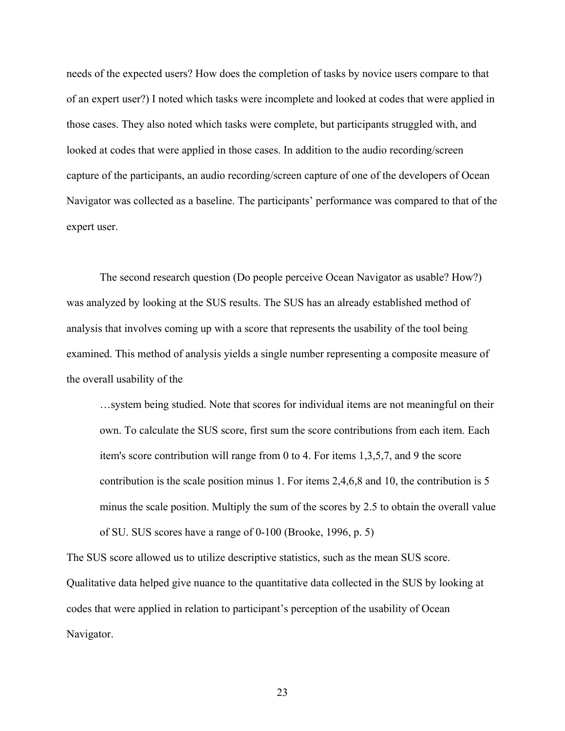needs of the expected users? How does the completion of tasks by novice users compare to that of an expert user?) I noted which tasks were incomplete and looked at codes that were applied in those cases. They also noted which tasks were complete, but participants struggled with, and looked at codes that were applied in those cases. In addition to the audio recording/screen capture of the participants, an audio recording/screen capture of one of the developers of Ocean Navigator was collected as a baseline. The participants' performance was compared to that of the expert user.

The second research question (Do people perceive Ocean Navigator as usable? How?) was analyzed by looking at the SUS results. The SUS has an already established method of analysis that involves coming up with a score that represents the usability of the tool being examined. This method of analysis yields a single number representing a composite measure of the overall usability of the

…system being studied. Note that scores for individual items are not meaningful on their own. To calculate the SUS score, first sum the score contributions from each item. Each item's score contribution will range from 0 to 4. For items 1,3,5,7, and 9 the score contribution is the scale position minus 1. For items 2,4,6,8 and 10, the contribution is 5 minus the scale position. Multiply the sum of the scores by 2.5 to obtain the overall value of SU. SUS scores have a range of 0-100 (Brooke, 1996, p. 5)

The SUS score allowed us to utilize descriptive statistics, such as the mean SUS score. Qualitative data helped give nuance to the quantitative data collected in the SUS by looking at codes that were applied in relation to participant's perception of the usability of Ocean Navigator.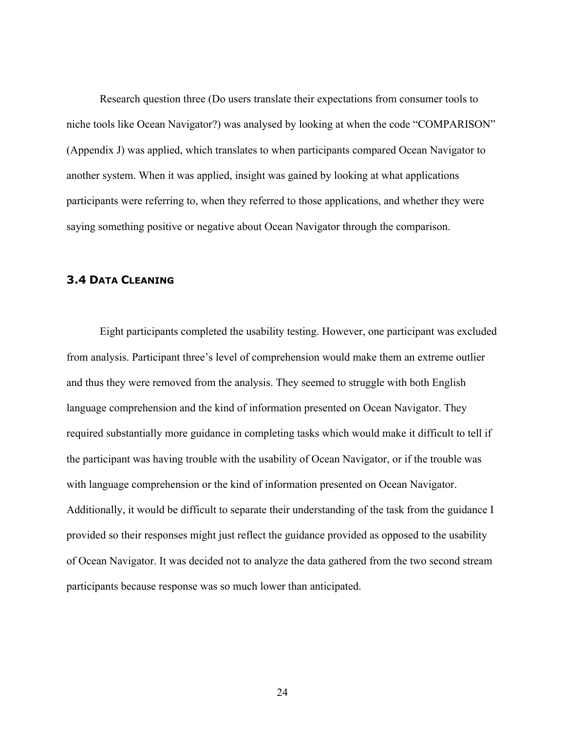Research question three (Do users translate their expectations from consumer tools to niche tools like Ocean Navigator?) was analysed by looking at when the code "COMPARISON" (Appendix J) was applied, which translates to when participants compared Ocean Navigator to another system. When it was applied, insight was gained by looking at what applications participants were referring to, when they referred to those applications, and whether they were saying something positive or negative about Ocean Navigator through the comparison.

#### **3.4 DATA CLEANING**

Eight participants completed the usability testing. However, one participant was excluded from analysis. Participant three's level of comprehension would make them an extreme outlier and thus they were removed from the analysis. They seemed to struggle with both English language comprehension and the kind of information presented on Ocean Navigator. They required substantially more guidance in completing tasks which would make it difficult to tell if the participant was having trouble with the usability of Ocean Navigator, or if the trouble was with language comprehension or the kind of information presented on Ocean Navigator. Additionally, it would be difficult to separate their understanding of the task from the guidance I provided so their responses might just reflect the guidance provided as opposed to the usability of Ocean Navigator. It was decided not to analyze the data gathered from the two second stream participants because response was so much lower than anticipated.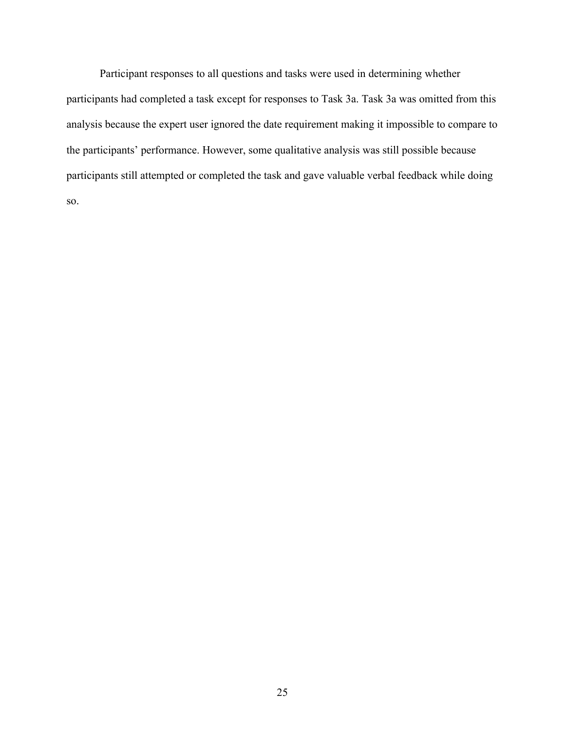Participant responses to all questions and tasks were used in determining whether participants had completed a task except for responses to Task 3a. Task 3a was omitted from this analysis because the expert user ignored the date requirement making it impossible to compare to the participants' performance. However, some qualitative analysis was still possible because participants still attempted or completed the task and gave valuable verbal feedback while doing so.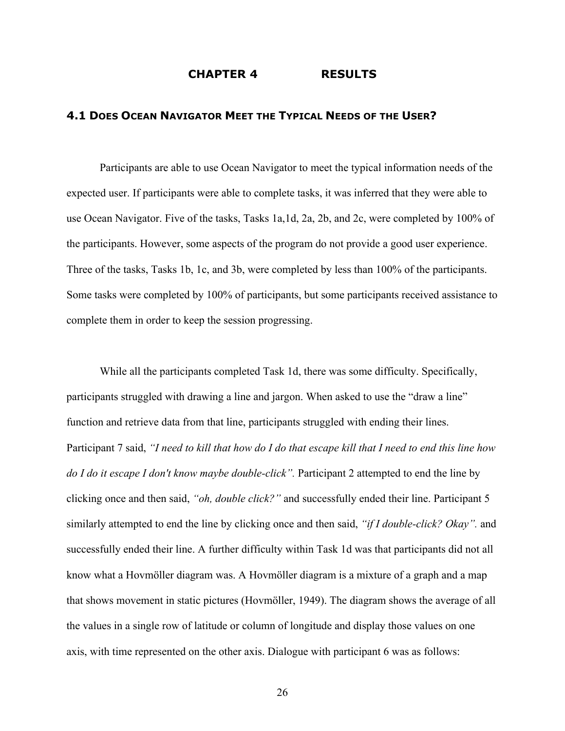#### **CHAPTER 4 RESULTS**

#### **4.1 DOES OCEAN NAVIGATOR MEET THE TYPICAL NEEDS OF THE USER?**

Participants are able to use Ocean Navigator to meet the typical information needs of the expected user. If participants were able to complete tasks, it was inferred that they were able to use Ocean Navigator. Five of the tasks, Tasks 1a,1d, 2a, 2b, and 2c, were completed by 100% of the participants. However, some aspects of the program do not provide a good user experience. Three of the tasks, Tasks 1b, 1c, and 3b, were completed by less than 100% of the participants. Some tasks were completed by 100% of participants, but some participants received assistance to complete them in order to keep the session progressing.

While all the participants completed Task 1d, there was some difficulty. Specifically, participants struggled with drawing a line and jargon. When asked to use the "draw a line" function and retrieve data from that line, participants struggled with ending their lines. Participant 7 said, *"I need to kill that how do I do that escape kill that I need to end this line how do I do it escape I don't know maybe double-click".* Participant 2 attempted to end the line by clicking once and then said, *"oh, double click?"* and successfully ended their line. Participant 5 similarly attempted to end the line by clicking once and then said, *"if I double-click? Okay".* and successfully ended their line. A further difficulty within Task 1d was that participants did not all know what a Hovmöller diagram was. A Hovmöller diagram is a mixture of a graph and a map that shows movement in static pictures (Hovmöller, 1949). The diagram shows the average of all the values in a single row of latitude or column of longitude and display those values on one axis, with time represented on the other axis. Dialogue with participant 6 was as follows: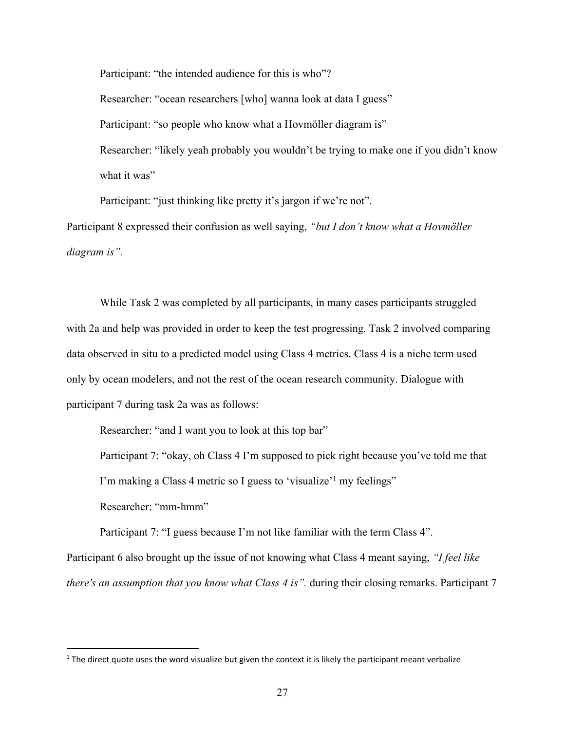Participant: "the intended audience for this is who"? Researcher: "ocean researchers [who] wanna look at data I guess" Participant: "so people who know what a Hovmöller diagram is" Researcher: "likely yeah probably you wouldn't be trying to make one if you didn't know what it was"

Participant: "just thinking like pretty it's jargon if we're not".

Participant 8 expressed their confusion as well saying, *"but I don't know what a Hovmöller diagram is".*

While Task 2 was completed by all participants, in many cases participants struggled with 2a and help was provided in order to keep the test progressing. Task 2 involved comparing data observed in situ to a predicted model using Class 4 metrics. Class 4 is a niche term used only by ocean modelers, and not the rest of the ocean research community. Dialogue with participant 7 during task 2a was as follows:

Researcher: "and I want you to look at this top bar"

Participant 7: "okay, oh Class 4 I'm supposed to pick right because you've told me that I'm making a Class 4 metric so I guess to 'visualize'<sup>1</sup> my feelings" Researcher: "mm-hmm"

Participant 7: "I guess because I'm not like familiar with the term Class 4".

Participant 6 also brought up the issue of not knowing what Class 4 meant saying, *"I feel like there's an assumption that you know what Class 4 is".* during their closing remarks. Participant 7

 $1$  The direct quote uses the word visualize but given the context it is likely the participant meant verbalize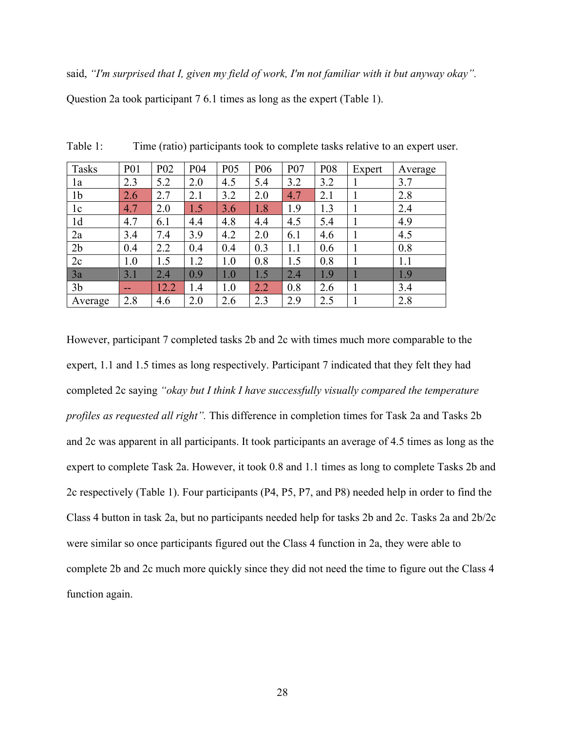said, *"I'm surprised that I, given my field of work, I'm not familiar with it but anyway okay".* Question 2a took participant 7 6.1 times as long as the expert (Table 1).

| <b>Tasks</b>   | P <sub>0</sub> 1 | P <sub>0</sub> 2 | P04 | P <sub>05</sub> | P <sub>06</sub> | P07 | P08 | Expert | Average |
|----------------|------------------|------------------|-----|-----------------|-----------------|-----|-----|--------|---------|
| 1a             | 2.3              | 5.2              | 2.0 | 4.5             | 5.4             | 3.2 | 3.2 |        | 3.7     |
| 1b             | 2.6              | 2.7              | 2.1 | 3.2             | 2.0             | 4.7 | 2.1 |        | 2.8     |
| 1c             | 4.7              | 2.0              | 1.5 | 3.6             | 1.8             | 1.9 | 1.3 |        | 2.4     |
| 1d             | 4.7              | 6.1              | 4.4 | 4.8             | 4.4             | 4.5 | 5.4 |        | 4.9     |
| 2a             | 3.4              | 7.4              | 3.9 | 4.2             | 2.0             | 6.1 | 4.6 |        | 4.5     |
| 2 <sub>b</sub> | 0.4              | 2.2              | 0.4 | 0.4             | 0.3             | 1.1 | 0.6 |        | 0.8     |
| 2c             | 1.0              | 1.5              | 1.2 | 1.0             | 0.8             | 1.5 | 0.8 |        | 1.1     |
| 3a             | 3.1              | 2.4              | 0.9 | 1.0             | 1.5             | 2.4 | 1.9 |        | 1.9     |
| 3 <sub>b</sub> | $- -$            | 12.2             | 1.4 | 1.0             | 2.2             | 0.8 | 2.6 |        | 3.4     |
| Average        | 2.8              | 4.6              | 2.0 | 2.6             | 2.3             | 2.9 | 2.5 |        | 2.8     |

Table 1: Time (ratio) participants took to complete tasks relative to an expert user.

However, participant 7 completed tasks 2b and 2c with times much more comparable to the expert, 1.1 and 1.5 times as long respectively. Participant 7 indicated that they felt they had completed 2c saying *"okay but I think I have successfully visually compared the temperature profiles as requested all right".* This difference in completion times for Task 2a and Tasks 2b and 2c was apparent in all participants. It took participants an average of 4.5 times as long as the expert to complete Task 2a. However, it took 0.8 and 1.1 times as long to complete Tasks 2b and 2c respectively (Table 1). Four participants (P4, P5, P7, and P8) needed help in order to find the Class 4 button in task 2a, but no participants needed help for tasks 2b and 2c. Tasks 2a and 2b/2c were similar so once participants figured out the Class 4 function in 2a, they were able to complete 2b and 2c much more quickly since they did not need the time to figure out the Class 4 function again.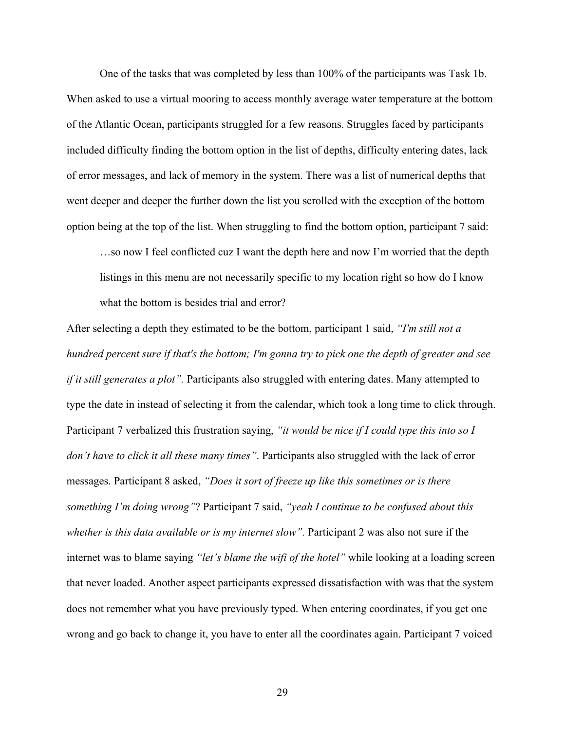One of the tasks that was completed by less than 100% of the participants was Task 1b. When asked to use a virtual mooring to access monthly average water temperature at the bottom of the Atlantic Ocean, participants struggled for a few reasons. Struggles faced by participants included difficulty finding the bottom option in the list of depths, difficulty entering dates, lack of error messages, and lack of memory in the system. There was a list of numerical depths that went deeper and deeper the further down the list you scrolled with the exception of the bottom option being at the top of the list. When struggling to find the bottom option, participant 7 said:

…so now I feel conflicted cuz I want the depth here and now I'm worried that the depth listings in this menu are not necessarily specific to my location right so how do I know what the bottom is besides trial and error?

After selecting a depth they estimated to be the bottom, participant 1 said, *"I'm still not a hundred percent sure if that's the bottom; I'm gonna try to pick one the depth of greater and see if it still generates a plot*". Participants also struggled with entering dates. Many attempted to type the date in instead of selecting it from the calendar, which took a long time to click through. Participant 7 verbalized this frustration saying, *"it would be nice if I could type this into so I don't have to click it all these many times"*. Participants also struggled with the lack of error messages. Participant 8 asked, *"Does it sort of freeze up like this sometimes or is there something I'm doing wrong"*? Participant 7 said, *"yeah I continue to be confused about this whether is this data available or is my internet slow".* Participant 2 was also not sure if the internet was to blame saying *"let's blame the wifi of the hotel"* while looking at a loading screen that never loaded. Another aspect participants expressed dissatisfaction with was that the system does not remember what you have previously typed. When entering coordinates, if you get one wrong and go back to change it, you have to enter all the coordinates again. Participant 7 voiced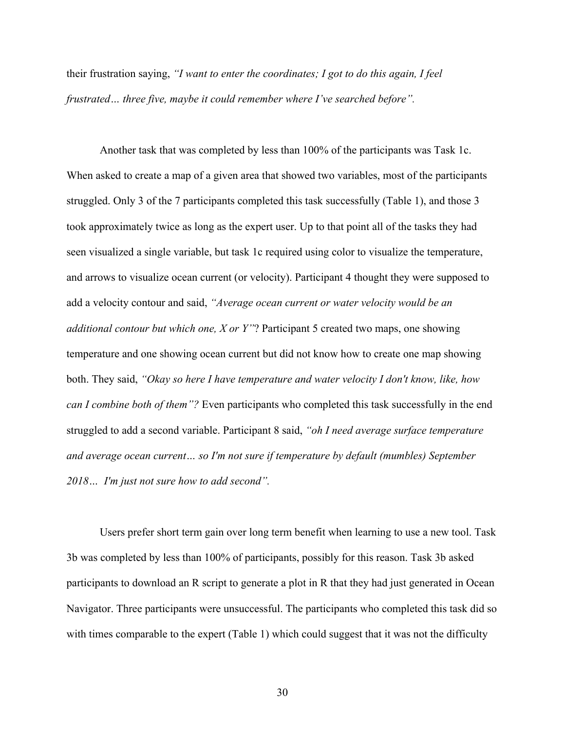their frustration saying, *"I want to enter the coordinates; I got to do this again, I feel frustrated… three five, maybe it could remember where I've searched before".*

Another task that was completed by less than 100% of the participants was Task 1c. When asked to create a map of a given area that showed two variables, most of the participants struggled. Only 3 of the 7 participants completed this task successfully (Table 1), and those 3 took approximately twice as long as the expert user. Up to that point all of the tasks they had seen visualized a single variable, but task 1c required using color to visualize the temperature, and arrows to visualize ocean current (or velocity). Participant 4 thought they were supposed to add a velocity contour and said, *"Average ocean current or water velocity would be an additional contour but which one, X or Y"*? Participant 5 created two maps, one showing temperature and one showing ocean current but did not know how to create one map showing both. They said, *"Okay so here I have temperature and water velocity I don't know, like, how can I combine both of them"?* Even participants who completed this task successfully in the end struggled to add a second variable. Participant 8 said, *"oh I need average surface temperature and average ocean current… so I'm not sure if temperature by default (mumbles) September 2018… I'm just not sure how to add second".*

Users prefer short term gain over long term benefit when learning to use a new tool. Task 3b was completed by less than 100% of participants, possibly for this reason. Task 3b asked participants to download an R script to generate a plot in R that they had just generated in Ocean Navigator. Three participants were unsuccessful. The participants who completed this task did so with times comparable to the expert (Table 1) which could suggest that it was not the difficulty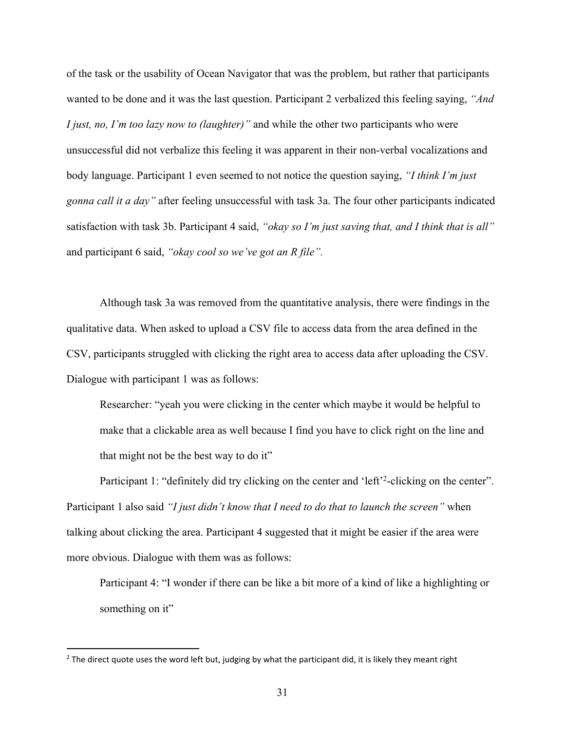of the task or the usability of Ocean Navigator that was the problem, but rather that participants wanted to be done and it was the last question. Participant 2 verbalized this feeling saying, *"And I just, no, I'm too lazy now to (laughter)"* and while the other two participants who were unsuccessful did not verbalize this feeling it was apparent in their non-verbal vocalizations and body language. Participant 1 even seemed to not notice the question saying, *"I think I'm just gonna call it a day"* after feeling unsuccessful with task 3a. The four other participants indicated satisfaction with task 3b. Participant 4 said, *"okay so I'm just saving that, and I think that is all"* and participant 6 said, *"okay cool so we've got an R file".*

Although task 3a was removed from the quantitative analysis, there were findings in the qualitative data. When asked to upload a CSV file to access data from the area defined in the CSV, participants struggled with clicking the right area to access data after uploading the CSV. Dialogue with participant 1 was as follows:

Researcher: "yeah you were clicking in the center which maybe it would be helpful to make that a clickable area as well because I find you have to click right on the line and that might not be the best way to do it"

Participant 1: "definitely did try clicking on the center and 'left'<sup>2</sup>-clicking on the center". Participant 1 also said *"I just didn't know that I need to do that to launch the screen"* when talking about clicking the area. Participant 4 suggested that it might be easier if the area were more obvious. Dialogue with them was as follows:

Participant 4: "I wonder if there can be like a bit more of a kind of like a highlighting or something on it"

 $2$  The direct quote uses the word left but, judging by what the participant did, it is likely they meant right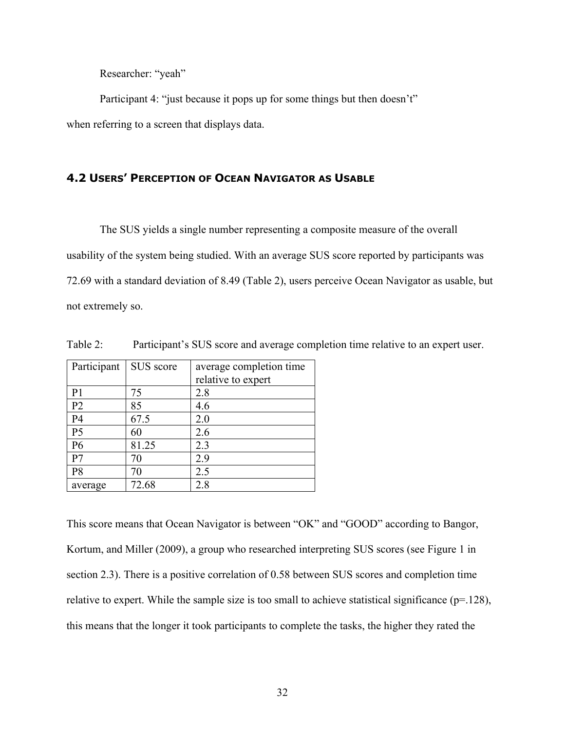Researcher: "yeah"

Participant 4: "just because it pops up for some things but then doesn't" when referring to a screen that displays data.

## **4.2 USERS' PERCEPTION OF OCEAN NAVIGATOR AS USABLE**

The SUS yields a single number representing a composite measure of the overall usability of the system being studied. With an average SUS score reported by participants was 72.69 with a standard deviation of 8.49 (Table 2), users perceive Ocean Navigator as usable, but not extremely so.

| Participant    | SUS score | average completion time |
|----------------|-----------|-------------------------|
|                |           | relative to expert      |
| P <sub>1</sub> | 75        | 2.8                     |
| P <sub>2</sub> | 85        | 4.6                     |
| P <sub>4</sub> | 67.5      | 2.0                     |
| P <sub>5</sub> | 60        | 2.6                     |
| P <sub>6</sub> | 81.25     | 2.3                     |
| P <sub>7</sub> | 70        | 2.9                     |
| P <sub>8</sub> | 70        | 2.5                     |
| average        | 72.68     | 2.8                     |

Table 2: Participant's SUS score and average completion time relative to an expert user.

This score means that Ocean Navigator is between "OK" and "GOOD" according to Bangor, Kortum, and Miller (2009), a group who researched interpreting SUS scores (see Figure 1 in section 2.3). There is a positive correlation of 0.58 between SUS scores and completion time relative to expert. While the sample size is too small to achieve statistical significance (p=.128), this means that the longer it took participants to complete the tasks, the higher they rated the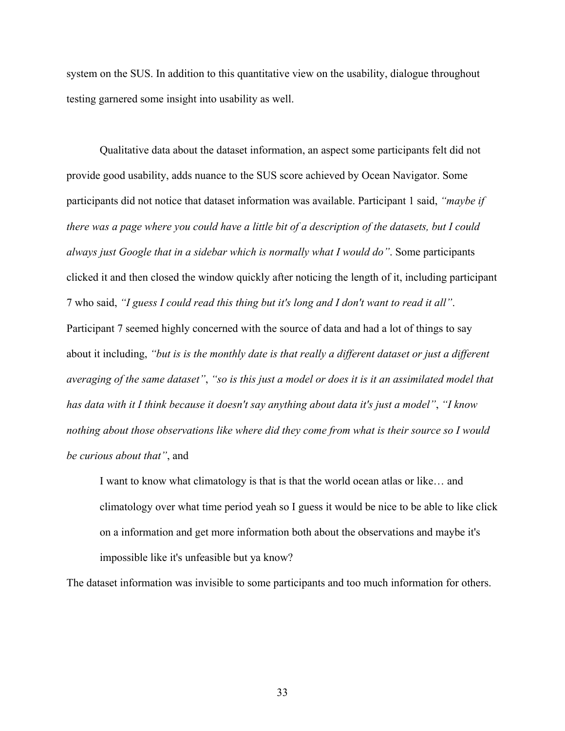system on the SUS. In addition to this quantitative view on the usability, dialogue throughout testing garnered some insight into usability as well.

Qualitative data about the dataset information, an aspect some participants felt did not provide good usability, adds nuance to the SUS score achieved by Ocean Navigator. Some participants did not notice that dataset information was available. Participant 1 said, *"maybe if there was a page where you could have a little bit of a description of the datasets, but I could always just Google that in a sidebar which is normally what I would do"*. Some participants clicked it and then closed the window quickly after noticing the length of it, including participant 7 who said, *"I guess I could read this thing but it's long and I don't want to read it all"*. Participant 7 seemed highly concerned with the source of data and had a lot of things to say about it including, *"but is is the monthly date is that really a different dataset or just a different averaging of the same dataset"*, *"so is this just a model or does it is it an assimilated model that has data with it I think because it doesn't say anything about data it's just a model"*, *"I know nothing about those observations like where did they come from what is their source so I would be curious about that"*, and

I want to know what climatology is that is that the world ocean atlas or like… and climatology over what time period yeah so I guess it would be nice to be able to like click on a information and get more information both about the observations and maybe it's impossible like it's unfeasible but ya know?

The dataset information was invisible to some participants and too much information for others.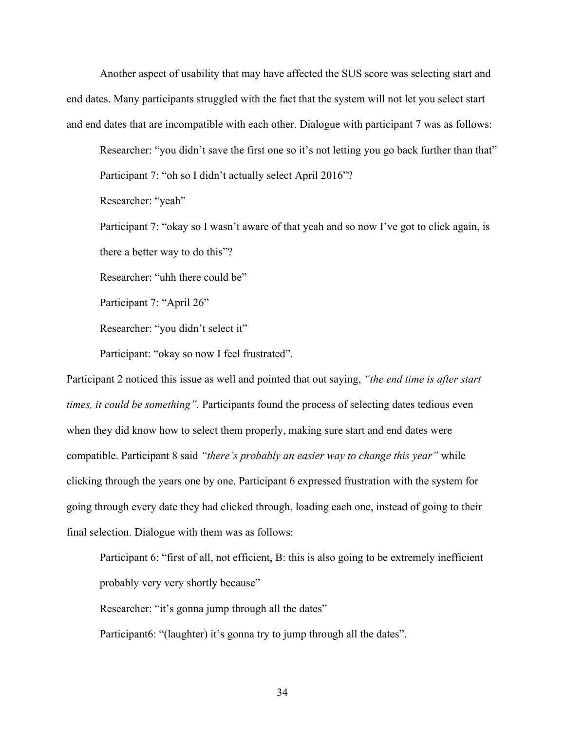Another aspect of usability that may have affected the SUS score was selecting start and end dates. Many participants struggled with the fact that the system will not let you select start and end dates that are incompatible with each other. Dialogue with participant 7 was as follows:

Researcher: "you didn't save the first one so it's not letting you go back further than that" Participant 7: "oh so I didn't actually select April 2016"?

Researcher: "yeah"

Participant 7: "okay so I wasn't aware of that yeah and so now I've got to click again, is there a better way to do this"?

Researcher: "uhh there could be"

Participant 7: "April 26"

Researcher: "you didn't select it"

Participant: "okay so now I feel frustrated".

Participant 2 noticed this issue as well and pointed that out saying, *"the end time is after start times, it could be something".* Participants found the process of selecting dates tedious even when they did know how to select them properly, making sure start and end dates were compatible. Participant 8 said *"there's probably an easier way to change this year"* while clicking through the years one by one. Participant 6 expressed frustration with the system for going through every date they had clicked through, loading each one, instead of going to their final selection. Dialogue with them was as follows:

Participant 6: "first of all, not efficient, B: this is also going to be extremely inefficient probably very very shortly because"

Researcher: "it's gonna jump through all the dates"

Participant6: "(laughter) it's gonna try to jump through all the dates".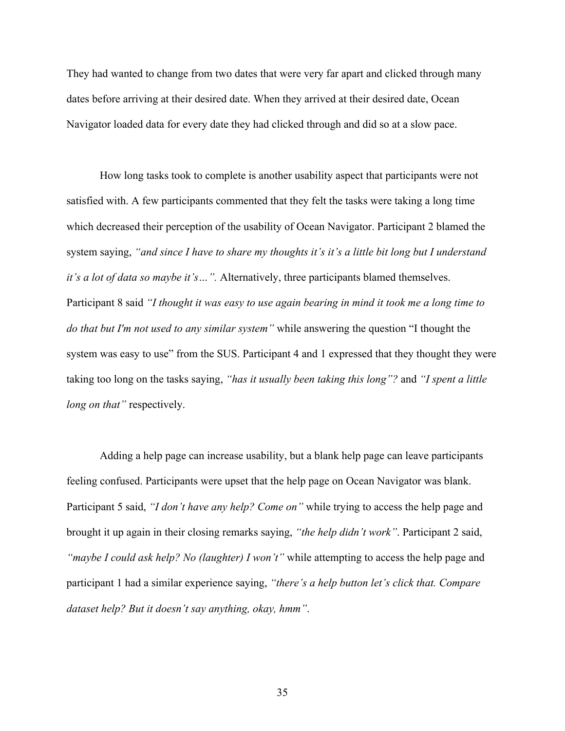They had wanted to change from two dates that were very far apart and clicked through many dates before arriving at their desired date. When they arrived at their desired date, Ocean Navigator loaded data for every date they had clicked through and did so at a slow pace.

How long tasks took to complete is another usability aspect that participants were not satisfied with. A few participants commented that they felt the tasks were taking a long time which decreased their perception of the usability of Ocean Navigator. Participant 2 blamed the system saying, *"and since I have to share my thoughts it's it's a little bit long but I understand it's a lot of data so maybe it's…".* Alternatively, three participants blamed themselves. Participant 8 said *"I thought it was easy to use again bearing in mind it took me a long time to do that but I'm not used to any similar system"* while answering the question "I thought the system was easy to use" from the SUS. Participant 4 and 1 expressed that they thought they were taking too long on the tasks saying, *"has it usually been taking this long"?* and *"I spent a little long on that"* respectively.

Adding a help page can increase usability, but a blank help page can leave participants feeling confused. Participants were upset that the help page on Ocean Navigator was blank. Participant 5 said, *"I don't have any help? Come on"* while trying to access the help page and brought it up again in their closing remarks saying, *"the help didn't work"*. Participant 2 said, *"maybe I could ask help? No (laughter) I won't"* while attempting to access the help page and participant 1 had a similar experience saying, *"there's a help button let's click that. Compare dataset help? But it doesn't say anything, okay, hmm"*.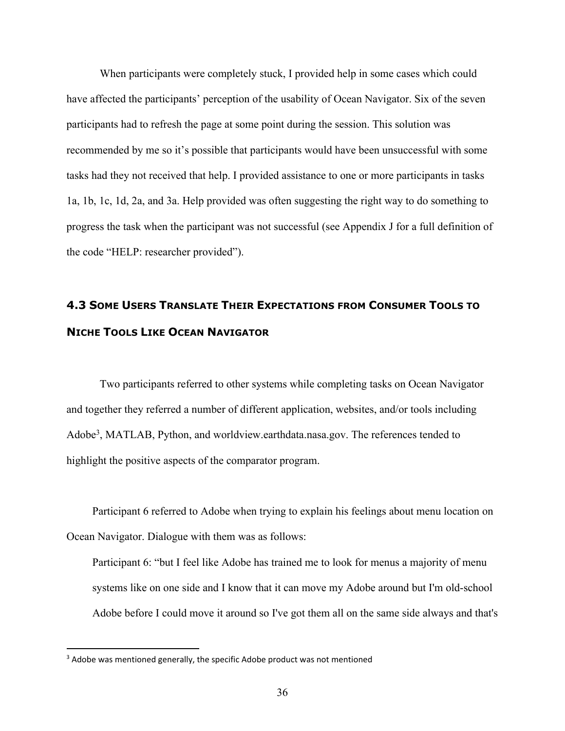When participants were completely stuck, I provided help in some cases which could have affected the participants' perception of the usability of Ocean Navigator. Six of the seven participants had to refresh the page at some point during the session. This solution was recommended by me so it's possible that participants would have been unsuccessful with some tasks had they not received that help. I provided assistance to one or more participants in tasks 1a, 1b, 1c, 1d, 2a, and 3a. Help provided was often suggesting the right way to do something to progress the task when the participant was not successful (see Appendix J for a full definition of the code "HELP: researcher provided").

# **4.3 SOME USERS TRANSLATE THEIR EXPECTATIONS FROM CONSUMER TOOLS TO NICHE TOOLS LIKE OCEAN NAVIGATOR**

Two participants referred to other systems while completing tasks on Ocean Navigator and together they referred a number of different application, websites, and/or tools including Adobe<sup>3</sup>, MATLAB, Python, and worldview.earthdata.nasa.gov. The references tended to highlight the positive aspects of the comparator program.

Participant 6 referred to Adobe when trying to explain his feelings about menu location on Ocean Navigator. Dialogue with them was as follows:

Participant 6: "but I feel like Adobe has trained me to look for menus a majority of menu systems like on one side and I know that it can move my Adobe around but I'm old-school Adobe before I could move it around so I've got them all on the same side always and that's

<sup>&</sup>lt;sup>3</sup> Adobe was mentioned generally, the specific Adobe product was not mentioned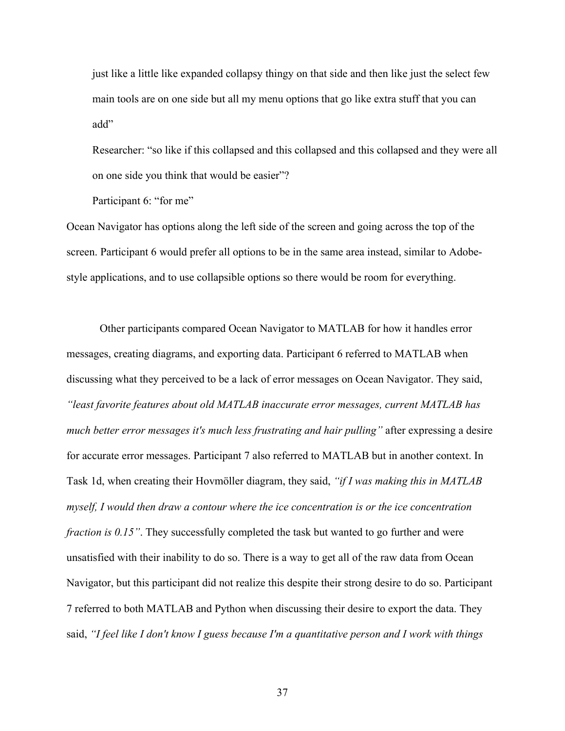just like a little like expanded collapsy thingy on that side and then like just the select few main tools are on one side but all my menu options that go like extra stuff that you can add"

Researcher: "so like if this collapsed and this collapsed and this collapsed and they were all on one side you think that would be easier"?

Participant 6: "for me"

Ocean Navigator has options along the left side of the screen and going across the top of the screen. Participant 6 would prefer all options to be in the same area instead, similar to Adobestyle applications, and to use collapsible options so there would be room for everything.

Other participants compared Ocean Navigator to MATLAB for how it handles error messages, creating diagrams, and exporting data. Participant 6 referred to MATLAB when discussing what they perceived to be a lack of error messages on Ocean Navigator. They said, *"least favorite features about old MATLAB inaccurate error messages, current MATLAB has much better error messages it's much less frustrating and hair pulling"* after expressing a desire for accurate error messages. Participant 7 also referred to MATLAB but in another context. In Task 1d, when creating their Hovmöller diagram, they said, *"if I was making this in MATLAB myself, I would then draw a contour where the ice concentration is or the ice concentration fraction is 0.15"*. They successfully completed the task but wanted to go further and were unsatisfied with their inability to do so. There is a way to get all of the raw data from Ocean Navigator, but this participant did not realize this despite their strong desire to do so. Participant 7 referred to both MATLAB and Python when discussing their desire to export the data. They said, *"I feel like I don't know I guess because I'm a quantitative person and I work with things*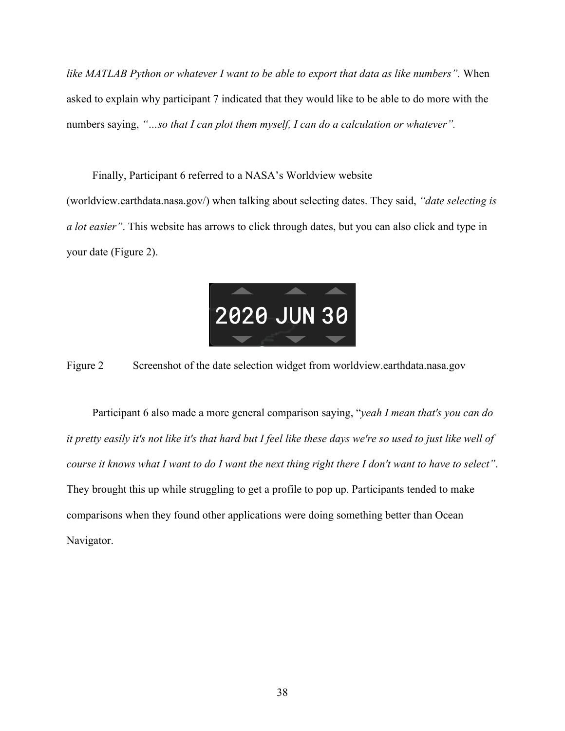*like MATLAB Python or whatever I want to be able to export that data as like numbers".* When asked to explain why participant 7 indicated that they would like to be able to do more with the numbers saying, *"…so that I can plot them myself, I can do a calculation or whatever".*

Finally, Participant 6 referred to a NASA's Worldview website

(worldview.earthdata.nasa.gov/) when talking about selecting dates. They said, *"date selecting is a lot easier"*. This website has arrows to click through dates, but you can also click and type in your date (Figure 2).



Figure 2 Screenshot of the date selection widget from worldview.earthdata.nasa.gov

Participant 6 also made a more general comparison saying, "*yeah I mean that's you can do it pretty easily it's not like it's that hard but I feel like these days we're so used to just like well of course it knows what I want to do I want the next thing right there I don't want to have to select"*. They brought this up while struggling to get a profile to pop up. Participants tended to make comparisons when they found other applications were doing something better than Ocean Navigator.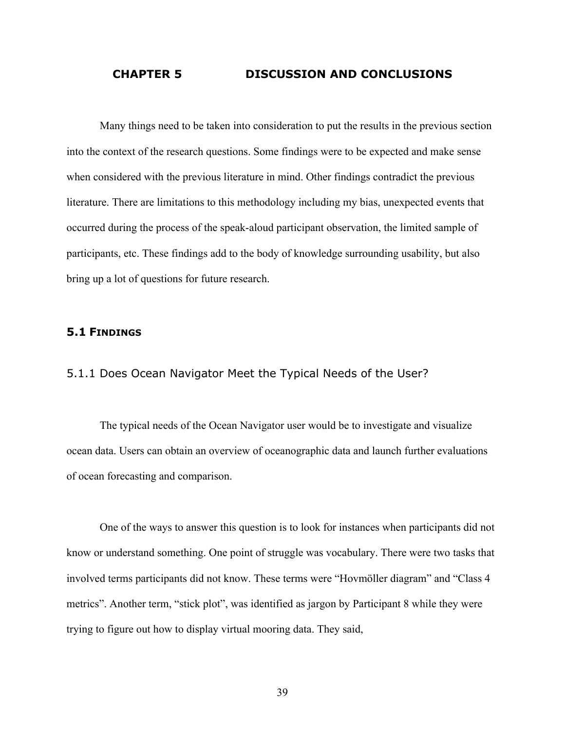#### **CHAPTER 5 DISCUSSION AND CONCLUSIONS**

Many things need to be taken into consideration to put the results in the previous section into the context of the research questions. Some findings were to be expected and make sense when considered with the previous literature in mind. Other findings contradict the previous literature. There are limitations to this methodology including my bias, unexpected events that occurred during the process of the speak-aloud participant observation, the limited sample of participants, etc. These findings add to the body of knowledge surrounding usability, but also bring up a lot of questions for future research.

## **5.1 FINDINGS**

#### 5.1.1 Does Ocean Navigator Meet the Typical Needs of the User?

The typical needs of the Ocean Navigator user would be to investigate and visualize ocean data. Users can obtain an overview of oceanographic data and launch further evaluations of ocean forecasting and comparison.

One of the ways to answer this question is to look for instances when participants did not know or understand something. One point of struggle was vocabulary. There were two tasks that involved terms participants did not know. These terms were "Hovmöller diagram" and "Class 4 metrics". Another term, "stick plot", was identified as jargon by Participant 8 while they were trying to figure out how to display virtual mooring data. They said,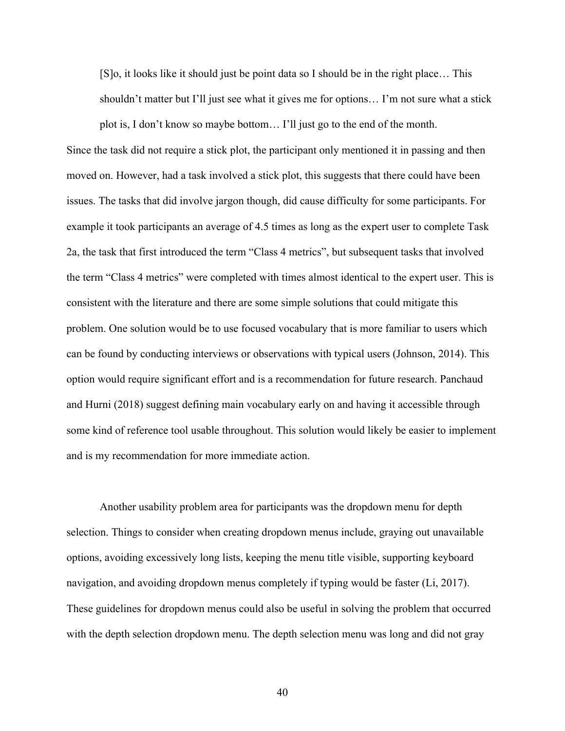[S]o, it looks like it should just be point data so I should be in the right place… This shouldn't matter but I'll just see what it gives me for options… I'm not sure what a stick plot is, I don't know so maybe bottom… I'll just go to the end of the month.

Since the task did not require a stick plot, the participant only mentioned it in passing and then moved on. However, had a task involved a stick plot, this suggests that there could have been issues. The tasks that did involve jargon though, did cause difficulty for some participants. For example it took participants an average of 4.5 times as long as the expert user to complete Task 2a, the task that first introduced the term "Class 4 metrics", but subsequent tasks that involved the term "Class 4 metrics" were completed with times almost identical to the expert user. This is consistent with the literature and there are some simple solutions that could mitigate this problem. One solution would be to use focused vocabulary that is more familiar to users which can be found by conducting interviews or observations with typical users (Johnson, 2014). This option would require significant effort and is a recommendation for future research. Panchaud and Hurni (2018) suggest defining main vocabulary early on and having it accessible through some kind of reference tool usable throughout. This solution would likely be easier to implement and is my recommendation for more immediate action.

Another usability problem area for participants was the dropdown menu for depth selection. Things to consider when creating dropdown menus include, graying out unavailable options, avoiding excessively long lists, keeping the menu title visible, supporting keyboard navigation, and avoiding dropdown menus completely if typing would be faster (Li, 2017). These guidelines for dropdown menus could also be useful in solving the problem that occurred with the depth selection dropdown menu. The depth selection menu was long and did not gray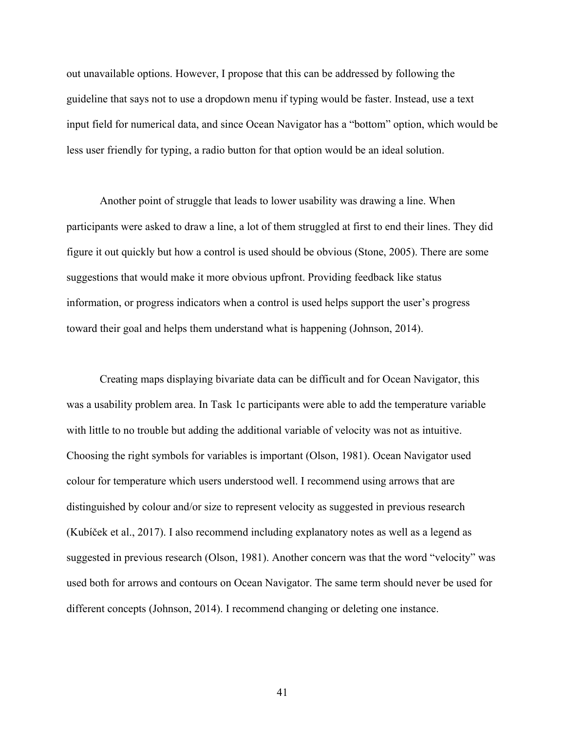out unavailable options. However, I propose that this can be addressed by following the guideline that says not to use a dropdown menu if typing would be faster. Instead, use a text input field for numerical data, and since Ocean Navigator has a "bottom" option, which would be less user friendly for typing, a radio button for that option would be an ideal solution.

Another point of struggle that leads to lower usability was drawing a line. When participants were asked to draw a line, a lot of them struggled at first to end their lines. They did figure it out quickly but how a control is used should be obvious (Stone, 2005). There are some suggestions that would make it more obvious upfront. Providing feedback like status information, or progress indicators when a control is used helps support the user's progress toward their goal and helps them understand what is happening (Johnson, 2014).

Creating maps displaying bivariate data can be difficult and for Ocean Navigator, this was a usability problem area. In Task 1c participants were able to add the temperature variable with little to no trouble but adding the additional variable of velocity was not as intuitive. Choosing the right symbols for variables is important (Olson, 1981). Ocean Navigator used colour for temperature which users understood well. I recommend using arrows that are distinguished by colour and/or size to represent velocity as suggested in previous research (Kubíček et al., 2017). I also recommend including explanatory notes as well as a legend as suggested in previous research (Olson, 1981). Another concern was that the word "velocity" was used both for arrows and contours on Ocean Navigator. The same term should never be used for different concepts (Johnson, 2014). I recommend changing or deleting one instance.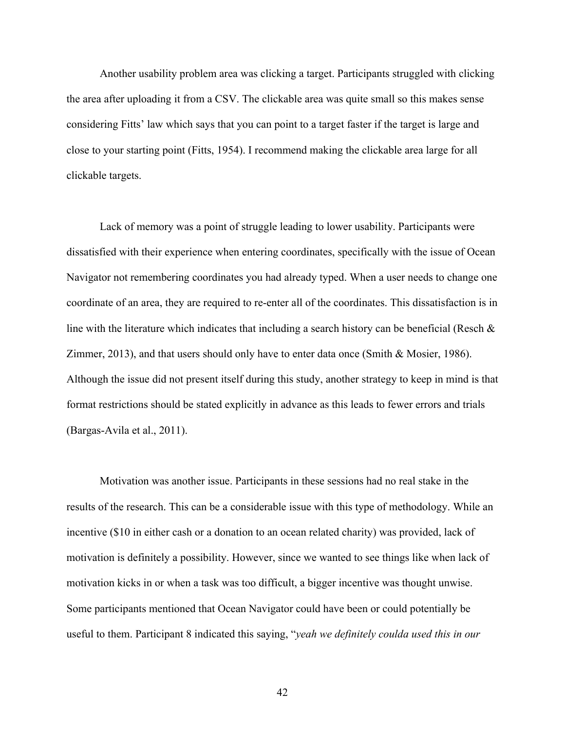Another usability problem area was clicking a target. Participants struggled with clicking the area after uploading it from a CSV. The clickable area was quite small so this makes sense considering Fitts' law which says that you can point to a target faster if the target is large and close to your starting point (Fitts, 1954). I recommend making the clickable area large for all clickable targets.

Lack of memory was a point of struggle leading to lower usability. Participants were dissatisfied with their experience when entering coordinates, specifically with the issue of Ocean Navigator not remembering coordinates you had already typed. When a user needs to change one coordinate of an area, they are required to re-enter all of the coordinates. This dissatisfaction is in line with the literature which indicates that including a search history can be beneficial (Resch & Zimmer, 2013), and that users should only have to enter data once (Smith & Mosier, 1986). Although the issue did not present itself during this study, another strategy to keep in mind is that format restrictions should be stated explicitly in advance as this leads to fewer errors and trials (Bargas-Avila et al., 2011).

Motivation was another issue. Participants in these sessions had no real stake in the results of the research. This can be a considerable issue with this type of methodology. While an incentive (\$10 in either cash or a donation to an ocean related charity) was provided, lack of motivation is definitely a possibility. However, since we wanted to see things like when lack of motivation kicks in or when a task was too difficult, a bigger incentive was thought unwise. Some participants mentioned that Ocean Navigator could have been or could potentially be useful to them. Participant 8 indicated this saying, "*yeah we definitely coulda used this in our*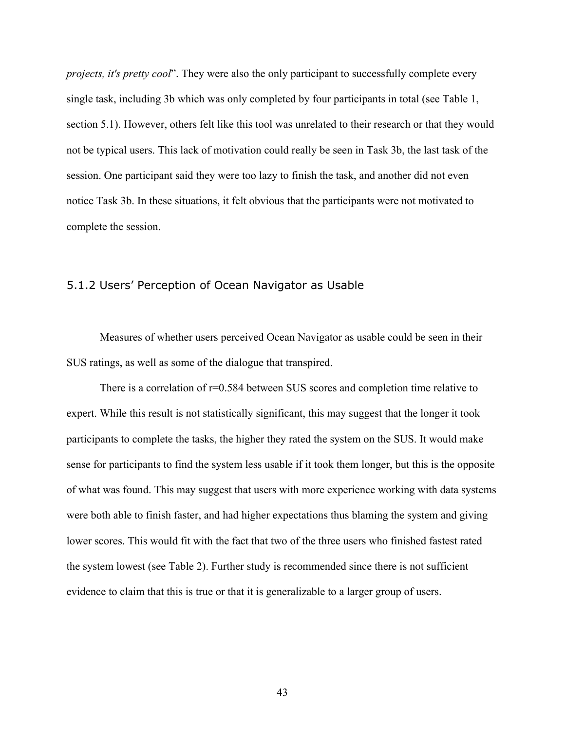*projects, it's pretty cool*". They were also the only participant to successfully complete every single task, including 3b which was only completed by four participants in total (see Table 1, section 5.1). However, others felt like this tool was unrelated to their research or that they would not be typical users. This lack of motivation could really be seen in Task 3b, the last task of the session. One participant said they were too lazy to finish the task, and another did not even notice Task 3b. In these situations, it felt obvious that the participants were not motivated to complete the session.

#### 5.1.2 Users' Perception of Ocean Navigator as Usable

Measures of whether users perceived Ocean Navigator as usable could be seen in their SUS ratings, as well as some of the dialogue that transpired.

There is a correlation of  $r=0.584$  between SUS scores and completion time relative to expert. While this result is not statistically significant, this may suggest that the longer it took participants to complete the tasks, the higher they rated the system on the SUS. It would make sense for participants to find the system less usable if it took them longer, but this is the opposite of what was found. This may suggest that users with more experience working with data systems were both able to finish faster, and had higher expectations thus blaming the system and giving lower scores. This would fit with the fact that two of the three users who finished fastest rated the system lowest (see Table 2). Further study is recommended since there is not sufficient evidence to claim that this is true or that it is generalizable to a larger group of users.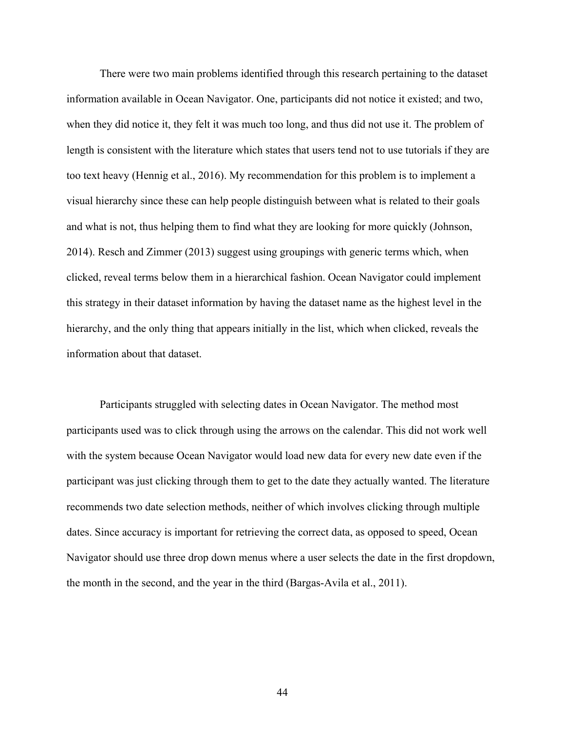There were two main problems identified through this research pertaining to the dataset information available in Ocean Navigator. One, participants did not notice it existed; and two, when they did notice it, they felt it was much too long, and thus did not use it. The problem of length is consistent with the literature which states that users tend not to use tutorials if they are too text heavy (Hennig et al., 2016). My recommendation for this problem is to implement a visual hierarchy since these can help people distinguish between what is related to their goals and what is not, thus helping them to find what they are looking for more quickly (Johnson, 2014). Resch and Zimmer (2013) suggest using groupings with generic terms which, when clicked, reveal terms below them in a hierarchical fashion. Ocean Navigator could implement this strategy in their dataset information by having the dataset name as the highest level in the hierarchy, and the only thing that appears initially in the list, which when clicked, reveals the information about that dataset.

Participants struggled with selecting dates in Ocean Navigator. The method most participants used was to click through using the arrows on the calendar. This did not work well with the system because Ocean Navigator would load new data for every new date even if the participant was just clicking through them to get to the date they actually wanted. The literature recommends two date selection methods, neither of which involves clicking through multiple dates. Since accuracy is important for retrieving the correct data, as opposed to speed, Ocean Navigator should use three drop down menus where a user selects the date in the first dropdown, the month in the second, and the year in the third (Bargas-Avila et al., 2011).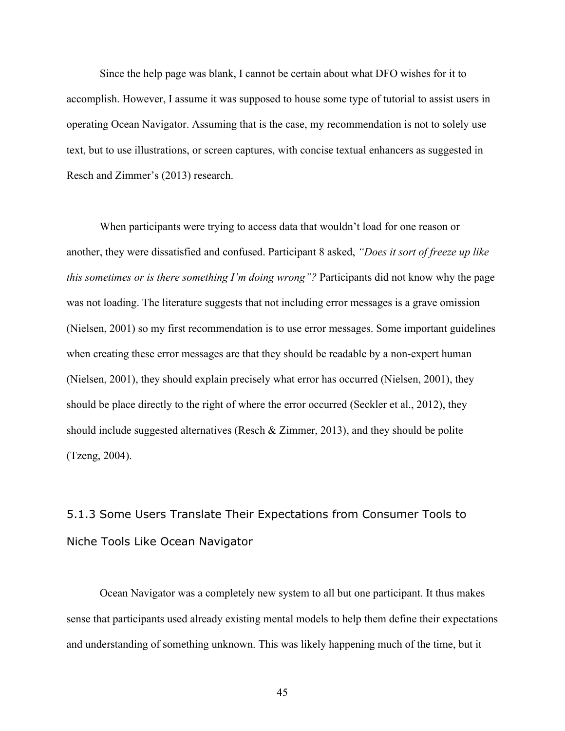Since the help page was blank, I cannot be certain about what DFO wishes for it to accomplish. However, I assume it was supposed to house some type of tutorial to assist users in operating Ocean Navigator. Assuming that is the case, my recommendation is not to solely use text, but to use illustrations, or screen captures, with concise textual enhancers as suggested in Resch and Zimmer's (2013) research.

When participants were trying to access data that wouldn't load for one reason or another, they were dissatisfied and confused. Participant 8 asked, *"Does it sort of freeze up like this sometimes or is there something I'm doing wrong"?* Participants did not know why the page was not loading. The literature suggests that not including error messages is a grave omission (Nielsen, 2001) so my first recommendation is to use error messages. Some important guidelines when creating these error messages are that they should be readable by a non-expert human (Nielsen, 2001), they should explain precisely what error has occurred (Nielsen, 2001), they should be place directly to the right of where the error occurred (Seckler et al., 2012), they should include suggested alternatives (Resch & Zimmer, 2013), and they should be polite (Tzeng, 2004).

# 5.1.3 Some Users Translate Their Expectations from Consumer Tools to Niche Tools Like Ocean Navigator

Ocean Navigator was a completely new system to all but one participant. It thus makes sense that participants used already existing mental models to help them define their expectations and understanding of something unknown. This was likely happening much of the time, but it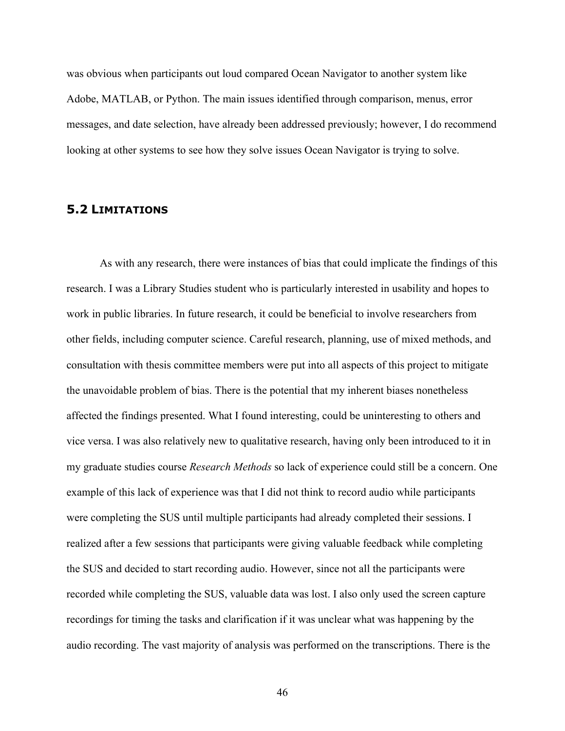was obvious when participants out loud compared Ocean Navigator to another system like Adobe, MATLAB, or Python. The main issues identified through comparison, menus, error messages, and date selection, have already been addressed previously; however, I do recommend looking at other systems to see how they solve issues Ocean Navigator is trying to solve.

## **5.2 LIMITATIONS**

As with any research, there were instances of bias that could implicate the findings of this research. I was a Library Studies student who is particularly interested in usability and hopes to work in public libraries. In future research, it could be beneficial to involve researchers from other fields, including computer science. Careful research, planning, use of mixed methods, and consultation with thesis committee members were put into all aspects of this project to mitigate the unavoidable problem of bias. There is the potential that my inherent biases nonetheless affected the findings presented. What I found interesting, could be uninteresting to others and vice versa. I was also relatively new to qualitative research, having only been introduced to it in my graduate studies course *Research Methods* so lack of experience could still be a concern. One example of this lack of experience was that I did not think to record audio while participants were completing the SUS until multiple participants had already completed their sessions. I realized after a few sessions that participants were giving valuable feedback while completing the SUS and decided to start recording audio. However, since not all the participants were recorded while completing the SUS, valuable data was lost. I also only used the screen capture recordings for timing the tasks and clarification if it was unclear what was happening by the audio recording. The vast majority of analysis was performed on the transcriptions. There is the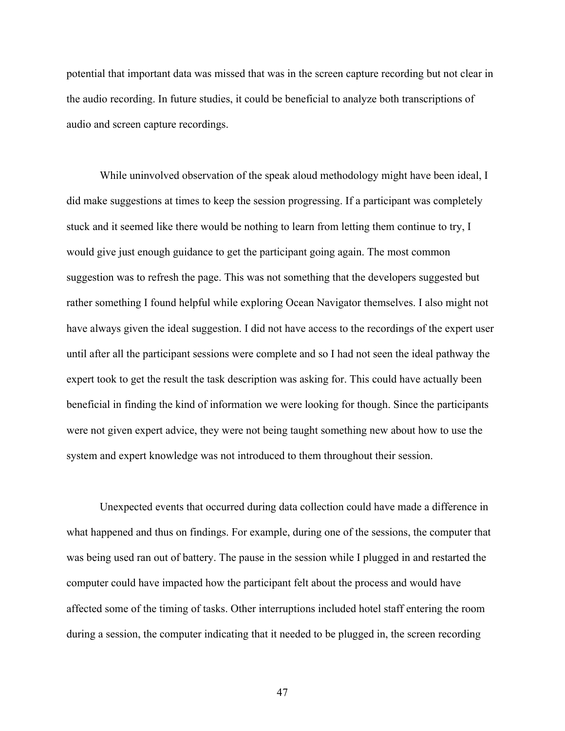potential that important data was missed that was in the screen capture recording but not clear in the audio recording. In future studies, it could be beneficial to analyze both transcriptions of audio and screen capture recordings.

While uninvolved observation of the speak aloud methodology might have been ideal, I did make suggestions at times to keep the session progressing. If a participant was completely stuck and it seemed like there would be nothing to learn from letting them continue to try, I would give just enough guidance to get the participant going again. The most common suggestion was to refresh the page. This was not something that the developers suggested but rather something I found helpful while exploring Ocean Navigator themselves. I also might not have always given the ideal suggestion. I did not have access to the recordings of the expert user until after all the participant sessions were complete and so I had not seen the ideal pathway the expert took to get the result the task description was asking for. This could have actually been beneficial in finding the kind of information we were looking for though. Since the participants were not given expert advice, they were not being taught something new about how to use the system and expert knowledge was not introduced to them throughout their session.

Unexpected events that occurred during data collection could have made a difference in what happened and thus on findings. For example, during one of the sessions, the computer that was being used ran out of battery. The pause in the session while I plugged in and restarted the computer could have impacted how the participant felt about the process and would have affected some of the timing of tasks. Other interruptions included hotel staff entering the room during a session, the computer indicating that it needed to be plugged in, the screen recording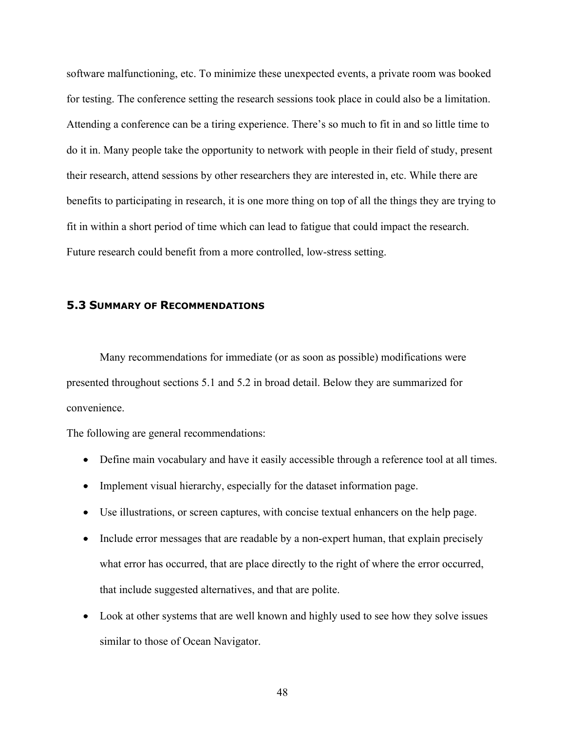software malfunctioning, etc. To minimize these unexpected events, a private room was booked for testing. The conference setting the research sessions took place in could also be a limitation. Attending a conference can be a tiring experience. There's so much to fit in and so little time to do it in. Many people take the opportunity to network with people in their field of study, present their research, attend sessions by other researchers they are interested in, etc. While there are benefits to participating in research, it is one more thing on top of all the things they are trying to fit in within a short period of time which can lead to fatigue that could impact the research. Future research could benefit from a more controlled, low-stress setting.

## **5.3 SUMMARY OF RECOMMENDATIONS**

Many recommendations for immediate (or as soon as possible) modifications were presented throughout sections 5.1 and 5.2 in broad detail. Below they are summarized for convenience.

The following are general recommendations:

- Define main vocabulary and have it easily accessible through a reference tool at all times.
- Implement visual hierarchy, especially for the dataset information page.
- Use illustrations, or screen captures, with concise textual enhancers on the help page.
- Include error messages that are readable by a non-expert human, that explain precisely what error has occurred, that are place directly to the right of where the error occurred, that include suggested alternatives, and that are polite.
- Look at other systems that are well known and highly used to see how they solve issues similar to those of Ocean Navigator.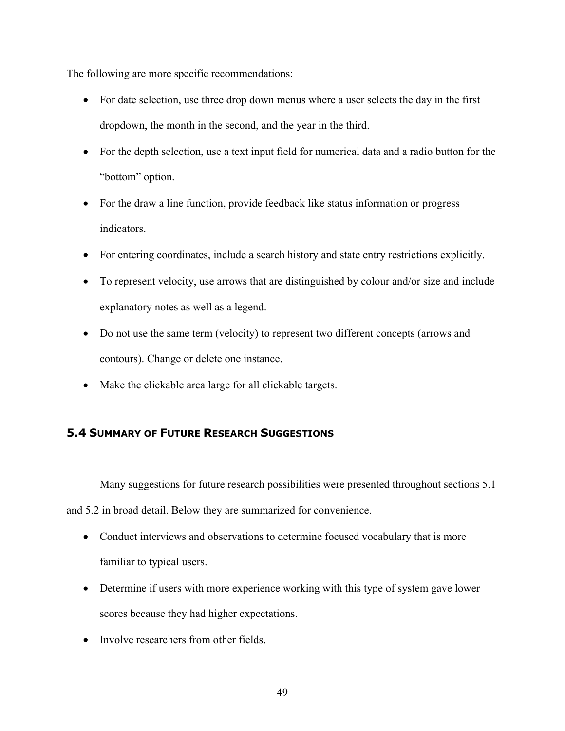The following are more specific recommendations:

- For date selection, use three drop down menus where a user selects the day in the first dropdown, the month in the second, and the year in the third.
- For the depth selection, use a text input field for numerical data and a radio button for the "bottom" option.
- For the draw a line function, provide feedback like status information or progress indicators.
- For entering coordinates, include a search history and state entry restrictions explicitly.
- To represent velocity, use arrows that are distinguished by colour and/or size and include explanatory notes as well as a legend.
- Do not use the same term (velocity) to represent two different concepts (arrows and contours). Change or delete one instance.
- Make the clickable area large for all clickable targets.

## **5.4 SUMMARY OF FUTURE RESEARCH SUGGESTIONS**

Many suggestions for future research possibilities were presented throughout sections 5.1 and 5.2 in broad detail. Below they are summarized for convenience.

- Conduct interviews and observations to determine focused vocabulary that is more familiar to typical users.
- Determine if users with more experience working with this type of system gave lower scores because they had higher expectations.
- Involve researchers from other fields.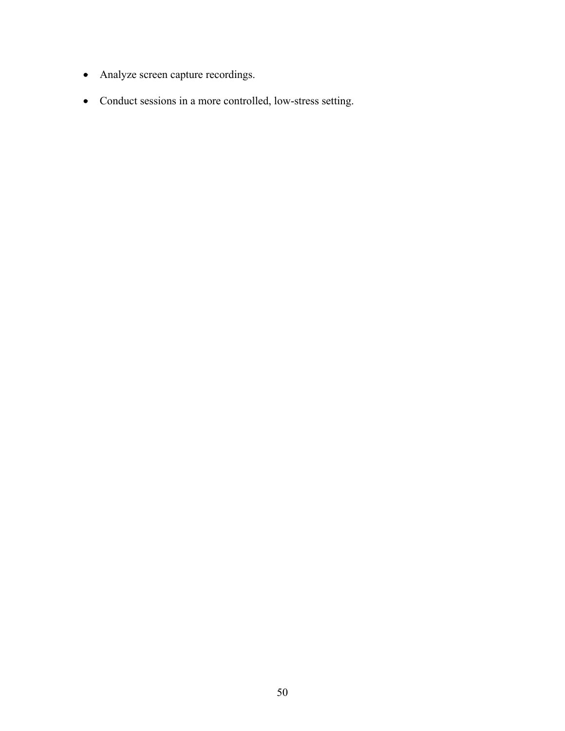- Analyze screen capture recordings.
- Conduct sessions in a more controlled, low-stress setting.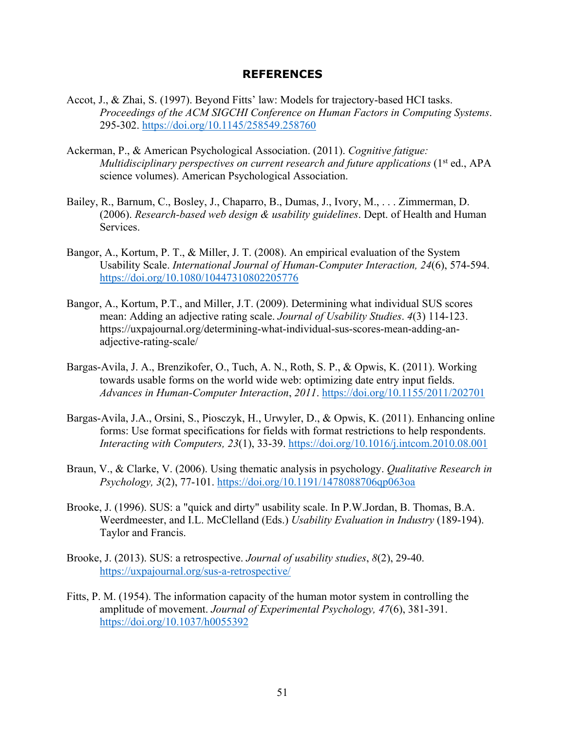#### **REFERENCES**

- Accot, J., & Zhai, S. (1997). Beyond Fitts' law: Models for trajectory-based HCI tasks. *Proceedings of the ACM SIGCHI Conference on Human Factors in Computing Systems*. 295-302. https://doi.org/10.1145/258549.258760
- Ackerman, P., & American Psychological Association. (2011). *Cognitive fatigue: Multidisciplinary perspectives on current research and future applications* (1<sup>st</sup> ed., APA science volumes). American Psychological Association.
- Bailey, R., Barnum, C., Bosley, J., Chaparro, B., Dumas, J., Ivory, M., . . . Zimmerman, D. (2006). *Research-based web design & usability guidelines*. Dept. of Health and Human Services.
- Bangor, A., Kortum, P. T., & Miller, J. T. (2008). An empirical evaluation of the System Usability Scale. *International Journal of Human-Computer Interaction, 24*(6), 574-594. https://doi.org/10.1080/10447310802205776
- Bangor, A., Kortum, P.T., and Miller, J.T. (2009). Determining what individual SUS scores mean: Adding an adjective rating scale. *Journal of Usability Studies*. *4*(3) 114-123. https://uxpajournal.org/determining-what-individual-sus-scores-mean-adding-anadjective-rating-scale/
- Bargas-Avila, J. A., Brenzikofer, O., Tuch, A. N., Roth, S. P., & Opwis, K. (2011). Working towards usable forms on the world wide web: optimizing date entry input fields. *Advances in Human-Computer Interaction*, *2011*. https://doi.org/10.1155/2011/202701
- Bargas-Avila, J.A., Orsini, S., Piosczyk, H., Urwyler, D., & Opwis, K. (2011). Enhancing online forms: Use format specifications for fields with format restrictions to help respondents. *Interacting with Computers, 23*(1), 33-39. https://doi.org/10.1016/j.intcom.2010.08.001
- Braun, V., & Clarke, V. (2006). Using thematic analysis in psychology. *Qualitative Research in Psychology, 3*(2), 77-101. https://doi.org/10.1191/1478088706qp063oa
- Brooke, J. (1996). SUS: a "quick and dirty" usability scale. In P.W.Jordan, B. Thomas, B.A. Weerdmeester, and I.L. McClelland (Eds.) *Usability Evaluation in Industry* (189-194). Taylor and Francis.
- Brooke, J. (2013). SUS: a retrospective. *Journal of usability studies*, *8*(2), 29-40. https://uxpajournal.org/sus-a-retrospective/
- Fitts, P. M. (1954). The information capacity of the human motor system in controlling the amplitude of movement. *Journal of Experimental Psychology, 47*(6), 381-391. https://doi.org/10.1037/h0055392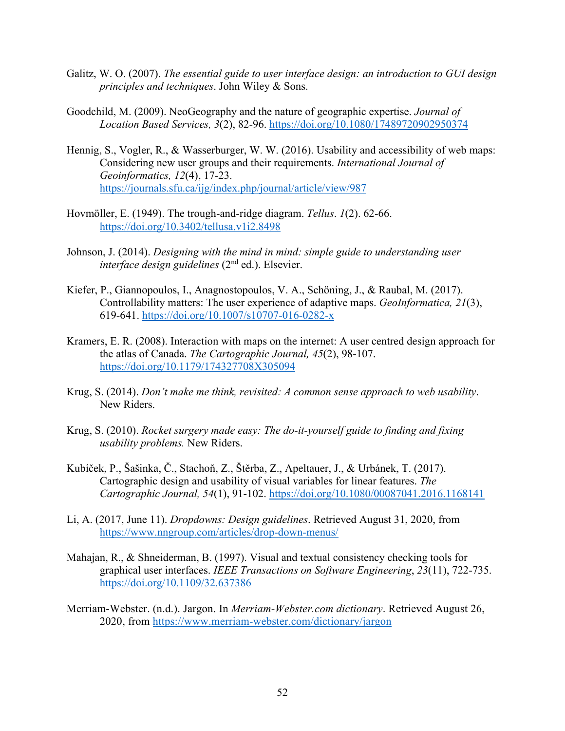- Galitz, W. O. (2007). *The essential guide to user interface design: an introduction to GUI design principles and techniques*. John Wiley & Sons.
- Goodchild, M. (2009). NeoGeography and the nature of geographic expertise. *Journal of Location Based Services, 3*(2), 82-96. https://doi.org/10.1080/17489720902950374
- Hennig, S., Vogler, R., & Wasserburger, W. W. (2016). Usability and accessibility of web maps: Considering new user groups and their requirements. *International Journal of Geoinformatics, 12*(4), 17-23. https://journals.sfu.ca/ijg/index.php/journal/article/view/987
- Hovmöller, E. (1949). The trough-and-ridge diagram. *Tellus*. *1*(2). 62-66. https://doi.org/10.3402/tellusa.v1i2.8498
- Johnson, J. (2014). *Designing with the mind in mind: simple guide to understanding user interface design guidelines* (2nd ed.). Elsevier.
- Kiefer, P., Giannopoulos, I., Anagnostopoulos, V. A., Schöning, J., & Raubal, M. (2017). Controllability matters: The user experience of adaptive maps. *GeoInformatica, 21*(3), 619-641. https://doi.org/10.1007/s10707-016-0282-x
- Kramers, E. R. (2008). Interaction with maps on the internet: A user centred design approach for the atlas of Canada. *The Cartographic Journal, 45*(2), 98-107. https://doi.org/10.1179/174327708X305094
- Krug, S. (2014). *Don't make me think, revisited: A common sense approach to web usability*. New Riders.
- Krug, S. (2010). *Rocket surgery made easy: The do-it-yourself guide to finding and fixing usability problems.* New Riders.
- Kubíček, P., Šašinka, Č., Stachoň, Z., Štěrba, Z., Apeltauer, J., & Urbánek, T. (2017). Cartographic design and usability of visual variables for linear features. *The Cartographic Journal, 54*(1), 91-102. https://doi.org/10.1080/00087041.2016.1168141
- Li, A. (2017, June 11). *Dropdowns: Design guidelines*. Retrieved August 31, 2020, from https://www.nngroup.com/articles/drop-down-menus/
- Mahajan, R., & Shneiderman, B. (1997). Visual and textual consistency checking tools for graphical user interfaces. *IEEE Transactions on Software Engineering*, *23*(11), 722-735. https://doi.org/10.1109/32.637386
- Merriam-Webster. (n.d.). Jargon. In *Merriam-Webster.com dictionary*. Retrieved August 26, 2020, from https://www.merriam-webster.com/dictionary/jargon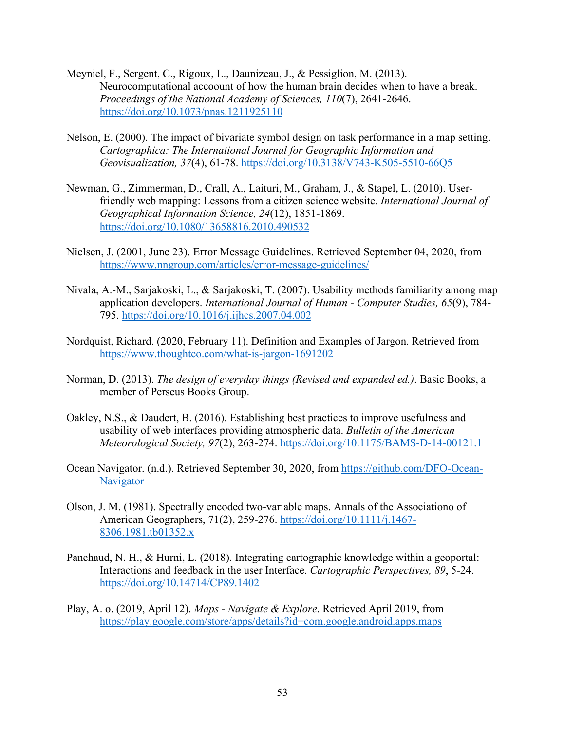- Meyniel, F., Sergent, C., Rigoux, L., Daunizeau, J., & Pessiglion, M. (2013). Neurocomputational accoount of how the human brain decides when to have a break. *Proceedings of the National Academy of Sciences, 110*(7), 2641-2646. https://doi.org/10.1073/pnas.1211925110
- Nelson, E. (2000). The impact of bivariate symbol design on task performance in a map setting. *Cartographica: The International Journal for Geographic Information and Geovisualization, 37*(4), 61-78. https://doi.org/10.3138/V743-K505-5510-66Q5
- Newman, G., Zimmerman, D., Crall, A., Laituri, M., Graham, J., & Stapel, L. (2010). Userfriendly web mapping: Lessons from a citizen science website. *International Journal of Geographical Information Science, 24*(12), 1851-1869. https://doi.org/10.1080/13658816.2010.490532
- Nielsen, J. (2001, June 23). Error Message Guidelines. Retrieved September 04, 2020, from https://www.nngroup.com/articles/error-message-guidelines/
- Nivala, A.-M., Sarjakoski, L., & Sarjakoski, T. (2007). Usability methods familiarity among map application developers. *International Journal of Human - Computer Studies, 65*(9), 784- 795. https://doi.org/10.1016/j.ijhcs.2007.04.002
- Nordquist, Richard. (2020, February 11). Definition and Examples of Jargon. Retrieved from https://www.thoughtco.com/what-is-jargon-1691202
- Norman, D. (2013). *The design of everyday things (Revised and expanded ed.)*. Basic Books, a member of Perseus Books Group.
- Oakley, N.S., & Daudert, B. (2016). Establishing best practices to improve usefulness and usability of web interfaces providing atmospheric data. *Bulletin of the American Meteorological Society, 97*(2), 263-274. https://doi.org/10.1175/BAMS-D-14-00121.1
- Ocean Navigator. (n.d.). Retrieved September 30, 2020, from https://github.com/DFO-Ocean-Navigator
- Olson, J. M. (1981). Spectrally encoded two-variable maps. Annals of the Associationo of American Geographers, 71(2), 259-276. https://doi.org/10.1111/j.1467- 8306.1981.tb01352.x
- Panchaud, N. H., & Hurni, L. (2018). Integrating cartographic knowledge within a geoportal: Interactions and feedback in the user Interface. *Cartographic Perspectives, 89*, 5-24. https://doi.org/10.14714/CP89.1402
- Play, A. o. (2019, April 12). *Maps - Navigate & Explore*. Retrieved April 2019, from https://play.google.com/store/apps/details?id=com.google.android.apps.maps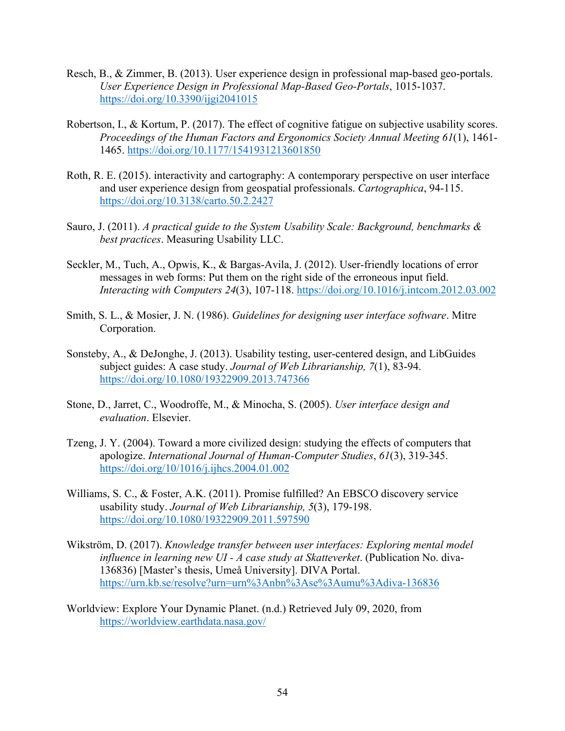- Resch, B., & Zimmer, B. (2013). User experience design in professional map-based geo-portals. *User Experience Design in Professional Map-Based Geo-Portals*, 1015-1037. https://doi.org/10.3390/ijgi2041015
- Robertson, I., & Kortum, P. (2017). The effect of cognitive fatigue on subjective usability scores. *Proceedings of the Human Factors and Ergonomics Society Annual Meeting 61*(1), 1461- 1465. https://doi.org/10.1177/1541931213601850
- Roth, R. E. (2015). interactivity and cartography: A contemporary perspective on user interface and user experience design from geospatial professionals. *Cartographica*, 94-115. https://doi.org/10.3138/carto.50.2.2427
- Sauro, J. (2011). *A practical guide to the System Usability Scale: Background, benchmarks & best practices*. Measuring Usability LLC.
- Seckler, M., Tuch, A., Opwis, K., & Bargas-Avila, J. (2012). User-friendly locations of error messages in web forms: Put them on the right side of the erroneous input field. *Interacting with Computers 24*(3), 107-118. https://doi.org/10.1016/j.intcom.2012.03.002
- Smith, S. L., & Mosier, J. N. (1986). *Guidelines for designing user interface software*. Mitre Corporation.
- Sonsteby, A., & DeJonghe, J. (2013). Usability testing, user-centered design, and LibGuides subject guides: A case study. *Journal of Web Librarianship, 7*(1), 83-94. https://doi.org/10.1080/19322909.2013.747366
- Stone, D., Jarret, C., Woodroffe, M., & Minocha, S. (2005). *User interface design and evaluation*. Elsevier.
- Tzeng, J. Y. (2004). Toward a more civilized design: studying the effects of computers that apologize. *International Journal of Human-Computer Studies*, *61*(3), 319-345. https://doi.org/10/1016/j.ijhcs.2004.01.002
- Williams, S. C., & Foster, A.K. (2011). Promise fulfilled? An EBSCO discovery service usability study. *Journal of Web Librarianship, 5*(3), 179-198. https://doi.org/10.1080/19322909.2011.597590
- Wikström, D. (2017). *Knowledge transfer between user interfaces: Exploring mental model influence in learning new UI - A case study at Skatteverket*. (Publication No. diva-136836) [Master's thesis, Umeå University]. DIVA Portal. https://urn.kb.se/resolve?urn=urn%3Anbn%3Ase%3Aumu%3Adiva-136836
- Worldview: Explore Your Dynamic Planet. (n.d.) Retrieved July 09, 2020, from https://worldview.earthdata.nasa.gov/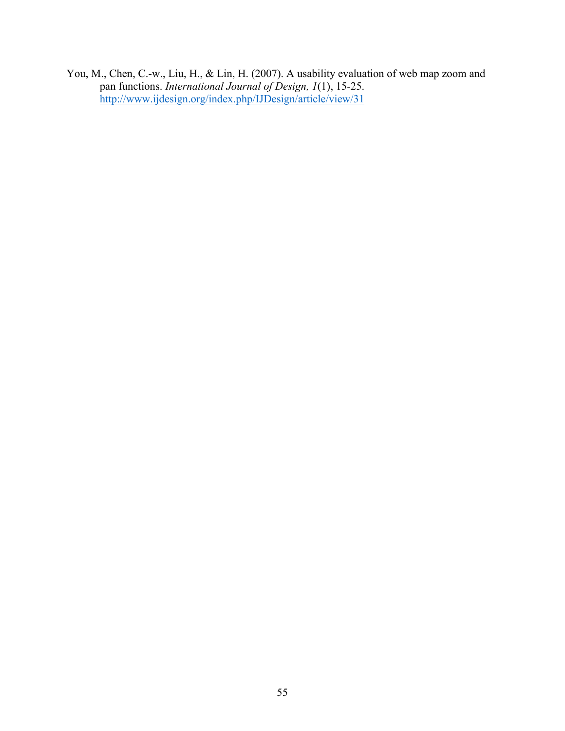You, M., Chen, C.-w., Liu, H., & Lin, H. (2007). A usability evaluation of web map zoom and pan functions. *International Journal of Design, 1*(1), 15-25. http://www.ijdesign.org/index.php/IJDesign/article/view/31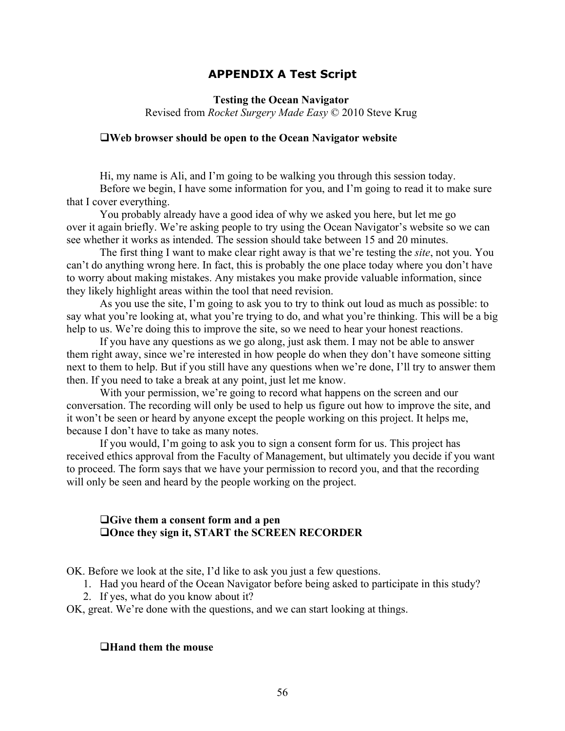## **APPENDIX A Test Script**

**Testing the Ocean Navigator** Revised from *Rocket Surgery Made Easy* © 2010 Steve Krug

#### **QWeb** browser should be open to the Ocean Navigator website

Hi, my name is Ali, and I'm going to be walking you through this session today. Before we begin, I have some information for you, and I'm going to read it to make sure that I cover everything.

You probably already have a good idea of why we asked you here, but let me go over it again briefly. We're asking people to try using the Ocean Navigator's website so we can see whether it works as intended. The session should take between 15 and 20 minutes.

The first thing I want to make clear right away is that we're testing the *site*, not you. You can't do anything wrong here. In fact, this is probably the one place today where you don't have to worry about making mistakes. Any mistakes you make provide valuable information, since they likely highlight areas within the tool that need revision.

As you use the site, I'm going to ask you to try to think out loud as much as possible: to say what you're looking at, what you're trying to do, and what you're thinking. This will be a big help to us. We're doing this to improve the site, so we need to hear your honest reactions.

If you have any questions as we go along, just ask them. I may not be able to answer them right away, since we're interested in how people do when they don't have someone sitting next to them to help. But if you still have any questions when we're done, I'll try to answer them then. If you need to take a break at any point, just let me know.

With your permission, we're going to record what happens on the screen and our conversation. The recording will only be used to help us figure out how to improve the site, and it won't be seen or heard by anyone except the people working on this project. It helps me, because I don't have to take as many notes.

If you would, I'm going to ask you to sign a consent form for us. This project has received ethics approval from the Faculty of Management, but ultimately you decide if you want to proceed. The form says that we have your permission to record you, and that the recording will only be seen and heard by the people working on the project.

## **QGive them a consent form and a pen QOnce they sign it, START the SCREEN RECORDER**

OK. Before we look at the site, I'd like to ask you just a few questions.

1. Had you heard of the Ocean Navigator before being asked to participate in this study?

2. If yes, what do you know about it?

OK, great. We're done with the questions, and we can start looking at things.

#### **QHand them the mouse**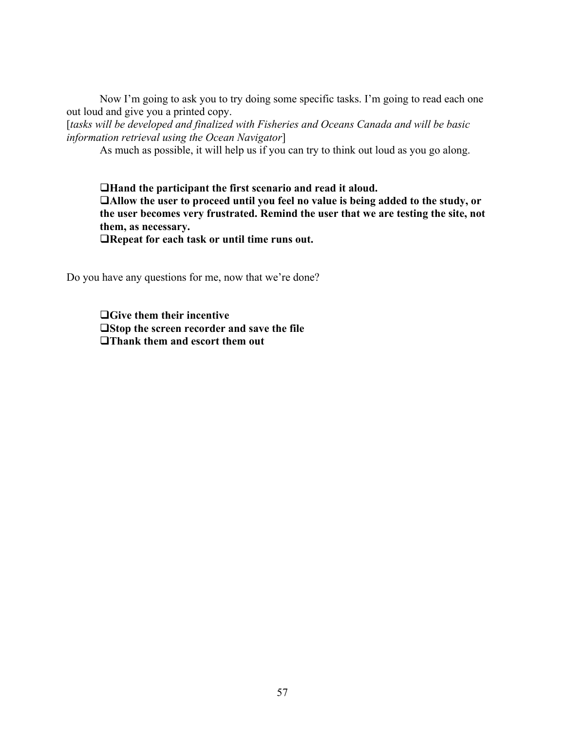Now I'm going to ask you to try doing some specific tasks. I'm going to read each one out loud and give you a printed copy.

[*tasks will be developed and finalized with Fisheries and Oceans Canada and will be basic information retrieval using the Ocean Navigator*]

As much as possible, it will help us if you can try to think out loud as you go along.

**QHand the participant the first scenario and read it aloud.** q**Allow the user to proceed until you feel no value is being added to the study, or the user becomes very frustrated. Remind the user that we are testing the site, not them, as necessary.**

**QRepeat for each task or until time runs out.** 

Do you have any questions for me, now that we're done?

**QGive them their incentive**  $\Box$ **Stop** the screen recorder and save the file **QThank them and escort them out**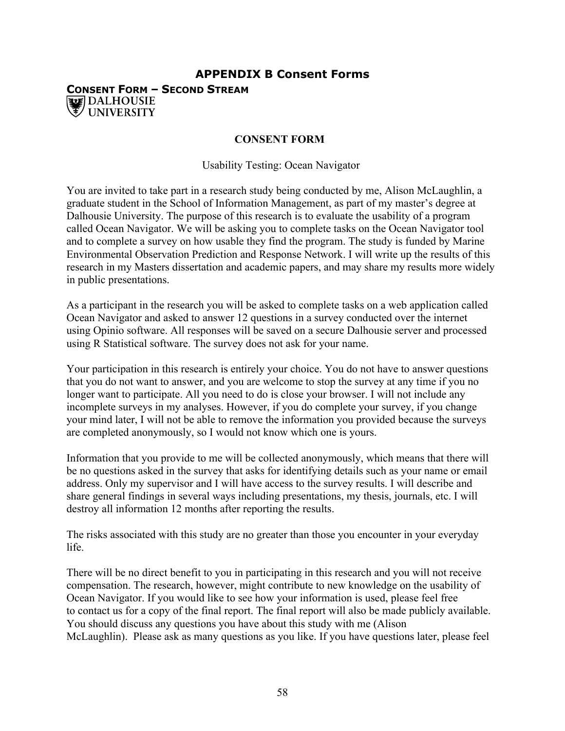## **APPENDIX B Consent Forms CONSENT FORM – SECOND STREAM WE DALHOUSIE UNIVERSITY**

## **CONSENT FORM**

Usability Testing: Ocean Navigator

You are invited to take part in a research study being conducted by me, Alison McLaughlin, a graduate student in the School of Information Management, as part of my master's degree at Dalhousie University. The purpose of this research is to evaluate the usability of a program called Ocean Navigator. We will be asking you to complete tasks on the Ocean Navigator tool and to complete a survey on how usable they find the program. The study is funded by Marine Environmental Observation Prediction and Response Network. I will write up the results of this research in my Masters dissertation and academic papers, and may share my results more widely in public presentations.

As a participant in the research you will be asked to complete tasks on a web application called Ocean Navigator and asked to answer 12 questions in a survey conducted over the internet using Opinio software. All responses will be saved on a secure Dalhousie server and processed using R Statistical software. The survey does not ask for your name.

Your participation in this research is entirely your choice. You do not have to answer questions that you do not want to answer, and you are welcome to stop the survey at any time if you no longer want to participate. All you need to do is close your browser. I will not include any incomplete surveys in my analyses. However, if you do complete your survey, if you change your mind later, I will not be able to remove the information you provided because the surveys are completed anonymously, so I would not know which one is yours.

Information that you provide to me will be collected anonymously, which means that there will be no questions asked in the survey that asks for identifying details such as your name or email address. Only my supervisor and I will have access to the survey results. I will describe and share general findings in several ways including presentations, my thesis, journals, etc. I will destroy all information 12 months after reporting the results.

The risks associated with this study are no greater than those you encounter in your everyday life.

There will be no direct benefit to you in participating in this research and you will not receive compensation. The research, however, might contribute to new knowledge on the usability of Ocean Navigator. If you would like to see how your information is used, please feel free to contact us for a copy of the final report. The final report will also be made publicly available. You should discuss any questions you have about this study with me (Alison McLaughlin). Please ask as many questions as you like. If you have questions later, please feel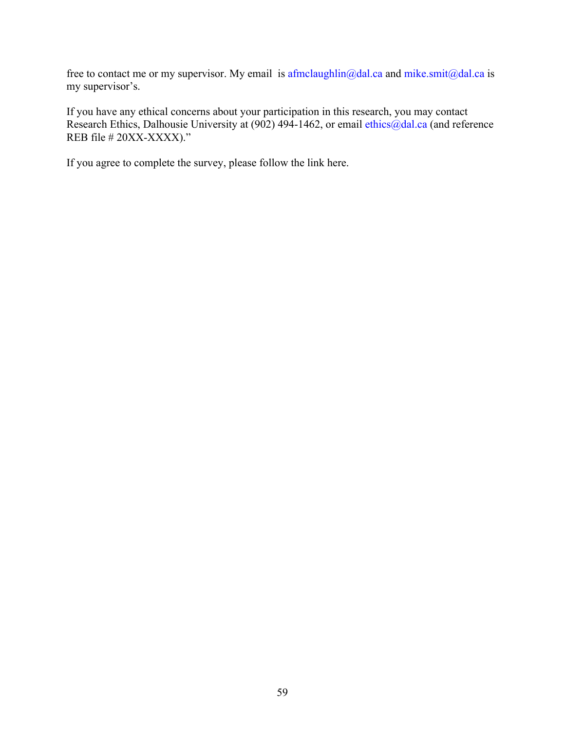free to contact me or my supervisor. My email is  $\frac{a}{\text{dimclaughlin}}$  and  $\frac{m}{\text{dimcla}}$  and  $\frac{m}{\text{dimcla}}$  and  $\frac{a}{\text{dimcla}}$  and  $\frac{a}{\text{dimcla}}$ my supervisor's.

If you have any ethical concerns about your participation in this research, you may contact Research Ethics, Dalhousie University at (902) 494-1462, or email ethics@dal.ca (and reference REB file # 20XX-XXXX)."

If you agree to complete the survey, please follow the link here.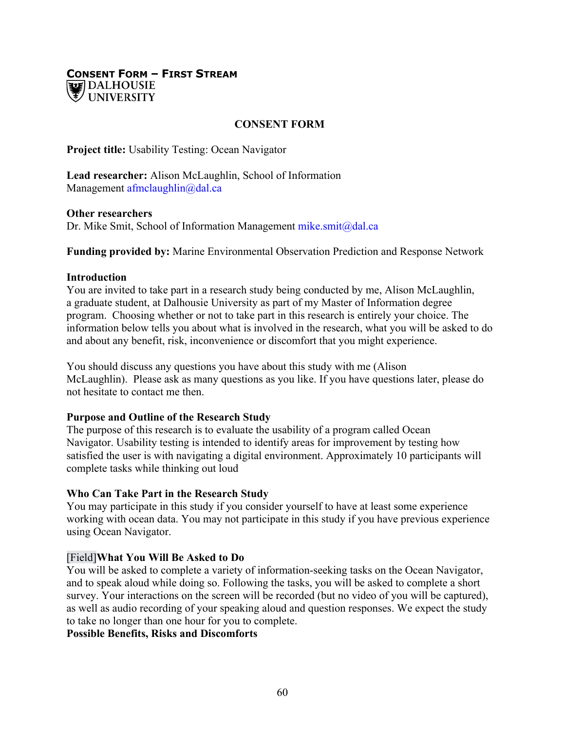## **CONSENT FORM – FIRST STREAM UNIVERSITY**

## **CONSENT FORM**

**Project title:** Usability Testing: Ocean Navigator

**Lead researcher:** Alison McLaughlin, School of Information Management afmclaughlin@dal.ca

#### **Other researchers**

Dr. Mike Smit, School of Information Management mike.smit@dal.ca

**Funding provided by:** Marine Environmental Observation Prediction and Response Network

## **Introduction**

You are invited to take part in a research study being conducted by me, Alison McLaughlin, a graduate student, at Dalhousie University as part of my Master of Information degree program. Choosing whether or not to take part in this research is entirely your choice. The information below tells you about what is involved in the research, what you will be asked to do and about any benefit, risk, inconvenience or discomfort that you might experience.

You should discuss any questions you have about this study with me (Alison McLaughlin). Please ask as many questions as you like. If you have questions later, please do not hesitate to contact me then.

## **Purpose and Outline of the Research Study**

The purpose of this research is to evaluate the usability of a program called Ocean Navigator. Usability testing is intended to identify areas for improvement by testing how satisfied the user is with navigating a digital environment. Approximately 10 participants will complete tasks while thinking out loud

## **Who Can Take Part in the Research Study**

You may participate in this study if you consider yourself to have at least some experience working with ocean data. You may not participate in this study if you have previous experience using Ocean Navigator.

## [Field]**What You Will Be Asked to Do**

You will be asked to complete a variety of information-seeking tasks on the Ocean Navigator, and to speak aloud while doing so. Following the tasks, you will be asked to complete a short survey. Your interactions on the screen will be recorded (but no video of you will be captured), as well as audio recording of your speaking aloud and question responses. We expect the study to take no longer than one hour for you to complete.

**Possible Benefits, Risks and Discomforts**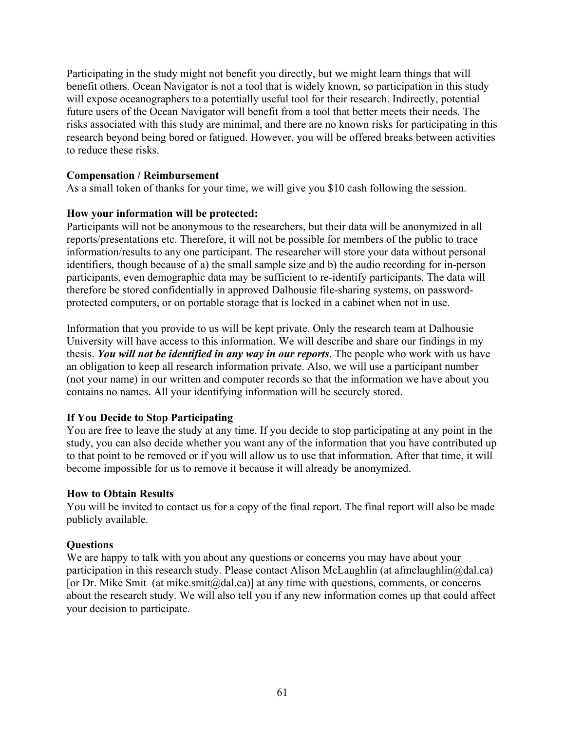Participating in the study might not benefit you directly, but we might learn things that will benefit others. Ocean Navigator is not a tool that is widely known, so participation in this study will expose oceanographers to a potentially useful tool for their research. Indirectly, potential future users of the Ocean Navigator will benefit from a tool that better meets their needs. The risks associated with this study are minimal, and there are no known risks for participating in this research beyond being bored or fatigued. However, you will be offered breaks between activities to reduce these risks.

## **Compensation / Reimbursement**

As a small token of thanks for your time, we will give you \$10 cash following the session.

## **How your information will be protected:**

Participants will not be anonymous to the researchers, but their data will be anonymized in all reports/presentations etc. Therefore, it will not be possible for members of the public to trace information/results to any one participant. The researcher will store your data without personal identifiers, though because of a) the small sample size and b) the audio recording for in-person participants, even demographic data may be sufficient to re-identify participants. The data will therefore be stored confidentially in approved Dalhousie file-sharing systems, on passwordprotected computers, or on portable storage that is locked in a cabinet when not in use.

Information that you provide to us will be kept private. Only the research team at Dalhousie University will have access to this information. We will describe and share our findings in my thesis. *You will not be identified in any way in our reports*. The people who work with us have an obligation to keep all research information private. Also, we will use a participant number (not your name) in our written and computer records so that the information we have about you contains no names. All your identifying information will be securely stored.

## **If You Decide to Stop Participating**

You are free to leave the study at any time. If you decide to stop participating at any point in the study, you can also decide whether you want any of the information that you have contributed up to that point to be removed or if you will allow us to use that information. After that time, it will become impossible for us to remove it because it will already be anonymized.

## **How to Obtain Results**

You will be invited to contact us for a copy of the final report. The final report will also be made publicly available.

## **Questions**

We are happy to talk with you about any questions or concerns you may have about your participation in this research study. Please contact Alison McLaughlin (at afmclaughlin@dal.ca) [or Dr. Mike Smit (at mike.smit $(\partial_t)$ dal.ca)] at any time with questions, comments, or concerns about the research study. We will also tell you if any new information comes up that could affect your decision to participate.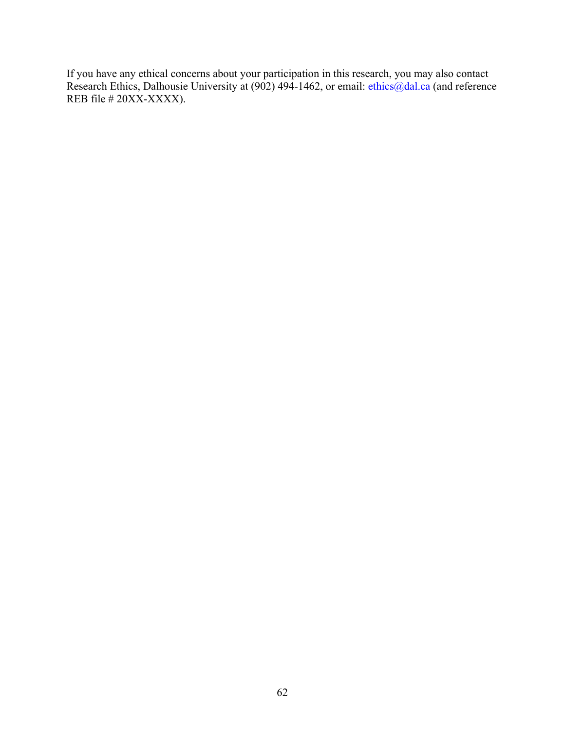If you have any ethical concerns about your participation in this research, you may also contact Research Ethics, Dalhousie University at (902) 494-1462, or email: ethics@dal.ca (and reference REB file # 20XX-XXXX).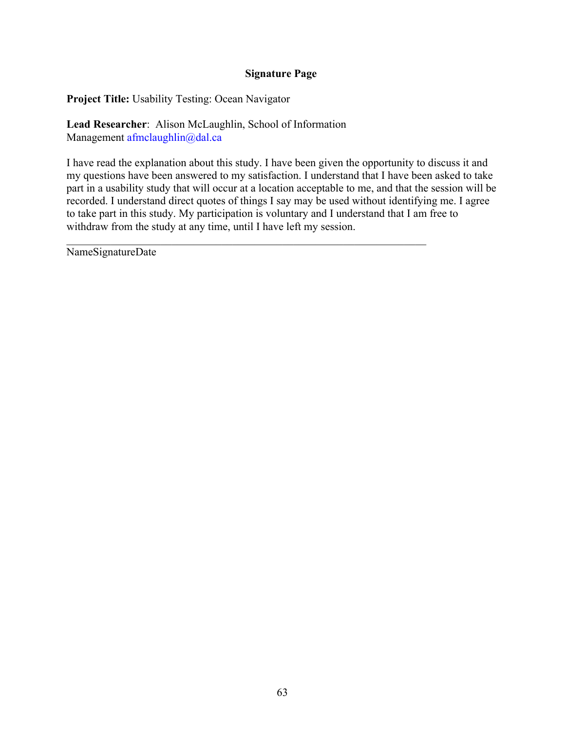## **Signature Page**

**Project Title:** Usability Testing: Ocean Navigator

**Lead Researcher**: Alison McLaughlin, School of Information Management afmclaughlin@dal.ca

I have read the explanation about this study. I have been given the opportunity to discuss it and my questions have been answered to my satisfaction. I understand that I have been asked to take part in a usability study that will occur at a location acceptable to me, and that the session will be recorded. I understand direct quotes of things I say may be used without identifying me. I agree to take part in this study. My participation is voluntary and I understand that I am free to withdraw from the study at any time, until I have left my session.

NameSignatureDate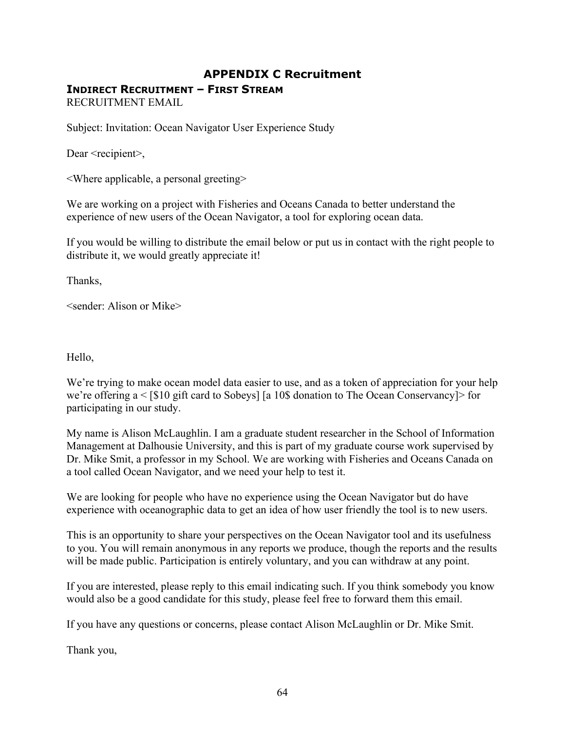# **APPENDIX C Recruitment INDIRECT RECRUITMENT – FIRST STREAM**

RECRUITMENT EMAIL

Subject: Invitation: Ocean Navigator User Experience Study

Dear <recipient>,

<Where applicable, a personal greeting>

We are working on a project with Fisheries and Oceans Canada to better understand the experience of new users of the Ocean Navigator, a tool for exploring ocean data.

If you would be willing to distribute the email below or put us in contact with the right people to distribute it, we would greatly appreciate it!

Thanks,

<sender: Alison or Mike>

Hello,

We're trying to make ocean model data easier to use, and as a token of appreciation for your help we're offering a < [\$10 gift card to Sobeys] [a 10\$ donation to The Ocean Conservancy]> for participating in our study.

My name is Alison McLaughlin. I am a graduate student researcher in the School of Information Management at Dalhousie University, and this is part of my graduate course work supervised by Dr. Mike Smit, a professor in my School. We are working with Fisheries and Oceans Canada on a tool called Ocean Navigator, and we need your help to test it.

We are looking for people who have no experience using the Ocean Navigator but do have experience with oceanographic data to get an idea of how user friendly the tool is to new users.

This is an opportunity to share your perspectives on the Ocean Navigator tool and its usefulness to you. You will remain anonymous in any reports we produce, though the reports and the results will be made public. Participation is entirely voluntary, and you can withdraw at any point.

If you are interested, please reply to this email indicating such. If you think somebody you know would also be a good candidate for this study, please feel free to forward them this email.

If you have any questions or concerns, please contact Alison McLaughlin or Dr. Mike Smit.

Thank you,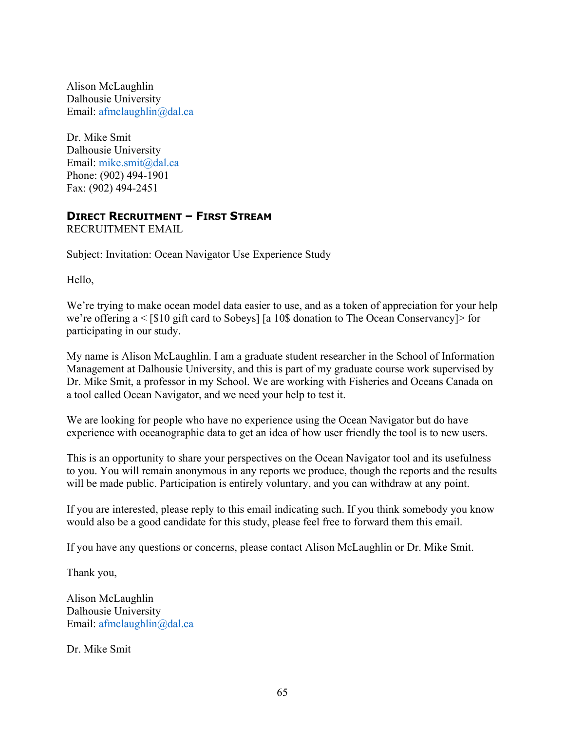Alison McLaughlin Dalhousie University Email: afmclaughlin@dal.ca

Dr. Mike Smit Dalhousie University Email: mike.smit@dal.ca Phone: (902) 494-1901 Fax: (902) 494-2451

### **DIRECT RECRUITMENT – FIRST STREAM**

RECRUITMENT EMAIL

Subject: Invitation: Ocean Navigator Use Experience Study

Hello,

We're trying to make ocean model data easier to use, and as a token of appreciation for your help we're offering a < [\$10 gift card to Sobeys] [a 10\$ donation to The Ocean Conservancy]> for participating in our study.

My name is Alison McLaughlin. I am a graduate student researcher in the School of Information Management at Dalhousie University, and this is part of my graduate course work supervised by Dr. Mike Smit, a professor in my School. We are working with Fisheries and Oceans Canada on a tool called Ocean Navigator, and we need your help to test it.

We are looking for people who have no experience using the Ocean Navigator but do have experience with oceanographic data to get an idea of how user friendly the tool is to new users.

This is an opportunity to share your perspectives on the Ocean Navigator tool and its usefulness to you. You will remain anonymous in any reports we produce, though the reports and the results will be made public. Participation is entirely voluntary, and you can withdraw at any point.

If you are interested, please reply to this email indicating such. If you think somebody you know would also be a good candidate for this study, please feel free to forward them this email.

If you have any questions or concerns, please contact Alison McLaughlin or Dr. Mike Smit.

Thank you,

Alison McLaughlin Dalhousie University Email: afmclaughlin@dal.ca

Dr. Mike Smit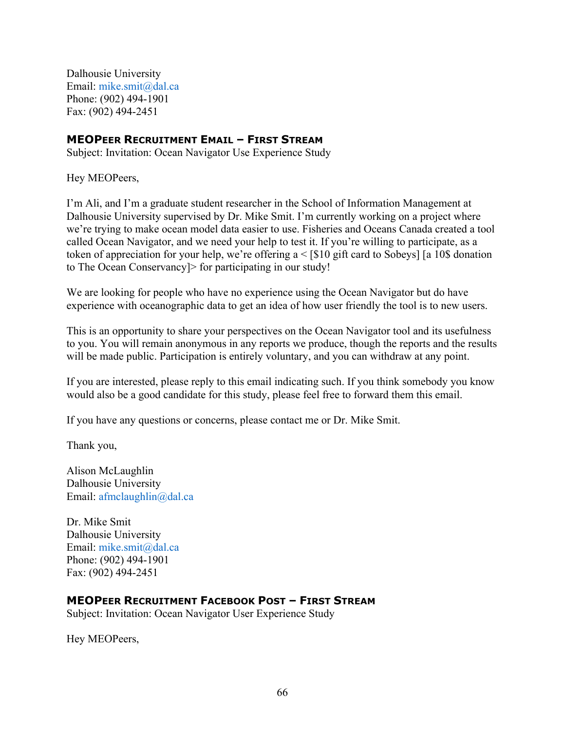Dalhousie University Email: mike.smit@dal.ca Phone: (902) 494-1901 Fax: (902) 494-2451

### **MEOPEER RECRUITMENT EMAIL – FIRST STREAM**

Subject: Invitation: Ocean Navigator Use Experience Study

Hey MEOPeers,

I'm Ali, and I'm a graduate student researcher in the School of Information Management at Dalhousie University supervised by Dr. Mike Smit. I'm currently working on a project where we're trying to make ocean model data easier to use. Fisheries and Oceans Canada created a tool called Ocean Navigator, and we need your help to test it. If you're willing to participate, as a token of appreciation for your help, we're offering a < [\$10 gift card to Sobeys] [a 10\$ donation to The Ocean Conservancy]> for participating in our study!

We are looking for people who have no experience using the Ocean Navigator but do have experience with oceanographic data to get an idea of how user friendly the tool is to new users.

This is an opportunity to share your perspectives on the Ocean Navigator tool and its usefulness to you. You will remain anonymous in any reports we produce, though the reports and the results will be made public. Participation is entirely voluntary, and you can withdraw at any point.

If you are interested, please reply to this email indicating such. If you think somebody you know would also be a good candidate for this study, please feel free to forward them this email.

If you have any questions or concerns, please contact me or Dr. Mike Smit.

Thank you,

Alison McLaughlin Dalhousie University Email: afmclaughlin@dal.ca

Dr. Mike Smit Dalhousie University Email: mike.smit@dal.ca Phone: (902) 494-1901 Fax: (902) 494-2451

#### **MEOPEER RECRUITMENT FACEBOOK POST – FIRST STREAM**

Subject: Invitation: Ocean Navigator User Experience Study

Hey MEOPeers,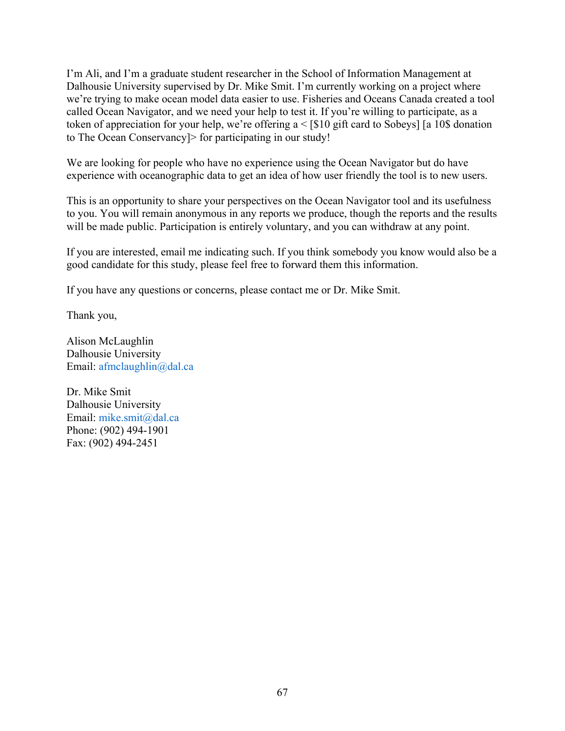I'm Ali, and I'm a graduate student researcher in the School of Information Management at Dalhousie University supervised by Dr. Mike Smit. I'm currently working on a project where we're trying to make ocean model data easier to use. Fisheries and Oceans Canada created a tool called Ocean Navigator, and we need your help to test it. If you're willing to participate, as a token of appreciation for your help, we're offering a < [\$10 gift card to Sobeys] [a 10\$ donation to The Ocean Conservancy]> for participating in our study!

We are looking for people who have no experience using the Ocean Navigator but do have experience with oceanographic data to get an idea of how user friendly the tool is to new users.

This is an opportunity to share your perspectives on the Ocean Navigator tool and its usefulness to you. You will remain anonymous in any reports we produce, though the reports and the results will be made public. Participation is entirely voluntary, and you can withdraw at any point.

If you are interested, email me indicating such. If you think somebody you know would also be a good candidate for this study, please feel free to forward them this information.

If you have any questions or concerns, please contact me or Dr. Mike Smit.

Thank you,

Alison McLaughlin Dalhousie University Email: afmclaughlin@dal.ca

Dr. Mike Smit Dalhousie University Email: mike.smit@dal.ca Phone: (902) 494-1901 Fax: (902) 494-2451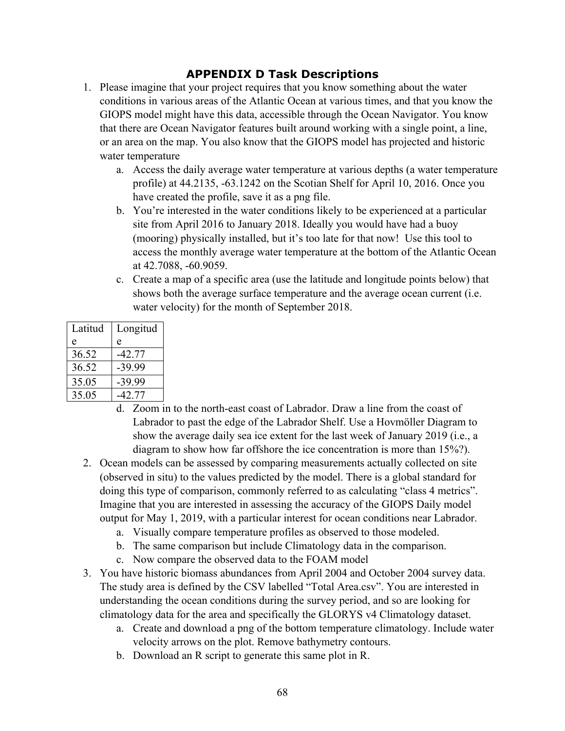## **APPENDIX D Task Descriptions**

- 1. Please imagine that your project requires that you know something about the water conditions in various areas of the Atlantic Ocean at various times, and that you know the GIOPS model might have this data, accessible through the Ocean Navigator. You know that there are Ocean Navigator features built around working with a single point, a line, or an area on the map. You also know that the GIOPS model has projected and historic water temperature
	- a. Access the daily average water temperature at various depths (a water temperature profile) at 44.2135, -63.1242 on the Scotian Shelf for April 10, 2016. Once you have created the profile, save it as a png file.
	- b. You're interested in the water conditions likely to be experienced at a particular site from April 2016 to January 2018. Ideally you would have had a buoy (mooring) physically installed, but it's too late for that now! Use this tool to access the monthly average water temperature at the bottom of the Atlantic Ocean at 42.7088, -60.9059.
	- c. Create a map of a specific area (use the latitude and longitude points below) that shows both the average surface temperature and the average ocean current (i.e. water velocity) for the month of September 2018.

| Latitud | Longitud |
|---------|----------|
| e       | e        |
| 36.52   | -42.77   |
| 36.52   | -39.99   |
| 35.05   | -39.99   |
| 35.05   | 42.77    |

- d. Zoom in to the north-east coast of Labrador. Draw a line from the coast of Labrador to past the edge of the Labrador Shelf. Use a Hovmöller Diagram to show the average daily sea ice extent for the last week of January 2019 (i.e., a diagram to show how far offshore the ice concentration is more than 15%?).
- 2. Ocean models can be assessed by comparing measurements actually collected on site (observed in situ) to the values predicted by the model. There is a global standard for doing this type of comparison, commonly referred to as calculating "class 4 metrics". Imagine that you are interested in assessing the accuracy of the GIOPS Daily model output for May 1, 2019, with a particular interest for ocean conditions near Labrador.
	- a. Visually compare temperature profiles as observed to those modeled.
	- b. The same comparison but include Climatology data in the comparison.
	- c. Now compare the observed data to the FOAM model
- 3. You have historic biomass abundances from April 2004 and October 2004 survey data. The study area is defined by the CSV labelled "Total Area.csv". You are interested in understanding the ocean conditions during the survey period, and so are looking for climatology data for the area and specifically the GLORYS v4 Climatology dataset.
	- a. Create and download a png of the bottom temperature climatology. Include water velocity arrows on the plot. Remove bathymetry contours.
	- b. Download an R script to generate this same plot in R.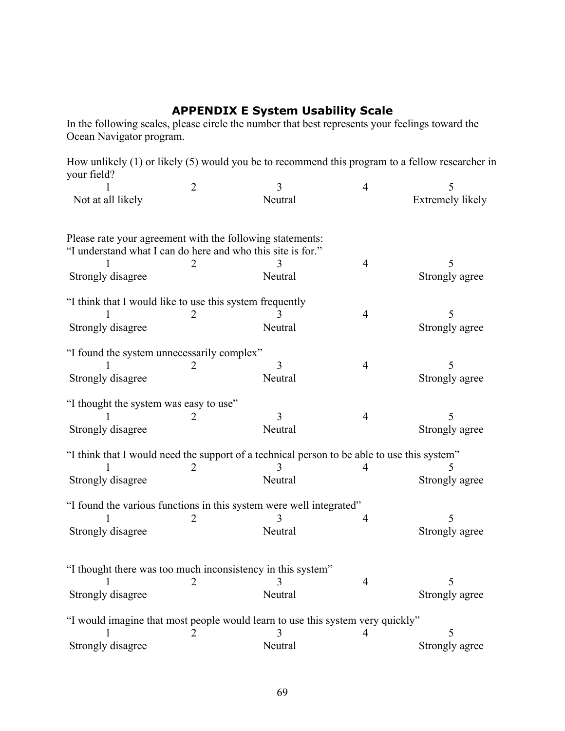#### **APPENDIX E System Usability Scale**

In the following scales, please circle the number that best represents your feelings toward the Ocean Navigator program.

How unlikely (1) or likely (5) would you be to recommend this program to a fellow researcher in your field?  $\begin{array}{ccc} \text{2} & \text{3} & \text{4} & \text{5} \end{array}$ 

|                                                             | $\mathcal{L}_{\mathcal{L}}$ |                                                                                             | 4              |                  |
|-------------------------------------------------------------|-----------------------------|---------------------------------------------------------------------------------------------|----------------|------------------|
| Not at all likely                                           |                             | Neutral                                                                                     |                | Extremely likely |
|                                                             |                             |                                                                                             |                |                  |
| Please rate your agreement with the following statements:   |                             |                                                                                             |                |                  |
| "I understand what I can do here and who this site is for." |                             |                                                                                             |                |                  |
|                                                             |                             |                                                                                             | $\overline{4}$ | 5                |
| Strongly disagree                                           |                             | Neutral                                                                                     |                | Strongly agree   |
| "I think that I would like to use this system frequently    |                             |                                                                                             |                |                  |
|                                                             |                             |                                                                                             | $\overline{4}$ | 5                |
| Strongly disagree                                           |                             | Neutral                                                                                     |                | Strongly agree   |
| "I found the system unnecessarily complex"                  |                             |                                                                                             |                |                  |
|                                                             |                             | 3                                                                                           | $\overline{4}$ | 5                |
| Strongly disagree                                           |                             | Neutral                                                                                     |                | Strongly agree   |
|                                                             |                             |                                                                                             |                |                  |
| "I thought the system was easy to use"                      |                             |                                                                                             |                |                  |
|                                                             |                             | 3                                                                                           | $\overline{4}$ | 5                |
| Strongly disagree                                           |                             | Neutral                                                                                     |                | Strongly agree   |
|                                                             |                             | "I think that I would need the support of a technical person to be able to use this system" |                |                  |
|                                                             | 2                           |                                                                                             |                |                  |
| Strongly disagree                                           |                             | Neutral                                                                                     |                | Strongly agree   |
|                                                             |                             |                                                                                             |                |                  |
|                                                             |                             | "I found the various functions in this system were well integrated"                         |                |                  |
|                                                             | 2                           |                                                                                             | 4              |                  |
| Strongly disagree                                           |                             | Neutral                                                                                     |                | Strongly agree   |
|                                                             |                             |                                                                                             |                |                  |
|                                                             |                             | "I thought there was too much inconsistency in this system"                                 |                |                  |
|                                                             | 2                           |                                                                                             | $\overline{4}$ | 5                |
| Strongly disagree                                           |                             | Neutral                                                                                     |                | Strongly agree   |
|                                                             |                             |                                                                                             |                |                  |
|                                                             |                             | "I would imagine that most people would learn to use this system very quickly"              |                |                  |
|                                                             | 2                           | 3                                                                                           |                | 5                |
| Strongly disagree                                           |                             | Neutral                                                                                     |                | Strongly agree   |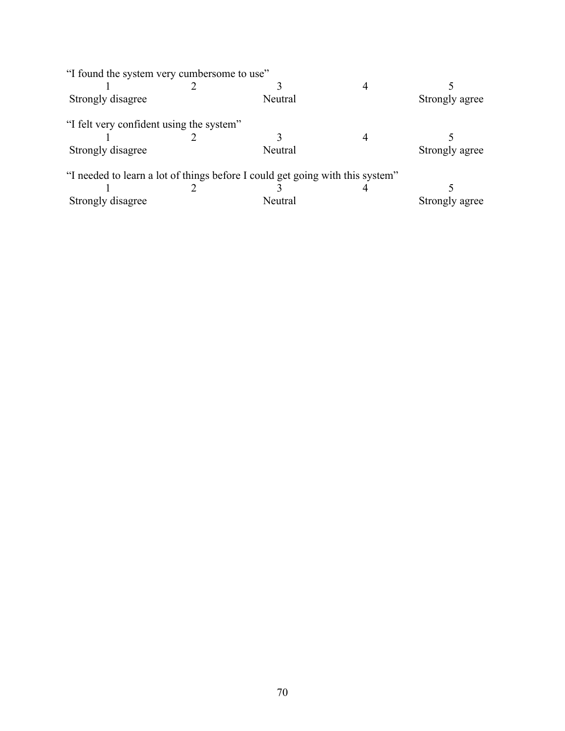| "I found the system very cumbersome to use" |                                                                               |                |
|---------------------------------------------|-------------------------------------------------------------------------------|----------------|
|                                             |                                                                               |                |
| Strongly disagree                           | Neutral                                                                       | Strongly agree |
| "I felt very confident using the system"    |                                                                               |                |
|                                             |                                                                               |                |
| Strongly disagree                           | Neutral                                                                       | Strongly agree |
|                                             | "I needed to learn a lot of things before I could get going with this system" |                |
|                                             |                                                                               |                |
| Strongly disagree                           | Neutral                                                                       | Strongly agree |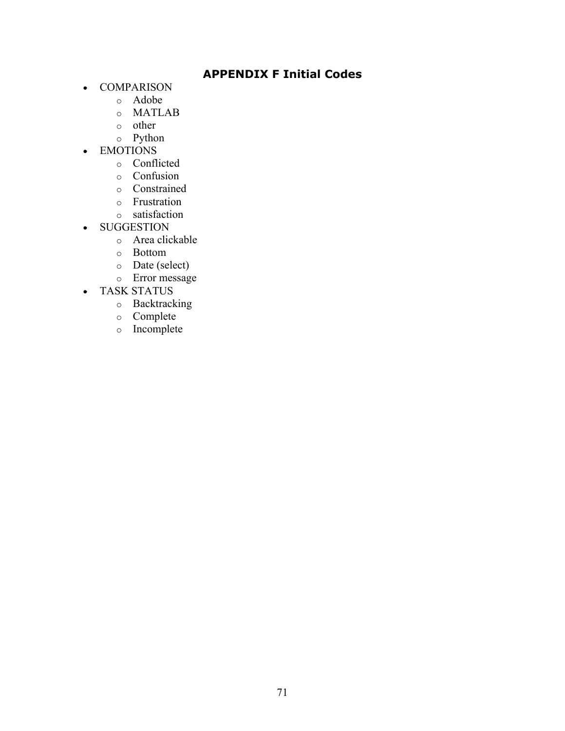# **APPENDIX F Initial Codes**

- COMPARISON
	- o Adobe
	- o MATLAB
	- o other
	- o Python
- EMOTIONS
	- o Conflicted
	- o Confusion
	- o Constrained
	- o Frustration
	- o satisfaction
- SUGGESTION
	- o Area clickable
	- o Bottom
	- o Date (select)
	- o Error message
- TASK STATUS
	- o Backtracking
	- o Complete
	- o Incomplete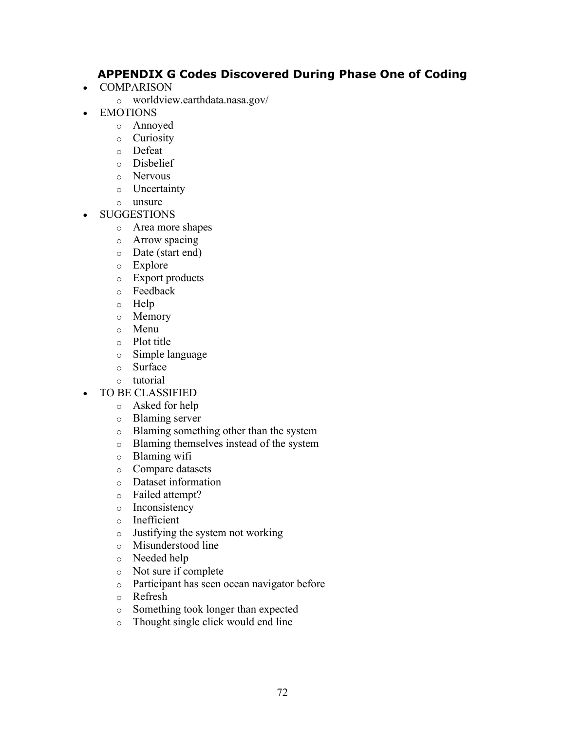# **APPENDIX G Codes Discovered During Phase One of Coding**

- COMPARISON
	- o worldview.earthdata.nasa.gov/
- EMOTIONS
	- o Annoyed
	- o Curiosity
	- o Defeat
	- o Disbelief
	- o Nervous
	- o Uncertainty
	- o unsure
- SUGGESTIONS
	- o Area more shapes
	- o Arrow spacing
	- o Date (start end)
	- o Explore
	- o Export products
	- o Feedback
	- o Help
	- o Memory
	- o Menu
	- o Plot title
	- o Simple language
	- o Surface
	- o tutorial
- TO BE CLASSIFIED
	- o Asked for help
	- o Blaming server
	- o Blaming something other than the system
	- o Blaming themselves instead of the system
	- o Blaming wifi
	- o Compare datasets
	- o Dataset information
	- o Failed attempt?
	- o Inconsistency
	- o Inefficient
	- o Justifying the system not working
	- o Misunderstood line
	- o Needed help
	- o Not sure if complete
	- o Participant has seen ocean navigator before
	- o Refresh
	- o Something took longer than expected
	- o Thought single click would end line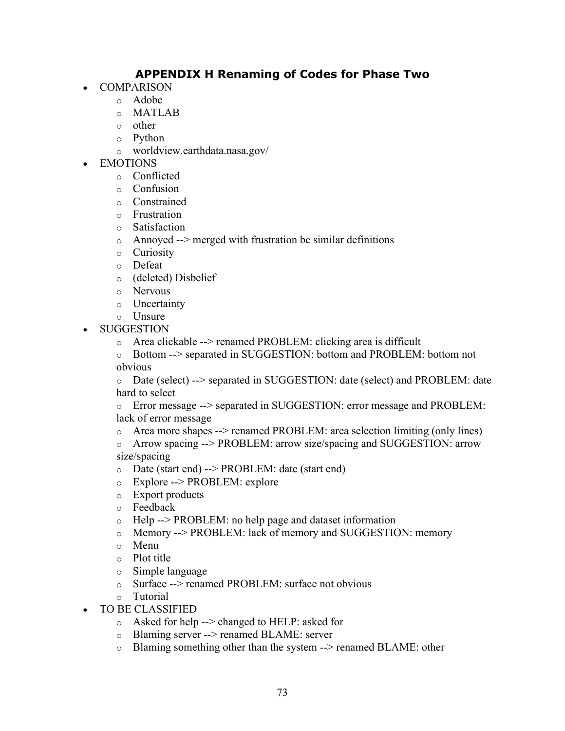# **APPENDIX H Renaming of Codes for Phase Two**

- **COMPARISON** 
	- o Adobe
	- o MATLAB
	- o other
	- o Python
	- o worldview.earthdata.nasa.gov/
- **EMOTIONS** 
	- o Conflicted
	- o Confusion
	- o Constrained
	- o Frustration
	- o Satisfaction
	- $\circ$  Annoyed --> merged with frustration bc similar definitions
	- o Curiosity
	- o Defeat
	- o (deleted) Disbelief
	- o Nervous
	- o Uncertainty
	- o Unsure
- SUGGESTION
	- $\circ$  Area clickable --> renamed PROBLEM: clicking area is difficult
	- o Bottom --> separated in SUGGESTION: bottom and PROBLEM: bottom not obvious
	- o Date (select) --> separated in SUGGESTION: date (select) and PROBLEM: date hard to select
	- o Error message --> separated in SUGGESTION: error message and PROBLEM: lack of error message
	- o Area more shapes --> renamed PROBLEM: area selection limiting (only lines)
	- o Arrow spacing --> PROBLEM: arrow size/spacing and SUGGESTION: arrow size/spacing
	- o Date (start end) --> PROBLEM: date (start end)
	- o Explore --> PROBLEM: explore
	- o Export products
	- o Feedback
	- o Help --> PROBLEM: no help page and dataset information
	- o Memory --> PROBLEM: lack of memory and SUGGESTION: memory
	- o Menu
	- o Plot title
	- o Simple language
	- o Surface --> renamed PROBLEM: surface not obvious
	- o Tutorial
- TO BE CLASSIFIED
	- o Asked for help --> changed to HELP: asked for
	- o Blaming server --> renamed BLAME: server
	- o Blaming something other than the system --> renamed BLAME: other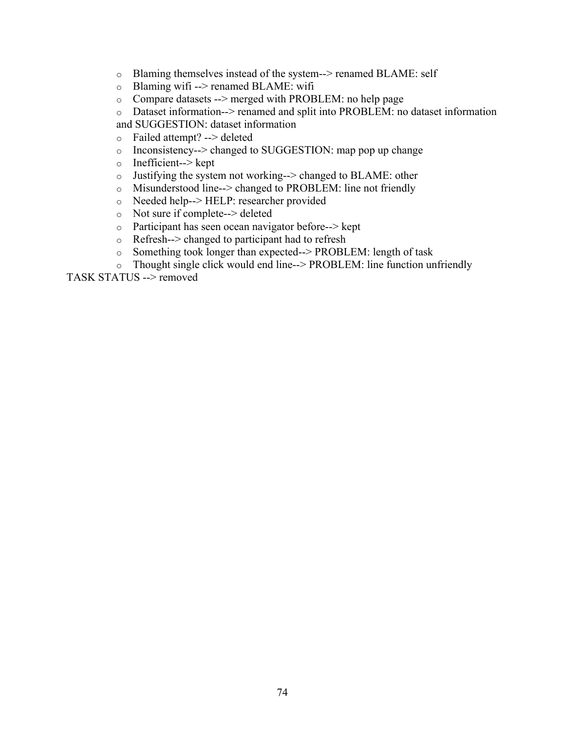- o Blaming themselves instead of the system--> renamed BLAME: self
- o Blaming wifi --> renamed BLAME: wifi
- o Compare datasets --> merged with PROBLEM: no help page
- o Dataset information--> renamed and split into PROBLEM: no dataset information and SUGGESTION: dataset information
- o Failed attempt? --> deleted
- o Inconsistency--> changed to SUGGESTION: map pop up change
- o Inefficient--> kept
- o Justifying the system not working--> changed to BLAME: other
- o Misunderstood line--> changed to PROBLEM: line not friendly
- o Needed help--> HELP: researcher provided
- o Not sure if complete--> deleted
- o Participant has seen ocean navigator before--> kept
- o Refresh--> changed to participant had to refresh
- o Something took longer than expected--> PROBLEM: length of task
- o Thought single click would end line--> PROBLEM: line function unfriendly

TASK STATUS --> removed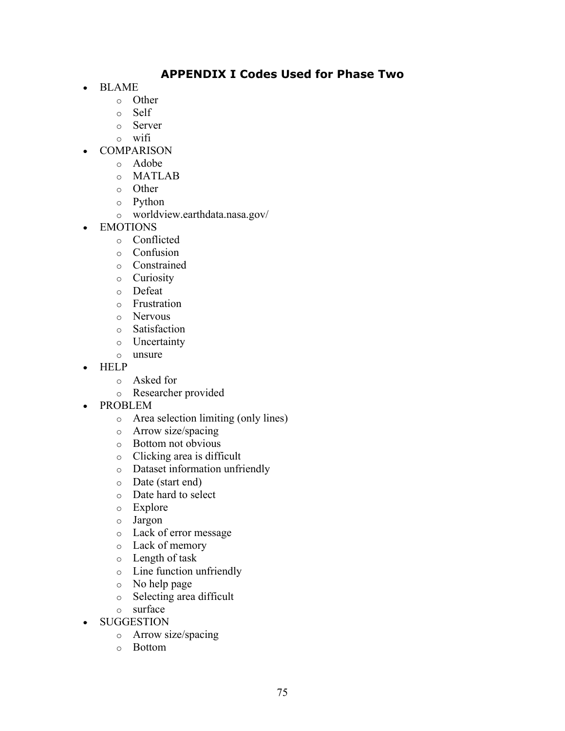# **APPENDIX I Codes Used for Phase Two**

- BLAME
	- o Other
	- o Self
	- o Server
	- o wifi
- COMPARISON
	- o Adobe
	- o MATLAB
	- o Other
	- o Python
	- o worldview.earthdata.nasa.gov/
- EMOTIONS
	- o Conflicted
	- o Confusion
	- o Constrained
	- o Curiosity
	- o Defeat
	- o Frustration
	- o Nervous
	- o Satisfaction
	- o Uncertainty
	- o unsure
- HELP
	- o Asked for
	- o Researcher provided
- PROBLEM
	- o Area selection limiting (only lines)
	- o Arrow size/spacing
	- o Bottom not obvious
	- o Clicking area is difficult
	- o Dataset information unfriendly
	- o Date (start end)
	- o Date hard to select
	- o Explore
	- o Jargon
	- o Lack of error message
	- o Lack of memory
	- o Length of task
	- o Line function unfriendly
	- o No help page
	- o Selecting area difficult
	- o surface
- SUGGESTION
	- o Arrow size/spacing
	- o Bottom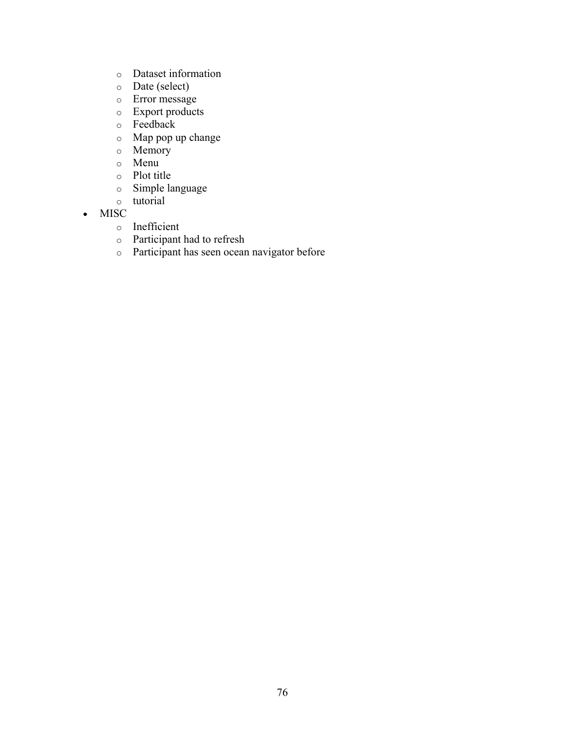- o Dataset information
- o Date (select)
- o Error message
- o Export products
- o Feedback
- o Map pop up change
- o Memory
- o Menu
- o Plot title
- o Simple language
- o tutorial
- MISC
	- o Inefficient
	- o Participant had to refresh
	- o Participant has seen ocean navigator before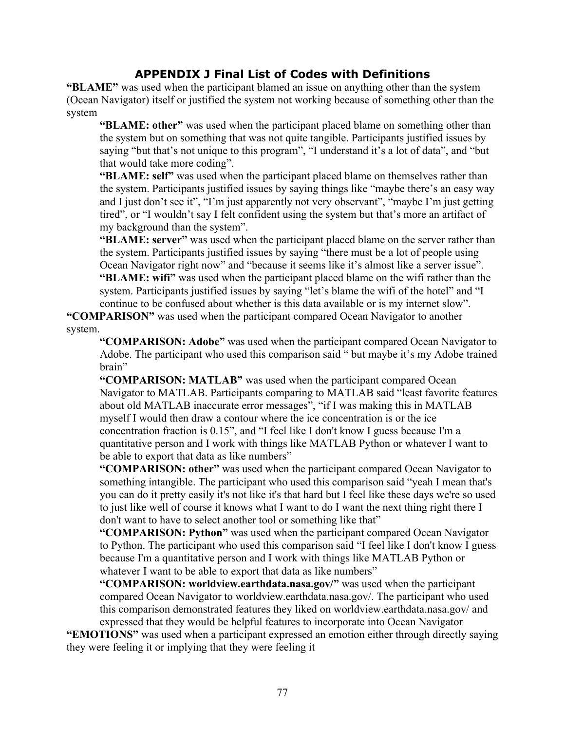## **APPENDIX J Final List of Codes with Definitions**

**"BLAME"** was used when the participant blamed an issue on anything other than the system (Ocean Navigator) itself or justified the system not working because of something other than the system

**"BLAME: other"** was used when the participant placed blame on something other than the system but on something that was not quite tangible. Participants justified issues by saying "but that's not unique to this program", "I understand it's a lot of data", and "but that would take more coding".

**"BLAME: self"** was used when the participant placed blame on themselves rather than the system. Participants justified issues by saying things like "maybe there's an easy way and I just don't see it", "I'm just apparently not very observant", "maybe I'm just getting tired", or "I wouldn't say I felt confident using the system but that's more an artifact of my background than the system".

**"BLAME: server"** was used when the participant placed blame on the server rather than the system. Participants justified issues by saying "there must be a lot of people using Ocean Navigator right now" and "because it seems like it's almost like a server issue". **"BLAME: wifi"** was used when the participant placed blame on the wifi rather than the system. Participants justified issues by saying "let's blame the wifi of the hotel" and "I continue to be confused about whether is this data available or is my internet slow".

**"COMPARISON"** was used when the participant compared Ocean Navigator to another system.

**"COMPARISON: Adobe"** was used when the participant compared Ocean Navigator to Adobe. The participant who used this comparison said " but maybe it's my Adobe trained brain"

**"COMPARISON: MATLAB"** was used when the participant compared Ocean Navigator to MATLAB. Participants comparing to MATLAB said "least favorite features about old MATLAB inaccurate error messages", "if I was making this in MATLAB myself I would then draw a contour where the ice concentration is or the ice concentration fraction is 0.15", and "I feel like I don't know I guess because I'm a quantitative person and I work with things like MATLAB Python or whatever I want to be able to export that data as like numbers"

**"COMPARISON: other"** was used when the participant compared Ocean Navigator to something intangible. The participant who used this comparison said "yeah I mean that's you can do it pretty easily it's not like it's that hard but I feel like these days we're so used to just like well of course it knows what I want to do I want the next thing right there I don't want to have to select another tool or something like that"

**"COMPARISON: Python"** was used when the participant compared Ocean Navigator to Python. The participant who used this comparison said "I feel like I don't know I guess because I'm a quantitative person and I work with things like MATLAB Python or whatever I want to be able to export that data as like numbers"

**"COMPARISON: worldview.earthdata.nasa.gov/"** was used when the participant compared Ocean Navigator to worldview.earthdata.nasa.gov/. The participant who used this comparison demonstrated features they liked on worldview.earthdata.nasa.gov/ and expressed that they would be helpful features to incorporate into Ocean Navigator

**"EMOTIONS"** was used when a participant expressed an emotion either through directly saying they were feeling it or implying that they were feeling it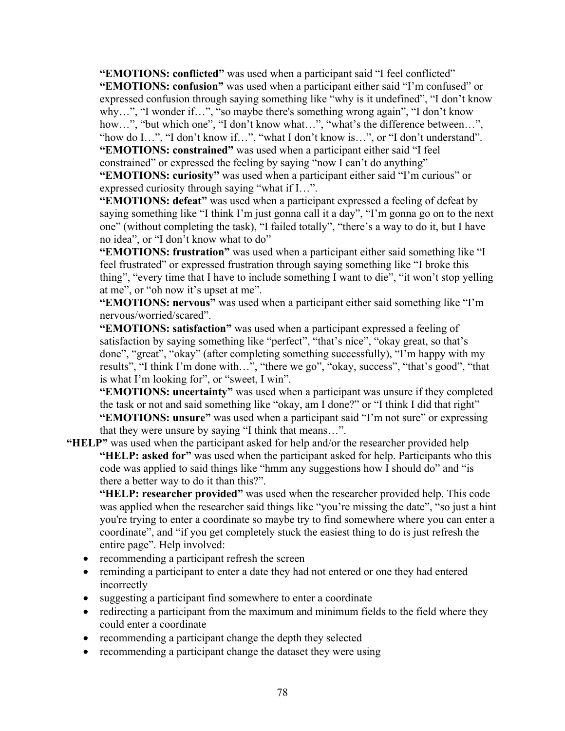**"EMOTIONS: conflicted"** was used when a participant said "I feel conflicted"

**"EMOTIONS: confusion"** was used when a participant either said "I'm confused" or expressed confusion through saying something like "why is it undefined", "I don't know why…", "I wonder if…", "so maybe there's something wrong again", "I don't know how...", "but which one", "I don't know what...", "what's the difference between...", "how do I…", "I don't know if…", "what I don't know is…", or "I don't understand". **"EMOTIONS: constrained"** was used when a participant either said "I feel

constrained" or expressed the feeling by saying "now I can't do anything"

**"EMOTIONS: curiosity"** was used when a participant either said "I'm curious" or expressed curiosity through saying "what if I…".

**"EMOTIONS: defeat"** was used when a participant expressed a feeling of defeat by saying something like "I think I'm just gonna call it a day", "I'm gonna go on to the next one" (without completing the task), "I failed totally", "there's a way to do it, but I have no idea", or "I don't know what to do"

**"EMOTIONS: frustration"** was used when a participant either said something like "I feel frustrated" or expressed frustration through saying something like "I broke this thing", "every time that I have to include something I want to die", "it won't stop yelling at me", or "oh now it's upset at me".

**"EMOTIONS: nervous"** was used when a participant either said something like "I'm nervous/worried/scared".

**"EMOTIONS: satisfaction"** was used when a participant expressed a feeling of satisfaction by saying something like "perfect", "that's nice", "okay great, so that's done", "great", "okay" (after completing something successfully), "I'm happy with my results", "I think I'm done with…", "there we go", "okay, success", "that's good", "that is what I'm looking for", or "sweet, I win".

**"EMOTIONS: uncertainty"** was used when a participant was unsure if they completed the task or not and said something like "okay, am I done?" or "I think I did that right" **"EMOTIONS: unsure"** was used when a participant said "I'm not sure" or expressing that they were unsure by saying "I think that means…".

**"HELP"** was used when the participant asked for help and/or the researcher provided help **"HELP: asked for"** was used when the participant asked for help. Participants who this code was applied to said things like "hmm any suggestions how I should do" and "is there a better way to do it than this?".

**"HELP: researcher provided"** was used when the researcher provided help. This code was applied when the researcher said things like "you're missing the date", "so just a hint you're trying to enter a coordinate so maybe try to find somewhere where you can enter a coordinate", and "if you get completely stuck the easiest thing to do is just refresh the entire page". Help involved:

- recommending a participant refresh the screen
- reminding a participant to enter a date they had not entered or one they had entered incorrectly
- suggesting a participant find somewhere to enter a coordinate
- redirecting a participant from the maximum and minimum fields to the field where they could enter a coordinate
- recommending a participant change the depth they selected
- recommending a participant change the dataset they were using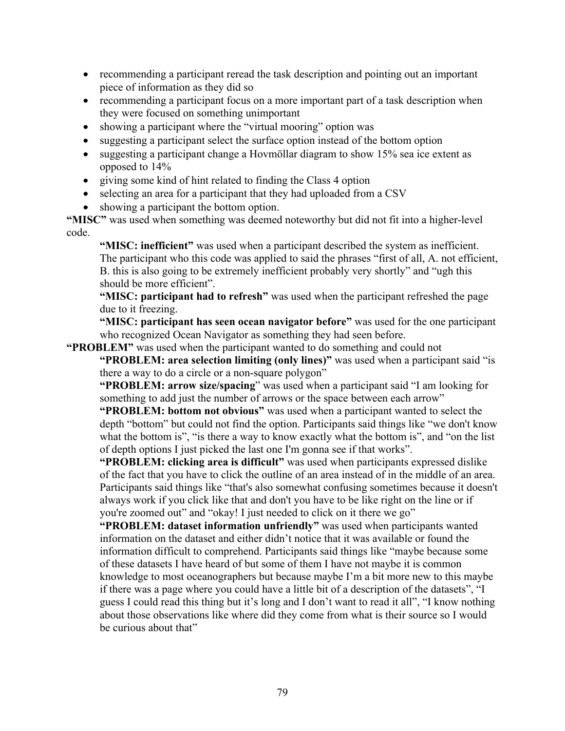- recommending a participant reread the task description and pointing out an important piece of information as they did so
- recommending a participant focus on a more important part of a task description when they were focused on something unimportant
- showing a participant where the "virtual mooring" option was
- suggesting a participant select the surface option instead of the bottom option
- suggesting a participant change a Hovmöllar diagram to show 15% sea ice extent as opposed to 14%
- giving some kind of hint related to finding the Class 4 option
- selecting an area for a participant that they had uploaded from a CSV
- showing a participant the bottom option.

**"MISC"** was used when something was deemed noteworthy but did not fit into a higher-level code.

**"MISC: inefficient"** was used when a participant described the system as inefficient. The participant who this code was applied to said the phrases "first of all, A. not efficient, B. this is also going to be extremely inefficient probably very shortly" and "ugh this should be more efficient".

**"MISC: participant had to refresh"** was used when the participant refreshed the page due to it freezing.

**"MISC: participant has seen ocean navigator before"** was used for the one participant who recognized Ocean Navigator as something they had seen before.

#### **"PROBLEM"** was used when the participant wanted to do something and could not

**"PROBLEM: area selection limiting (only lines)"** was used when a participant said "is there a way to do a circle or a non-square polygon"

**"PROBLEM: arrow size/spacing**" was used when a participant said "I am looking for something to add just the number of arrows or the space between each arrow"

**"PROBLEM: bottom not obvious"** was used when a participant wanted to select the depth "bottom" but could not find the option. Participants said things like "we don't know what the bottom is", "is there a way to know exactly what the bottom is", and "on the list" of depth options I just picked the last one I'm gonna see if that works".

**"PROBLEM: clicking area is difficult"** was used when participants expressed dislike of the fact that you have to click the outline of an area instead of in the middle of an area. Participants said things like "that's also somewhat confusing sometimes because it doesn't always work if you click like that and don't you have to be like right on the line or if you're zoomed out" and "okay! I just needed to click on it there we go"

**"PROBLEM: dataset information unfriendly"** was used when participants wanted information on the dataset and either didn't notice that it was available or found the information difficult to comprehend. Participants said things like "maybe because some of these datasets I have heard of but some of them I have not maybe it is common knowledge to most oceanographers but because maybe I'm a bit more new to this maybe if there was a page where you could have a little bit of a description of the datasets", "I guess I could read this thing but it's long and I don't want to read it all", "I know nothing about those observations like where did they come from what is their source so I would be curious about that"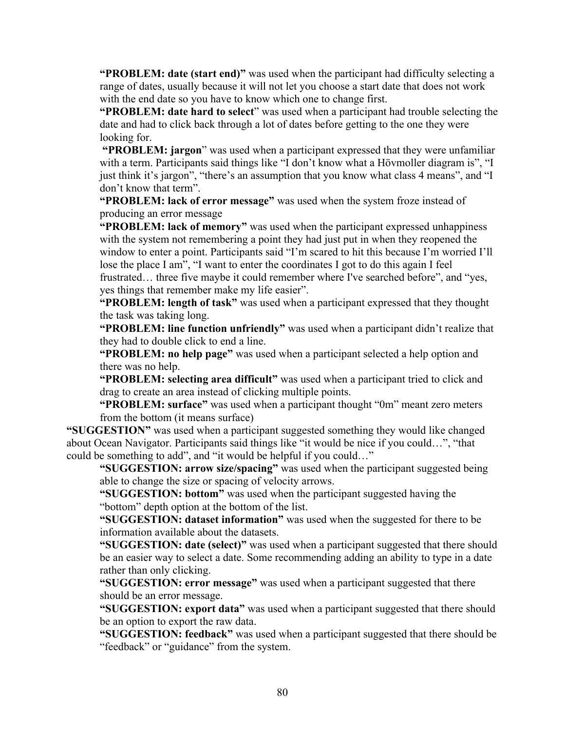**"PROBLEM: date (start end)"** was used when the participant had difficulty selecting a range of dates, usually because it will not let you choose a start date that does not work with the end date so you have to know which one to change first.

**"PROBLEM: date hard to select**" was used when a participant had trouble selecting the date and had to click back through a lot of dates before getting to the one they were looking for.

**"PROBLEM: jargon**" was used when a participant expressed that they were unfamiliar with a term. Participants said things like "I don't know what a Hövmoller diagram is", "I just think it's jargon", "there's an assumption that you know what class 4 means", and "I don't know that term".

**"PROBLEM: lack of error message"** was used when the system froze instead of producing an error message

**"PROBLEM: lack of memory"** was used when the participant expressed unhappiness with the system not remembering a point they had just put in when they reopened the window to enter a point. Participants said "I'm scared to hit this because I'm worried I'll lose the place I am", "I want to enter the coordinates I got to do this again I feel frustrated… three five maybe it could remember where I've searched before", and "yes, yes things that remember make my life easier".

**"PROBLEM: length of task"** was used when a participant expressed that they thought the task was taking long.

**"PROBLEM: line function unfriendly"** was used when a participant didn't realize that they had to double click to end a line.

**"PROBLEM: no help page"** was used when a participant selected a help option and there was no help.

**"PROBLEM: selecting area difficult"** was used when a participant tried to click and drag to create an area instead of clicking multiple points.

**"PROBLEM: surface"** was used when a participant thought "0m" meant zero meters from the bottom (it means surface)

**"SUGGESTION"** was used when a participant suggested something they would like changed about Ocean Navigator. Participants said things like "it would be nice if you could…", "that could be something to add", and "it would be helpful if you could…"

**"SUGGESTION: arrow size/spacing"** was used when the participant suggested being able to change the size or spacing of velocity arrows.

**"SUGGESTION: bottom"** was used when the participant suggested having the "bottom" depth option at the bottom of the list.

**"SUGGESTION: dataset information"** was used when the suggested for there to be information available about the datasets.

**"SUGGESTION: date (select)"** was used when a participant suggested that there should be an easier way to select a date. Some recommending adding an ability to type in a date rather than only clicking.

**"SUGGESTION: error message"** was used when a participant suggested that there should be an error message.

**"SUGGESTION: export data"** was used when a participant suggested that there should be an option to export the raw data.

**"SUGGESTION: feedback"** was used when a participant suggested that there should be "feedback" or "guidance" from the system.